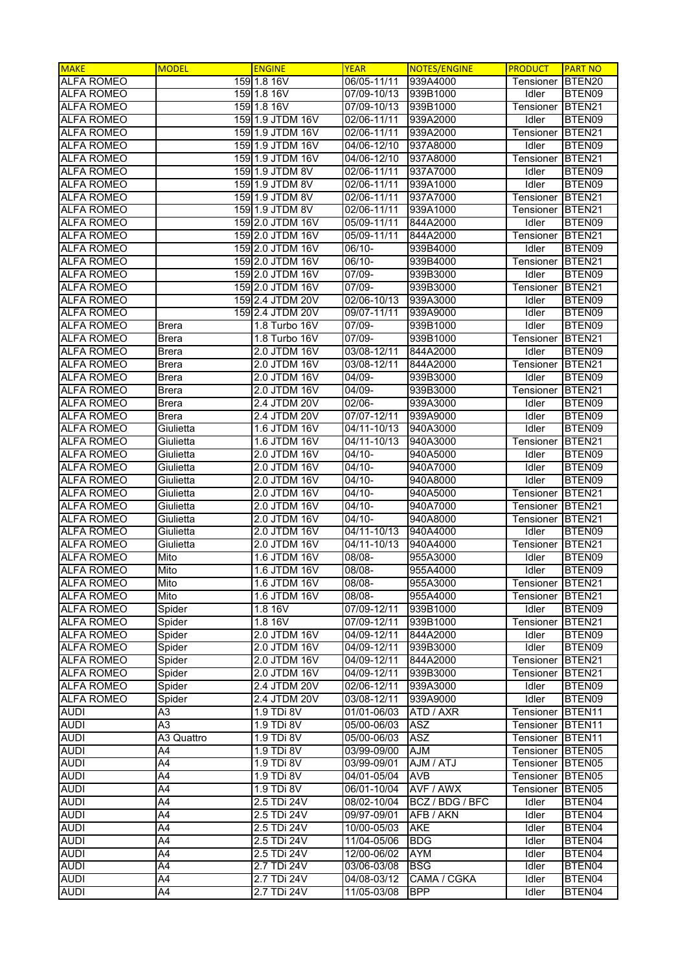| <b>MAKE</b>                            | <b>MODEL</b>      | <b>ENGINE</b>                | <b>YEAR</b>              | <b>NOTES/ENGINE</b>  | <b>PRODUCT</b>     | <b>PART NO</b>     |
|----------------------------------------|-------------------|------------------------------|--------------------------|----------------------|--------------------|--------------------|
| <b>ALFA ROMEO</b>                      |                   | 159 1.8 16V                  | 06/05-11/11              | 939A4000             | Tensioner          | BTEN <sub>20</sub> |
| <b>ALFA ROMEO</b>                      |                   | 159 1.8 16V                  | 07/09-10/13              | 939B1000             | Idler              | BTEN09             |
| <b>ALFA ROMEO</b>                      |                   | 159 1.8 16V                  | 07/09-10/13              | 939B1000             | Tensioner          | BTEN21             |
| <b>ALFA ROMEO</b>                      |                   | 159 1.9 JTDM 16V             | 02/06-11/11              | 939A2000             | Idler              | BTEN09             |
| <b>ALFA ROMEO</b>                      |                   | 159 1.9 JTDM 16V             | 02/06-11/11              | 939A2000             | Tensioner          | BTEN21             |
| <b>ALFA ROMEO</b>                      |                   | 159l1.9 JTDM 16V             | 04/06-12/10              | 937A8000             | Idler              | BTEN09             |
| <b>ALFA ROMEO</b>                      |                   | 159 1.9 JTDM 16V             | 04/06-12/10              | 937A8000             | Tensioner          | BTEN21             |
| <b>ALFA ROMEO</b>                      |                   | 159 1.9 JTDM 8V              | $02/06 - 11/11$          | 937A7000             | Idler              | BTEN09             |
| <b>ALFA ROMEO</b>                      |                   | 159 1.9 JTDM 8V              | $02/06 - 11/11$          | 939A1000             | Idler              | BTEN09             |
| <b>ALFA ROMEO</b>                      |                   | 159 1.9 JTDM 8V              | 02/06-11/11              | 937A7000             | Tensioner          | BTEN21             |
| <b>ALFA ROMEO</b>                      |                   | 159 1.9 JTDM 8V              | 02/06-11/11              | 939A1000             | Tensioner          | BTEN21             |
| <b>ALFA ROMEO</b>                      |                   | 159 2.0 JTDM 16V             | 05/09-11/11              | 844A2000             | Idler              | BTEN09             |
| <b>ALFA ROMEO</b>                      |                   | 159 2.0 JTDM 16V             | 05/09-11/11              | 844A2000             | Tensioner          | BTEN21             |
| <b>ALFA ROMEO</b>                      |                   | 159 2.0 JTDM 16V             | 06/10-                   | 939B4000             | Idler              | BTEN09             |
| <b>ALFA ROMEO</b>                      |                   | 159 2.0 JTDM 16V             | 06/10-                   | 939B4000             | Tensioner          | BTEN21             |
| <b>ALFA ROMEO</b>                      |                   | 159 2.0 JTDM 16V             | 07/09-                   | 939B3000             | Idler              | BTEN09             |
| <b>ALFA ROMEO</b>                      |                   | 159 2.0 JTDM 16V             | 07/09-                   | 939B3000             | Tensioner          | BTEN21             |
| <b>ALFA ROMEO</b>                      |                   | 159 2.4 JTDM 20V             | 02/06-10/13              | 939A3000             | Idler              | BTEN09             |
| <b>ALFA ROMEO</b>                      |                   | 159 2.4 JTDM 20V             | 09/07-11/11              | 939A9000             | Idler              | BTEN09             |
| <b>ALFA ROMEO</b>                      | <b>Brera</b>      | 1.8 Turbo 16V                | 07/09-                   | 939B1000             | Idler              | BTEN09             |
| <b>ALFA ROMEO</b>                      | <b>Brera</b>      | 1.8 Turbo 16V                | 07/09-                   | 939B1000             | Tensioner          | BTEN21             |
| <b>ALFA ROMEO</b>                      | Brera             | 2.0 JTDM 16V                 | 03/08-12/11              | 844A2000             | Idler              | BTEN09             |
| <b>ALFA ROMEO</b>                      | <b>Brera</b>      | 2.0 JTDM 16V                 | 03/08-12/11              | 844A2000             | Tensioner          | BTEN21             |
| <b>ALFA ROMEO</b>                      | <b>Brera</b>      | 2.0 JTDM 16V                 | 04/09-                   | 939B3000             | Idler              | BTEN09             |
| <b>ALFA ROMEO</b>                      | <b>Brera</b>      | 2.0 JTDM 16V                 | 04/09-                   | 939B3000             | Tensioner          | BTEN <sub>21</sub> |
| <b>ALFA ROMEO</b>                      | <b>Brera</b>      | 2.4 JTDM 20V                 | 02/06-                   | 939A3000             | Idler              | BTEN09             |
| <b>ALFA ROMEO</b>                      | <b>Brera</b>      | 2.4 JTDM 20V                 | 07/07-12/11              | 939A9000             | Idler              | BTEN09             |
| <b>ALFA ROMEO</b>                      | Giulietta         | 1.6 JTDM 16V                 | 04/11-10/13              | 940A3000             | Idler              | BTEN09             |
| <b>ALFA ROMEO</b>                      | Giulietta         | 1.6 JTDM 16V                 | 04/11-10/13              | 940A3000             | Tensioner          | BTEN21             |
| <b>ALFA ROMEO</b>                      | Giulietta         | 2.0 JTDM 16V                 | $04/10 -$                | 940A5000             | Idler              | BTEN09             |
| <b>ALFA ROMEO</b>                      | Giulietta         | 2.0 JTDM 16V                 | $04/10 -$                | 940A7000             | Idler              | BTEN09             |
| <b>ALFA ROMEO</b>                      | Giulietta         | 2.0 JTDM 16V                 | $04/10-$                 | 940A8000             | Idler              | BTEN09             |
| <b>ALFA ROMEO</b>                      | Giulietta         | 2.0 JTDM 16V                 | $04/10 -$                | 940A5000             | Tensioner          | BTEN21             |
| <b>ALFA ROMEO</b>                      | Giulietta         | 2.0 JTDM 16V                 | $04/10 -$                | 940A7000             | Tensioner          | BTEN21             |
| <b>ALFA ROMEO</b><br><b>ALFA ROMEO</b> | Giulietta         | 2.0 JTDM 16V<br>2.0 JTDM 16V | $04/10 -$<br>04/11-10/13 | 940A8000<br>940A4000 | Tensioner<br>Idler | BTEN21<br>BTEN09   |
| <b>ALFA ROMEO</b>                      | Giulietta         | 2.0 JTDM 16V                 | 04/11-10/13              |                      |                    | BTEN21             |
| <b>ALFA ROMEO</b>                      | Giulietta<br>Mito | 1.6 JTDM 16V                 | 08/08-                   | 940A4000<br>955A3000 | Tensioner<br>Idler | BTEN09             |
| <b>ALFA ROMEO</b>                      | Mito              | 1.6 JTDM 16V                 | 08/08-                   | 955A4000             | Idler              | BTEN09             |
| <b>ALFA ROMEO</b>                      | Mito              | 1.6 JTDM 16V                 | 08/08-                   | 955A3000             | Tensioner BTEN21   |                    |
| <b>ALFA ROMEO</b>                      | Mito              | 1.6 JTDM 16V                 | 08/08-                   | 955A4000             | Tensioner          | BTEN21             |
| <b>ALFA ROMEO</b>                      | Spider            | 1.8 16V                      | 07/09-12/11              | 939B1000             | Idler              | BTEN09             |
| <b>ALFA ROMEO</b>                      | Spider            | 1.8 16V                      | 07/09-12/11              | 939B1000             | Tensioner          | BTEN21             |
| <b>ALFA ROMEO</b>                      | Spider            | 2.0 JTDM 16V                 | 04/09-12/11              | 844A2000             | Idler              | BTEN09             |
| <b>ALFA ROMEO</b>                      | Spider            | 2.0 JTDM 16V                 | 04/09-12/11              | 939B3000             | Idler              | BTEN09             |
| <b>ALFA ROMEO</b>                      | Spider            | 2.0 JTDM 16V                 | 04/09-12/11              | 844A2000             | Tensioner          | BTEN <sub>21</sub> |
| <b>ALFA ROMEO</b>                      | Spider            | 2.0 JTDM 16V                 | 04/09-12/11              | 939B3000             | Tensioner          | BTEN <sub>21</sub> |
| <b>ALFA ROMEO</b>                      | Spider            | 2.4 JTDM 20V                 | 02/06-12/11              | 939A3000             | Idler              | BTEN09             |
| <b>ALFA ROMEO</b>                      | Spider            | 2.4 JTDM 20V                 | 03/08-12/11              | 939A9000             | Idler              | BTEN09             |
| <b>AUDI</b>                            | A3                | 1.9 TDi 8V                   | 01/01-06/03              | ATD / AXR            | Tensioner          | BTEN <sub>11</sub> |
| <b>AUDI</b>                            | A3                | 1.9 TDi 8V                   | 05/00-06/03              | ASZ                  | Tensioner          | BTEN <sub>11</sub> |
| <b>AUDI</b>                            | A3 Quattro        | 1.9 TDi 8V                   | 05/00-06/03              | <b>ASZ</b>           | Tensioner          | BTEN <sub>11</sub> |
| <b>AUDI</b>                            | A4                | 1.9 TDi 8V                   | 03/99-09/00              | <b>AJM</b>           | Tensioner BTEN05   |                    |
| <b>AUDI</b>                            | A4                | 1.9 TDi 8V                   | 03/99-09/01              | AJM / ATJ            | Tensioner          | BTEN <sub>05</sub> |
| <b>AUDI</b>                            | A4                | 1.9 TDi 8V                   | 04/01-05/04              | <b>AVB</b>           | Tensioner          | BTEN05             |
| <b>AUDI</b>                            | A4                | 1.9 TDi 8V                   | 06/01-10/04              | AVF / AWX            | Tensioner          | BTEN05             |
| <b>AUDI</b>                            | A4                | 2.5 TDi 24V                  | 08/02-10/04              | BCZ / BDG / BFC      | Idler              | BTEN04             |
| <b>AUDI</b>                            | A4                | 2.5 TDi 24V                  | 09/97-09/01              | AFB / AKN            | Idler              | BTEN04             |
| <b>AUDI</b>                            | A4                | 2.5 TDi 24V                  | 10/00-05/03              | <b>AKE</b>           | Idler              | BTEN04             |
| <b>AUDI</b>                            | A4                | 2.5 TDi 24V                  | 11/04-05/06              | <b>BDG</b>           | Idler              | BTEN04             |
| <b>AUDI</b>                            | A4                | 2.5 TDi 24V                  | 12/00-06/02              | <b>AYM</b>           | Idler              | BTEN04             |
| <b>AUDI</b>                            | A4                | 2.7 TDi 24V                  | 03/06-03/08              | <b>BSG</b>           | Idler              | BTEN04             |
| <b>AUDI</b>                            | A4                | 2.7 TDi 24V                  | 04/08-03/12              | CAMA / CGKA          | Idler              | BTEN04             |
| <b>AUDI</b>                            | A4                | 2.7 TDi 24V                  | 11/05-03/08              | <b>BPP</b>           | Idler              | BTEN04             |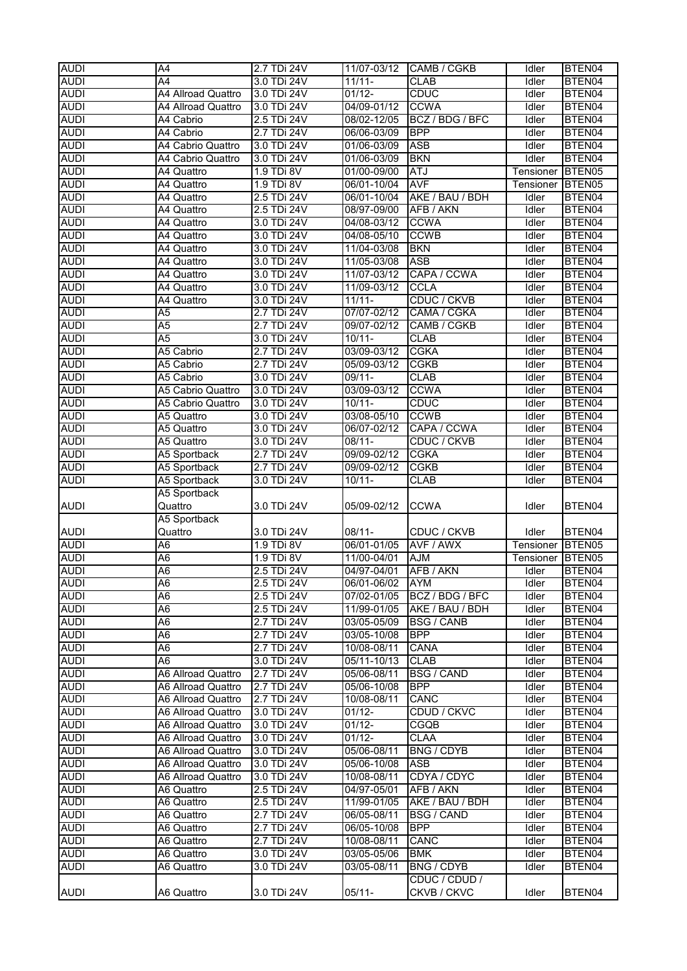| <b>AUDI</b> | A4                 | 2.7 TDi 24V     | 11/07-03/12 | CAMB / CGKB        | Idler        | BTEN04             |
|-------------|--------------------|-----------------|-------------|--------------------|--------------|--------------------|
| <b>AUDI</b> | A <sub>4</sub>     | 3.0 TDi 24V     | $11/11 -$   | <b>CLAB</b>        | Idler        | BTEN04             |
| <b>AUDI</b> | A4 Allroad Quattro | 3.0 TDi 24V     | $01/12 -$   | <b>CDUC</b>        | Idler        | BTEN04             |
|             |                    |                 |             |                    |              |                    |
| <b>AUDI</b> | A4 Allroad Quattro | 3.0 TDi 24V     | 04/09-01/12 | <b>CCWA</b>        | <b>Idler</b> | BTEN04             |
| <b>AUDI</b> | A4 Cabrio          | 2.5 TDi 24V     | 08/02-12/05 | BCZ / BDG / BFC    | Idler        | BTEN04             |
| <b>AUDI</b> | A4 Cabrio          | 2.7 TDi 24V     | 06/06-03/09 | <b>BPP</b>         | Idler        | BTEN04             |
| <b>AUDI</b> | A4 Cabrio Quattro  | 3.0 TDi 24V     | 01/06-03/09 | <b>ASB</b>         | Idler        | BTEN04             |
| <b>AUDI</b> | A4 Cabrio Quattro  | 3.0 TDi 24V     | 01/06-03/09 | <b>BKN</b>         | Idler        | BTEN04             |
| <b>AUDI</b> | A4 Quattro         | 1.9 TDi 8V      | 01/00-09/00 | <b>ATJ</b>         | Tensioner    | BTEN05             |
| <b>AUDI</b> | A4 Quattro         | 1.9 TDi 8V      | 06/01-10/04 | <b>AVF</b>         | Tensioner    | BTEN <sub>05</sub> |
| <b>AUDI</b> | A4 Quattro         | 2.5 TDi 24V     | 06/01-10/04 | AKE / BAU / BDH    | Idler        | BTEN04             |
| <b>AUDI</b> | A4 Quattro         | 2.5 TDi 24V     | 08/97-09/00 | AFB / AKN          | Idler        | BTEN04             |
| <b>AUDI</b> |                    | 3.0 TDi 24V     | 04/08-03/12 | <b>CCWA</b>        | Idler        | BTEN04             |
|             | A4 Quattro         |                 |             |                    |              |                    |
| <b>AUDI</b> | A4 Quattro         | 3.0 TDi 24V     | 04/08-05/10 | <b>CCWB</b>        | Idler        | BTEN04             |
| <b>AUDI</b> | A4 Quattro         | 3.0 TDi 24V     | 11/04-03/08 | <b>BKN</b>         | Idler        | BTEN04             |
| <b>AUDI</b> | A4 Quattro         | 3.0 TDi 24V     | 11/05-03/08 | <b>ASB</b>         | Idler        | BTEN04             |
| <b>AUDI</b> | A4 Quattro         | 3.0 TDi 24V     | 11/07-03/12 | CAPA / CCWA        | Idler        | BTEN04             |
| <b>AUDI</b> | A4 Quattro         | 3.0 TDi 24V     | 11/09-03/12 | <b>CCLA</b>        | Idler        | BTEN04             |
| <b>AUDI</b> | A4 Quattro         | 3.0 TDi 24V     | $11/11 -$   | <b>CDUC / CKVB</b> | Idler        | BTEN04             |
| <b>AUDI</b> | A <sub>5</sub>     | 2.7 TDi 24V     | 07/07-02/12 | CAMA / CGKA        | Idler        | BTEN04             |
| <b>AUDI</b> | A <sub>5</sub>     | 2.7 TDi 24V     | 09/07-02/12 | CAMB / CGKB        | Idler        | BTEN04             |
| <b>AUDI</b> | A <sub>5</sub>     | 3.0 TDi 24V     | $10/11 -$   | <b>CLAB</b>        | Idler        | BTEN04             |
| <b>AUDI</b> | A5 Cabrio          | 2.7 TDi 24V     | 03/09-03/12 | <b>CGKA</b>        | <b>Idler</b> | BTEN04             |
|             |                    |                 |             |                    |              |                    |
| <b>AUDI</b> | A5 Cabrio          | $2.7$ TDi $24V$ | 05/09-03/12 | <b>CGKB</b>        | Idler        | BTEN04             |
| <b>AUDI</b> | A5 Cabrio          | 3.0 TDi 24V     | 09/11-      | <b>CLAB</b>        | Idler        | BTEN04             |
| <b>AUDI</b> | A5 Cabrio Quattro  | 3.0 TDi 24V     | 03/09-03/12 | <b>CCWA</b>        | <b>Idler</b> | BTEN04             |
| <b>AUDI</b> | A5 Cabrio Quattro  | 3.0 TDi 24V     | $10/11 -$   | <b>CDUC</b>        | Idler        | BTEN04             |
| <b>AUDI</b> | A5 Quattro         | 3.0 TDi 24V     | 03/08-05/10 | <b>CCWB</b>        | Idler        | BTEN04             |
| <b>AUDI</b> | A5 Quattro         | 3.0 TDi 24V     | 06/07-02/12 | CAPA / CCWA        | Idler        | BTEN04             |
| <b>AUDI</b> | A5 Quattro         | 3.0 TDi 24V     | $08/11 -$   | CDUC / CKVB        | Idler        | BTEN04             |
| <b>AUDI</b> | A5 Sportback       | 2.7 TDi 24V     | 09/09-02/12 | <b>CGKA</b>        | Idler        | BTEN04             |
| <b>AUDI</b> | A5 Sportback       | 2.7 TDi 24V     | 09/09-02/12 | <b>CGKB</b>        | Idler        | BTEN04             |
| <b>AUDI</b> | A5 Sportback       | 3.0 TDi 24V     | $10/11 -$   | <b>CLAB</b>        | Idler        | BTEN04             |
|             |                    |                 |             |                    |              |                    |
|             | A5 Sportback       |                 |             |                    |              |                    |
| <b>AUDI</b> | Quattro            | 3.0 TDi 24V     | 05/09-02/12 | <b>CCWA</b>        | Idler        | BTEN04             |
|             | A5 Sportback       |                 |             |                    |              |                    |
| <b>AUDI</b> | Quattro            | 3.0 TDi 24V     | $08/11 -$   | CDUC / CKVB        | Idler        | BTEN04             |
| <b>AUDI</b> | A <sub>6</sub>     | 1.9 TDi 8V      | 06/01-01/05 | AVF / AWX          | Tensioner    | BTEN <sub>05</sub> |
| <b>AUDI</b> | A <sub>6</sub>     | 1.9 TDi 8V      | 11/00-04/01 | <b>AJM</b>         | Tensioner    | BTEN <sub>05</sub> |
| <b>AUDI</b> | A <sub>6</sub>     | 2.5 TDi 24V     | 04/97-04/01 | AFB / AKN          | Idler        | BTEN04             |
| <b>AUDI</b> | A6                 | 2.5 TDi $24V$   | 06/01-06/02 | <b>IAYM</b>        | Idler        | BTEN04             |
| <b>AUDI</b> | A6                 | 2.5 TDi 24V     | 07/02-01/05 | BCZ / BDG / BFC    | Idler        | BTEN04             |
| <b>AUDI</b> | A <sub>6</sub>     | 2.5 TDi 24V     | 11/99-01/05 | AKE / BAU / BDH    | Idler        | BTEN04             |
| <b>AUDI</b> | A6                 |                 |             | <b>BSG / CANB</b>  |              |                    |
|             |                    | 2.7 TDi 24V     | 03/05-05/09 |                    | Idler        | BTEN04             |
| <b>AUDI</b> | A <sub>6</sub>     | 2.7 TDi 24V     | 03/05-10/08 | <b>BPP</b>         | Idler        | BTEN04             |
| <b>AUDI</b> | A <sub>6</sub>     | 2.7 TDi 24V     | 10/08-08/11 | <b>CANA</b>        | Idler        | BTEN04             |
| <b>AUDI</b> | A6                 | 3.0 TDi 24V     | 05/11-10/13 | <b>CLAB</b>        | Idler        | BTEN04             |
| <b>AUDI</b> | A6 Allroad Quattro | 2.7 TDi 24V     | 05/06-08/11 | <b>BSG / CAND</b>  | Idler        | BTEN04             |
| <b>AUDI</b> | A6 Allroad Quattro | 2.7 TDi 24V     | 05/06-10/08 | <b>BPP</b>         | Idler        | BTEN04             |
| <b>AUDI</b> | A6 Allroad Quattro | 2.7 TDi 24V     | 10/08-08/11 | CANC               | Idler        | BTEN04             |
| <b>AUDI</b> | A6 Allroad Quattro | 3.0 TDi 24V     | $01/12 -$   | CDUD / CKVC        | Idler        | BTEN04             |
| <b>AUDI</b> | A6 Allroad Quattro | 3.0 TDi 24V     | $01/12 -$   | CGQB               | Idler        | BTEN04             |
| <b>AUDI</b> | A6 Allroad Quattro | 3.0 TDi 24V     | $01/12 -$   | <b>CLAA</b>        | Idler        | BTEN04             |
| <b>AUDI</b> | A6 Allroad Quattro | 3.0 TDi 24V     | 05/06-08/11 | <b>BNG / CDYB</b>  |              | BTEN04             |
|             |                    |                 |             |                    | Idler        |                    |
| <b>AUDI</b> | A6 Allroad Quattro | 3.0 TDi 24V     | 05/06-10/08 | <b>ASB</b>         | Idler        | BTEN04             |
| <b>AUDI</b> | A6 Allroad Quattro | 3.0 TDi 24V     | 10/08-08/11 | CDYA / CDYC        | Idler        | BTEN04             |
| <b>AUDI</b> | A6 Quattro         | 2.5 TDi 24V     | 04/97-05/01 | AFB / AKN          | Idler        | BTEN04             |
| <b>AUDI</b> | A6 Quattro         | 2.5 TDi 24V     | 11/99-01/05 | AKE / BAU / BDH    | Idler        | BTEN04             |
| <b>AUDI</b> | A6 Quattro         | 2.7 TDi 24V     | 06/05-08/11 | <b>BSG / CAND</b>  | Idler        | BTEN04             |
| <b>AUDI</b> | A6 Quattro         | 2.7 TDi 24V     | 06/05-10/08 | <b>BPP</b>         | Idler        | BTEN04             |
| <b>AUDI</b> | A6 Quattro         | 2.7 TDi 24V     | 10/08-08/11 | <b>CANC</b>        | Idler        | BTEN04             |
| <b>AUDI</b> | A6 Quattro         | 3.0 TDi 24V     | 03/05-05/06 | <b>BMK</b>         | Idler        | BTEN04             |
| <b>AUDI</b> | A6 Quattro         | 3.0 TDi 24V     | 03/05-08/11 | <b>BNG / CDYB</b>  | Idler        | BTEN04             |
|             |                    |                 |             | CDUC / CDUD /      |              |                    |
| <b>AUDI</b> | A6 Quattro         | 3.0 TDi 24V     | $05/11 -$   | CKVB / CKVC        | Idler        | BTEN04             |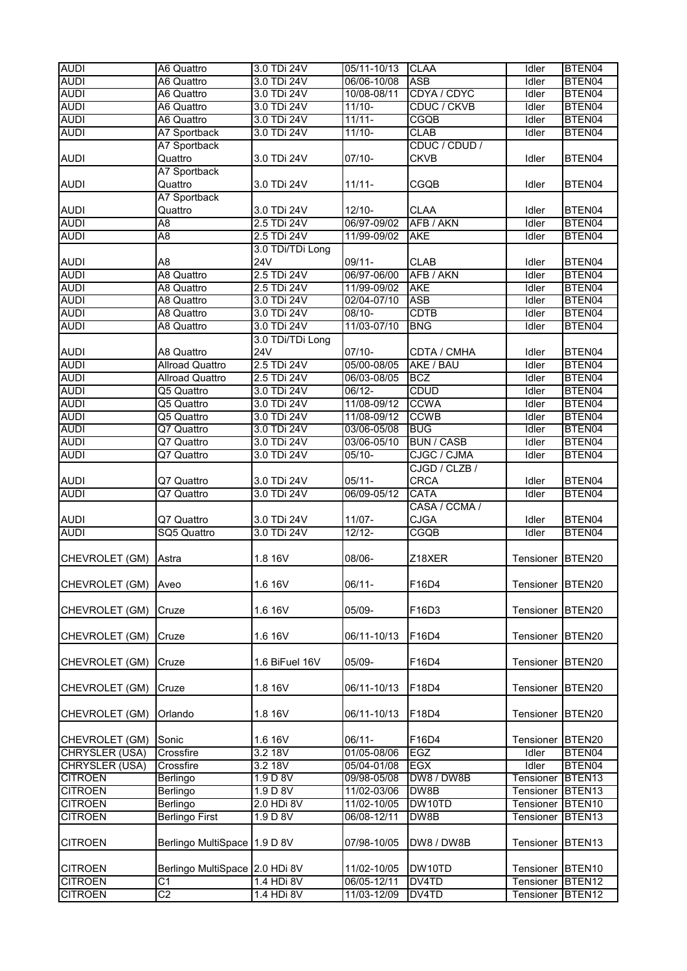| <b>AUDI</b>                      | A6 Quattro                       | 3.0 TDi 24V              | 05/11-10/13                | <b>CLAA</b>       | <b>Idler</b>           | BTEN04                                   |
|----------------------------------|----------------------------------|--------------------------|----------------------------|-------------------|------------------------|------------------------------------------|
| <b>AUDI</b>                      | A6 Quattro                       | 3.0 TDi 24V              | 06/06-10/08                | <b>ASB</b>        | Idler                  | BTEN04                                   |
| <b>AUDI</b>                      | A6 Quattro                       | 3.0 TDi 24V              | 10/08-08/11                | CDYA / CDYC       | Idler                  | BTEN04                                   |
| <b>AUDI</b>                      | A6 Quattro                       | 3.0 TDi 24V              | $11/10-$                   | CDUC / CKVB       | Idler                  | BTEN04                                   |
| <b>AUDI</b>                      | A6 Quattro                       | 3.0 TDi 24V              | $11/11 -$                  | CGQB              | Idler                  | BTEN04                                   |
| <b>AUDI</b>                      | A7 Sportback                     | 3.0 TDi 24V              | $11/10 -$                  | <b>CLAB</b>       | Idler                  | BTEN04                                   |
|                                  | <b>A7 Sportback</b>              |                          |                            | CDUC / CDUD /     |                        |                                          |
| <b>AUDI</b>                      | Quattro                          | 3.0 TDi 24V              | $07/10 -$                  | <b>CKVB</b>       | Idler                  | BTEN04                                   |
|                                  | A7 Sportback                     |                          |                            |                   |                        |                                          |
| <b>AUDI</b>                      | Quattro                          | 3.0 TDi 24V              | $11/11 -$                  | CGQB              | Idler                  | BTEN04                                   |
|                                  | A7 Sportback                     |                          |                            |                   |                        |                                          |
| <b>AUDI</b>                      | Quattro                          | 3.0 TDi 24V              | $12/10 -$                  | <b>CLAA</b>       | Idler                  | BTEN04                                   |
| <b>AUDI</b>                      | A <sub>8</sub>                   | 2.5 TDi 24V              | 06/97-09/02                | AFB / AKN         | Idler                  | BTEN04                                   |
| <b>AUDI</b>                      | A8                               | 2.5 TDi 24V              | 11/99-09/02                | <b>AKE</b>        | Idler                  | BTEN04                                   |
|                                  |                                  | 3.0 TDi/TDi Long         |                            |                   |                        |                                          |
| <b>AUDI</b>                      | A8                               | <b>24V</b>               | 09/11-                     | <b>CLAB</b>       | Idler                  | BTEN04                                   |
| <b>AUDI</b>                      | A8 Quattro                       | 2.5 TDi 24V              | 06/97-06/00                | AFB / AKN         | Idler                  | BTEN04                                   |
| <b>AUDI</b>                      | A8 Quattro                       | 2.5 TDi 24V              | 11/99-09/02                | <b>AKE</b>        | Idler                  | BTEN04                                   |
| <b>AUDI</b>                      | A8 Quattro                       | 3.0 TDi 24V              | 02/04-07/10                | <b>ASB</b>        | Idler                  | BTEN04                                   |
| <b>AUDI</b>                      | A8 Quattro                       | 3.0 TDi 24V              | $08/10 -$                  | <b>CDTB</b>       | Idler                  | BTEN04                                   |
| <b>AUDI</b>                      | A8 Quattro                       | 3.0 TDi 24V              | 11/03-07/10                | <b>BNG</b>        | Idler                  | BTEN04                                   |
|                                  |                                  | 3.0 TDi/TDi Long         |                            |                   |                        |                                          |
| <b>AUDI</b>                      | A8 Quattro                       | <b>24V</b>               | $07/10-$                   | CDTA / CMHA       | Idler                  | BTEN04                                   |
| <b>AUDI</b>                      | <b>Allroad Quattro</b>           | 2.5 TDi 24V              | 05/00-08/05                | AKE / BAU         | Idler                  | BTEN04                                   |
| <b>AUDI</b>                      | <b>Allroad Quattro</b>           | 2.5 TDi 24V              | 06/03-08/05                | <b>BCZ</b>        | Idler                  | BTEN04                                   |
| <b>AUDI</b>                      | Q5 Quattro                       | 3.0 TDi 24V              | $06/12 -$                  | <b>CDUD</b>       | Idler                  | BTEN04                                   |
| <b>AUDI</b>                      | Q5 Quattro                       | 3.0 TDi 24V              | 11/08-09/12                | <b>CCWA</b>       | Idler                  | BTEN04                                   |
| <b>AUDI</b>                      | Q5 Quattro                       | 3.0 TDi 24V              | 11/08-09/12                | <b>CCWB</b>       | Idler                  | BTEN04                                   |
| <b>AUDI</b>                      | Q7 Quattro                       | 3.0 TDi 24V              | 03/06-05/08                | <b>BUG</b>        | Idler                  | BTEN04                                   |
| <b>AUDI</b>                      | Q7 Quattro                       | 3.0 TDi 24V              | 03/06-05/10                | <b>BUN / CASB</b> | <b>Idler</b>           | BTEN04                                   |
| <b>AUDI</b>                      | Q7 Quattro                       | 3.0 TDi 24V              | $05/10 -$                  | CJGC / CJMA       | Idler                  | BTEN04                                   |
|                                  |                                  |                          |                            | CJGD / CLZB /     |                        |                                          |
| <b>AUDI</b>                      | Q7 Quattro                       | 3.0 TDi 24V              | $05/11 -$                  | <b>CRCA</b>       | Idler                  | BTEN04                                   |
| <b>AUDI</b>                      | Q7 Quattro                       | 3.0 TDi 24V              | 06/09-05/12                | <b>CATA</b>       | Idler                  | BTEN04                                   |
|                                  |                                  |                          |                            | CASA / CCMA /     |                        |                                          |
| <b>AUDI</b>                      | Q7 Quattro                       | 3.0 TDi 24V              | $11/07 -$                  | <b>CJGA</b>       | Idler                  | BTEN04                                   |
| <b>AUDI</b>                      | SQ5 Quattro                      | 3.0 TDi 24V              | $12/12-$                   | CGQB              | <b>Idler</b>           | BTEN04                                   |
|                                  |                                  |                          |                            |                   |                        |                                          |
|                                  |                                  |                          |                            |                   |                        |                                          |
|                                  |                                  |                          |                            |                   |                        |                                          |
| CHEVROLET (GM)                   | Astra                            | 1.8 16V                  | 08/06-                     | Z18XER            | Tensioner              | BTEN20                                   |
|                                  |                                  |                          |                            |                   |                        |                                          |
| CHEVROLET (GM)                   | Aveo                             | 1.6 16V                  | $06/11 -$                  | F16D4             | Tensioner BTEN20       |                                          |
|                                  |                                  |                          |                            |                   |                        |                                          |
| CHEVROLET (GM)                   | Cruze                            | 1.6 16V                  | 05/09-                     | F16D3             | Tensioner              | BTEN <sub>20</sub>                       |
|                                  |                                  |                          |                            |                   |                        |                                          |
| CHEVROLET (GM)                   | Cruze                            | 1.6 16V                  | 06/11-10/13                | F16D4             | Tensioner BTEN20       |                                          |
|                                  |                                  |                          |                            |                   |                        |                                          |
| CHEVROLET (GM)                   | Cruze                            | 1.6 BiFuel 16V           | 05/09-                     | F16D4             | Tensioner              | BTEN20                                   |
|                                  |                                  |                          |                            |                   |                        |                                          |
| CHEVROLET (GM)                   | Cruze                            | 1.8 16V                  | 06/11-10/13                | F18D4             | Tensioner              | BTEN20                                   |
|                                  |                                  |                          |                            |                   |                        |                                          |
| CHEVROLET (GM)                   | Orlando                          | 1.8 16V                  | 06/11-10/13                | F18D4             | Tensioner              | BTEN20                                   |
|                                  |                                  |                          |                            |                   |                        |                                          |
| CHEVROLET (GM)                   | Sonic                            | 1.6 16V                  | $06/11 -$                  | F16D4             | Tensioner              | BTEN20                                   |
| CHRYSLER (USA)                   | Crossfire                        | 3.2 18V                  | 01/05-08/06                | <b>EGZ</b>        | Idler                  | BTEN04                                   |
| CHRYSLER (USA)                   | Crossfire                        | 3.218V                   | 05/04-01/08                | <b>EGX</b>        | Idler                  | BTEN04                                   |
| <b>CITROEN</b>                   | Berlingo                         | 1.9 D 8V                 | 09/98-05/08                | DW8 / DW8B        | Tensioner              | BTEN <sub>13</sub>                       |
| <b>CITROEN</b>                   | Berlingo                         | 1.9 D 8V                 | 11/02-03/06                | DW8B              | Tensioner              | BTEN13                                   |
| <b>CITROEN</b>                   | Berlingo                         | 2.0 HDi 8V               | 11/02-10/05                | DW10TD            | Tensioner              | BTEN10                                   |
| <b>CITROEN</b>                   | <b>Berlingo First</b>            | 1.9 D 8V                 | 06/08-12/11                | DW8B              | Tensioner              | BTEN13                                   |
|                                  |                                  |                          |                            |                   |                        |                                          |
| <b>CITROEN</b>                   | Berlingo MultiSpace 1.9 D 8V     |                          | 07/98-10/05                | DW8 / DW8B        | Tensioner              | BTEN <sub>13</sub>                       |
|                                  |                                  |                          |                            |                   |                        |                                          |
| <b>CITROEN</b>                   | Berlingo MultiSpace 2.0 HDi 8V   |                          | 11/02-10/05                | DW10TD            | Tensioner BTEN10       |                                          |
| <b>CITROEN</b><br><b>CITROEN</b> | C <sub>1</sub><br>C <sub>2</sub> | 1.4 HDi 8V<br>1.4 HDi 8V | 06/05-12/11<br>11/03-12/09 | DV4TD<br>DV4TD    | Tensioner<br>Tensioner | BTEN <sub>12</sub><br>BTEN <sub>12</sub> |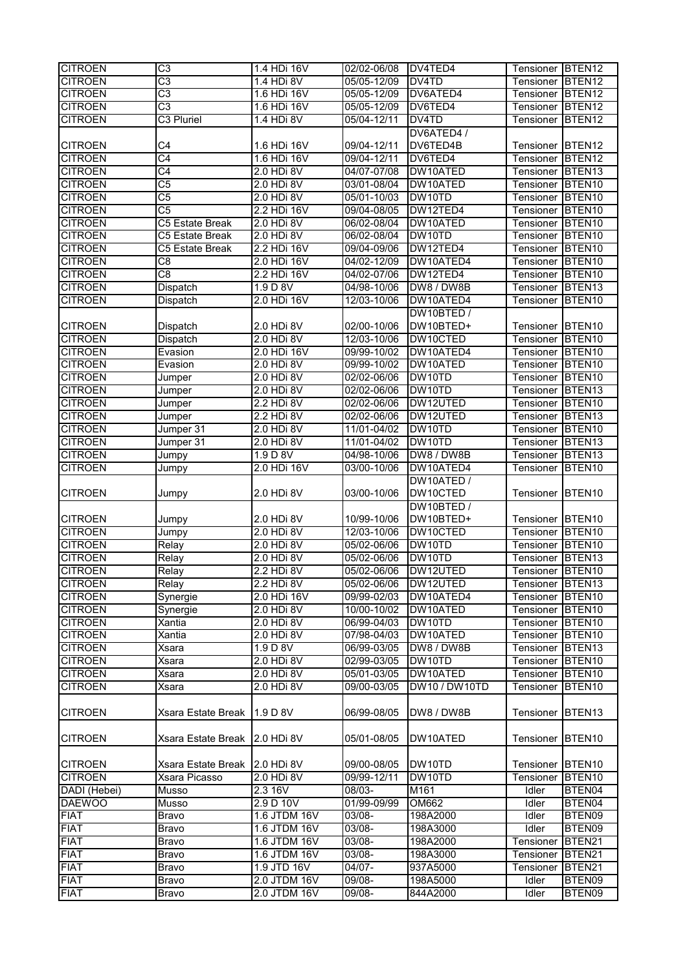| <b>CITROEN</b> | $\overline{\text{C3}}$          | 1.4 HDi 16V    | 02/02-06/08 | DV4TED4       | Tensioner BTEN12 |                    |
|----------------|---------------------------------|----------------|-------------|---------------|------------------|--------------------|
| <b>CITROEN</b> | $\overline{\text{C3}}$          | 1.4 HDi 8V     | 05/05-12/09 | DV4TD         | Tensioner        | BTEN <sub>12</sub> |
| <b>CITROEN</b> | $\overline{\text{C3}}$          | 1.6 HDi 16V    | 05/05-12/09 | DV6ATED4      | Tensioner        | BTEN <sub>12</sub> |
| <b>CITROEN</b> | $\overline{\text{C3}}$          | 1.6 HDi 16V    | 05/05-12/09 | DV6TED4       | Tensioner        | BTEN <sub>12</sub> |
| <b>CITROEN</b> | C3 Pluriel                      | 1.4 HDi 8V     | 05/04-12/11 | DV4TD         | Tensioner        | BTEN <sub>12</sub> |
|                |                                 |                |             | DV6ATED4/     |                  |                    |
| <b>CITROEN</b> | C4                              | 1.6 HDi 16V    | 09/04-12/11 | DV6TED4B      | Tensioner        | BTEN <sub>12</sub> |
|                | $\overline{\text{C4}}$          |                |             |               |                  |                    |
| <b>CITROEN</b> |                                 | 1.6 HDi 16V    | 09/04-12/11 | DV6TED4       | Tensioner        | BTEN <sub>12</sub> |
| <b>CITROEN</b> | $\overline{C4}$                 | 2.0 HDi 8V     | 04/07-07/08 | DW10ATED      | Tensioner        | BTEN <sub>13</sub> |
| <b>CITROEN</b> | $\overline{C5}$                 | 2.0 HDi 8V     | 03/01-08/04 | DW10ATED      | Tensioner        | BTEN <sub>10</sub> |
| <b>CITROEN</b> | $\overline{C5}$                 | 2.0 HDi 8V     | 05/01-10/03 | DW10TD        | Tensioner        | BTEN <sub>10</sub> |
| <b>CITROEN</b> | C <sub>5</sub>                  | 2.2 HDi 16V    | 09/04-08/05 | DW12TED4      | Tensioner        | BTEN <sub>10</sub> |
| <b>CITROEN</b> | C5 Estate Break                 | 2.0 HDi 8V     | 06/02-08/04 | DW10ATED      | Tensioner        | BTEN <sub>10</sub> |
| <b>CITROEN</b> | C5 Estate Break                 | 2.0 HDi 8V     | 06/02-08/04 | DW10TD        | Tensioner        | BTEN <sub>10</sub> |
| <b>CITROEN</b> | C5 Estate Break                 | 2.2 HDi 16V    | 09/04-09/06 | DW12TED4      | Tensioner        | BTEN <sub>10</sub> |
| <b>CITROEN</b> | C8                              | 2.0 HDi 16V    | 04/02-12/09 | DW10ATED4     | Tensioner        | BTEN <sub>10</sub> |
| <b>CITROEN</b> | $\overline{c}$ 8                | 2.2 HDi 16V    | 04/02-07/06 | DW12TED4      | Tensioner        | BTEN <sub>10</sub> |
| <b>CITROEN</b> | Dispatch                        | 1.9 D 8V       | 04/98-10/06 | DW8 / DW8B    | Tensioner        | BTEN <sub>13</sub> |
| <b>CITROEN</b> | Dispatch                        | 2.0 HDi 16V    | 12/03-10/06 | DW10ATED4     | Tensioner        | BTEN10             |
|                |                                 |                |             | DW10BTED /    |                  |                    |
| <b>CITROEN</b> | Dispatch                        | 2.0 HDi 8V     | 02/00-10/06 | DW10BTED+     | Tensioner        | BTEN <sub>10</sub> |
| <b>CITROEN</b> | Dispatch                        | 2.0 HDi 8V     | 12/03-10/06 | DW10CTED      | Tensioner        | BTEN <sub>10</sub> |
| <b>CITROEN</b> | Evasion                         | 2.0 HDi 16V    | 09/99-10/02 | DW10ATED4     | Tensioner        | BTEN <sub>10</sub> |
| <b>CITROEN</b> | Evasion                         | 2.0 HDi 8V     | 09/99-10/02 | DW10ATED      | Tensioner        | BTEN <sub>10</sub> |
| <b>CITROEN</b> |                                 | 2.0 HDi 8V     | 02/02-06/06 | DW10TD        | Tensioner        | BTEN <sub>10</sub> |
| <b>CITROEN</b> | Jumper<br>Jumper                | 2.0 HDi 8V     | 02/02-06/06 | DW10TD        | Tensioner        | BTEN <sub>13</sub> |
|                |                                 |                |             |               |                  |                    |
| <b>CITROEN</b> | Jumper                          | 2.2 HDi 8V     | 02/02-06/06 | DW12UTED      | Tensioner        | BTEN <sub>10</sub> |
| <b>CITROEN</b> | Jumper                          | 2.2 HDi 8V     | 02/02-06/06 | DW12UTED      | Tensioner        | BTEN <sub>13</sub> |
| <b>CITROEN</b> | Jumper 31                       | 2.0 HDi 8V     | 11/01-04/02 | DW10TD        | Tensioner        | <b>BTEN10</b>      |
| <b>CITROEN</b> | Jumper 31                       | 2.0 HDi 8V     | 11/01-04/02 | DW10TD        | Tensioner        | BTEN <sub>13</sub> |
| <b>CITROEN</b> | Jumpy                           | 1.9 D 8V       | 04/98-10/06 | DW8 / DW8B    | Tensioner        | BTEN <sub>13</sub> |
| <b>CITROEN</b> | Jumpy                           | 2.0 HDi 16V    | 03/00-10/06 | DW10ATED4     | Tensioner        | BTEN <sub>10</sub> |
|                |                                 |                |             | DW10ATED /    |                  |                    |
| <b>CITROEN</b> | Jumpy                           | 2.0 HDi 8V     | 03/00-10/06 | DW10CTED      | Tensioner        | BTEN10             |
|                |                                 |                |             | DW10BTED /    |                  |                    |
| <b>CITROEN</b> | Jumpy                           | 2.0 HDi 8V     | 10/99-10/06 | DW10BTED+     | Tensioner        | BTEN <sub>10</sub> |
| <b>CITROEN</b> | <b>Jumpy</b>                    | 2.0 HDi 8V     | 12/03-10/06 | DW10CTED      | Tensioner        | BTEN <sub>10</sub> |
| <b>CITROEN</b> | Relay                           | 2.0 HDi 8V     | 05/02-06/06 | DW10TD        | Tensioner        | BTEN <sub>10</sub> |
| <b>CITROEN</b> | Relay                           | 2.0 HDi 8V     | 05/02-06/06 | DW10TD        | Tensioner        | BTEN <sub>13</sub> |
| <b>CITROEN</b> | Relay                           | 2.2 HDi 8V     | 05/02-06/06 | DW12UTED      | Tensioner        | BTEN <sub>10</sub> |
| <b>CITROEN</b> | Relay                           | 2.2 HDi 8V     | 05/02-06/06 | DW12UTED      | Tensioner BTEN13 |                    |
| <b>CITROEN</b> | Synergie                        | 2.0 HDi 16V    | 09/99-02/03 | DW10ATED4     | Tensioner        | BTEN <sub>10</sub> |
| <b>CITROEN</b> | Synergie                        | 2.0 HDi 8V     | 10/00-10/02 | DW10ATED      | Tensioner        | BTEN <sub>10</sub> |
| <b>CITROEN</b> | Xantia                          | $2.0$ HDi $8V$ | 06/99-04/03 | DW10TD        | Tensioner        | BTEN <sub>10</sub> |
| <b>CITROEN</b> | Xantia                          | 2.0 HDi 8V     | 07/98-04/03 | DW10ATED      | Tensioner        | BTEN <sub>10</sub> |
| <b>CITROEN</b> | Xsara                           | 1.9 D 8V       | 06/99-03/05 | DW8 / DW8B    | Tensioner        | BTEN <sub>13</sub> |
| <b>CITROEN</b> | Xsara                           | 2.0 HDi 8V     | 02/99-03/05 | DW10TD        | Tensioner        | BTEN <sub>10</sub> |
| <b>CITROEN</b> | Xsara                           | 2.0 HDi 8V     | 05/01-03/05 | DW10ATED      | Tensioner        | BTEN10             |
| <b>CITROEN</b> | Xsara                           | 2.0 HDi 8V     | 09/00-03/05 | DW10 / DW10TD | Tensioner        | BTEN10             |
|                |                                 |                |             |               |                  |                    |
|                | Xsara Estate Break              | 1.9 D 8V       | 06/99-08/05 | DW8 / DW8B    |                  |                    |
| <b>CITROEN</b> |                                 |                |             |               | Tensioner        | BTEN <sub>13</sub> |
|                |                                 |                |             |               |                  |                    |
| <b>CITROEN</b> | Xsara Estate Break   2.0 HDi 8V |                | 05/01-08/05 | DW10ATED      | Tensioner        | BTEN10             |
|                |                                 |                |             |               |                  |                    |
| <b>CITROEN</b> | Xsara Estate Break              | 2.0 HDi 8V     | 09/00-08/05 | DW10TD        | Tensioner        | BTEN <sub>10</sub> |
| <b>CITROEN</b> | Xsara Picasso                   | $2.0$ HDi $8V$ | 09/99-12/11 | DW10TD        | Tensioner        | BTEN10             |
| DADI (Hebei)   | Musso                           | 2.3 16V        | 08/03-      | M161          | Idler            | BTEN04             |
| <b>DAEWOO</b>  | Musso                           | 2.9 D 10V      | 01/99-09/99 | OM662         | Idler            | BTEN04             |
| <b>FIAT</b>    | <b>Bravo</b>                    | 1.6 JTDM 16V   | 03/08-      | 198A2000      | Idler            | BTEN09             |
| <b>FIAT</b>    | Bravo                           | 1.6 JTDM 16V   | 03/08-      | 198A3000      | Idler            | BTEN09             |
| <b>FIAT</b>    | <b>Bravo</b>                    | 1.6 JTDM 16V   | 03/08-      | 198A2000      | Tensioner        | BTEN21             |
| <b>FIAT</b>    | Bravo                           | 1.6 JTDM 16V   | 03/08-      | 198A3000      | Tensioner        | BTEN21             |
| <b>FIAT</b>    | <b>Bravo</b>                    | 1.9 JTD 16V    | $04/07 -$   | 937A5000      | Tensioner        | BTEN21             |
| <b>FIAT</b>    | Bravo                           | 2.0 JTDM 16V   | 09/08-      | 198A5000      | Idler            | BTEN09             |
|                | Bravo                           | 2.0 JTDM 16V   | 09/08-      | 844A2000      | Idler            | BTEN09             |
| <b>FIAT</b>    |                                 |                |             |               |                  |                    |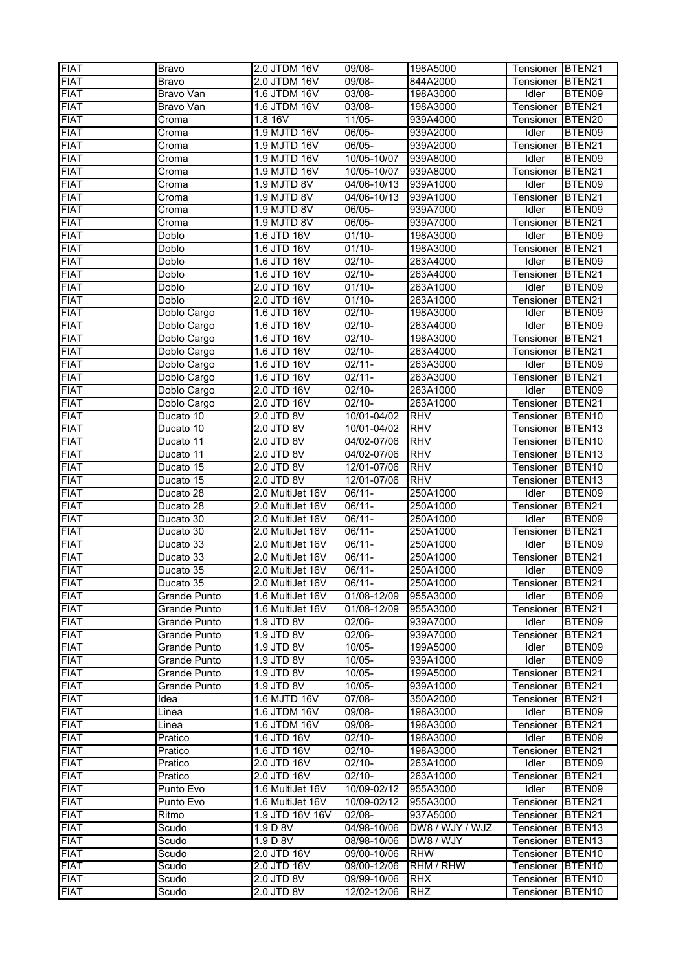| <b>FIAT</b> | Bravo                  | 2.0 JTDM 16V     | 09/08-              | 198A5000             | Tensioner BTEN21 |                    |
|-------------|------------------------|------------------|---------------------|----------------------|------------------|--------------------|
| <b>FIAT</b> | Bravo                  | 2.0 JTDM 16V     | 09/08-              | 844A2000             | Tensioner        | BTEN21             |
| <b>FIAT</b> | Bravo Van              | 1.6 JTDM 16V     | 03/08-              | 198A3000             | Idler            | BTEN09             |
| <b>FIAT</b> | Bravo Van              | 1.6 JTDM 16V     | $03/08 -$           | 198A3000             | Tensioner        | BTEN21             |
| <b>FIAT</b> | Croma                  | 1.8 16V          | $11/05 -$           | 939A4000             | Tensioner        | BTEN20             |
| <b>FIAT</b> | Croma                  | 1.9 MJTD 16V     | 06/05-              | 939A2000             | Idler            | BTEN09             |
| <b>FIAT</b> | Croma                  | 1.9 MJTD 16V     | 06/05-              | 939A2000             | Tensioner        | BTEN21             |
| <b>FIAT</b> | Croma                  | 1.9 MJTD 16V     | 10/05-10/07         | 939A8000             | Idler            | BTEN09             |
|             |                        |                  |                     |                      |                  |                    |
| <b>FIAT</b> | Croma                  | 1.9 MJTD 16V     | 10/05-10/07         | 939A8000             | Tensioner        | BTEN21             |
| <b>FIAT</b> | Croma                  | 1.9 MJTD 8V      | 04/06-10/13         | 939A1000             | Idler            | BTEN09             |
| <b>FIAT</b> | Croma                  | 1.9 MJTD 8V      | 04/06-10/13         | 939A1000             | Tensioner        | BTEN21             |
| <b>FIAT</b> | Croma                  | 1.9 MJTD 8V      | $06/05 -$           | 939A7000             | Idler            | BTEN09             |
| <b>FIAT</b> | Croma                  | 1.9 MJTD 8V      | 06/05-              | 939A7000             | Tensioner        | BTEN21             |
| <b>FIAT</b> | Doblo                  | 1.6 JTD 16V      | $01/10 -$           | 198A3000             | Idler            | BTEN09             |
| <b>FIAT</b> | Doblo                  | 1.6 JTD 16V      | $01/10 -$           | 198A3000             | Tensioner        | BTEN21             |
| <b>FIAT</b> | Doblo                  | 1.6 JTD 16V      | $02/10 -$           | 263A4000             | <b>Idler</b>     | BTEN09             |
| <b>FIAT</b> | <b>Doblo</b>           | 1.6 JTD 16V      | $02/10 -$           | 263A4000             | Tensioner        | BTEN21             |
| <b>FIAT</b> | Doblo                  | 2.0 JTD 16V      | $01/10 -$           | 263A1000             | Idler            | BTEN09             |
| <b>FIAT</b> | Doblo                  | 2.0 JTD 16V      | $01/10 -$           | 263A1000             | Tensioner        | BTEN21             |
| <b>FIAT</b> | Doblo Cargo            | 1.6 JTD 16V      | $02/10-$            | 198A3000             | Idler            | BTEN09             |
| <b>FIAT</b> | Doblo Cargo            | 1.6 JTD 16V      | $02/10 -$           | 263A4000             | <b>Idler</b>     | BTEN09             |
| <b>FIAT</b> | Doblo Cargo            | 1.6 JTD 16V      | $02/10-$            | 198A3000             | Tensioner        | BTEN21             |
| <b>FIAT</b> | Doblo Cargo            | 1.6 JTD 16V      | $02/10 -$           | 263A4000             | Tensioner        | BTEN21             |
| <b>FIAT</b> | Doblo Cargo            | 1.6 JTD 16V      | $02/11 -$           | 263A3000             | Idler            | BTEN09             |
| <b>FIAT</b> | Doblo Cargo            | 1.6 JTD 16V      | $02/11 -$           | 263A3000             | Tensioner        | BTEN21             |
| <b>FIAT</b> | Doblo Cargo            | 2.0 JTD 16V      | $02/10-$            | 263A1000             | Idler            | BTEN09             |
| <b>FIAT</b> | Doblo Cargo            | 2.0 JTD 16V      | $02/10 -$           | 263A1000             | Tensioner        | BTEN21             |
| <b>FIAT</b> | Ducato 10              | 2.0 JTD 8V       | 10/01-04/02         | <b>RHV</b>           | Tensioner        | BTEN <sub>10</sub> |
| <b>FIAT</b> | Ducato 10              | 2.0 JTD 8V       | 10/01-04/02         | <b>RHV</b>           | Tensioner        | BTEN <sub>13</sub> |
| <b>FIAT</b> | Ducato <sub>11</sub>   | 2.0 JTD 8V       | 04/02-07/06         | <b>RHV</b>           | Tensioner        | BTEN <sub>10</sub> |
| <b>FIAT</b> | Ducato 11              | $2.0$ JTD $8V$   | 04/02-07/06         | <b>RHV</b>           | Tensioner        | BTEN <sub>13</sub> |
| <b>FIAT</b> | Ducato 15              | 2.0 JTD 8V       | 12/01-07/06         | <b>RHV</b>           | Tensioner        | BTEN <sub>10</sub> |
| <b>FIAT</b> | Ducato 15              | 2.0 JTD 8V       | 12/01-07/06         | <b>RHV</b>           | Tensioner        | BTEN13             |
| <b>FIAT</b> | Ducato 28              | 2.0 MultiJet 16V | 06/11-              | 250A1000             | Idler            | BTEN09             |
| <b>FIAT</b> | Ducato 28              | 2.0 MultiJet 16V | 06/11-              | 250A1000             | Tensioner        | BTEN21             |
| <b>FIAT</b> | Ducato 30              | 2.0 MultiJet 16V | 06/11-              |                      | <b>Idler</b>     | BTEN09             |
| <b>FIAT</b> | Ducato 30              | 2.0 MultiJet 16V | $06/11 -$           | 250A1000             | Tensioner        | BTEN21             |
| <b>FIAT</b> | Ducato 33              |                  | 06/11-              | 250A1000             | Idler            | BTEN09             |
| <b>FIAT</b> |                        | 2.0 MultiJet 16V |                     | 250A1000<br>250A1000 |                  |                    |
| <b>FIAT</b> | Ducato 33<br>Ducato 35 | 2.0 MultiJet 16V | 06/11-              | 250A1000             | Tensioner        | BTEN21             |
|             |                        | 2.0 MultiJet 16V | 06/11-<br>$06/11 -$ |                      | Idler            | BTEN09             |
| <b>FIAT</b> | Ducato 35              | 2.0 MultiJet 16V |                     | 250A1000             | Tensioner BTEN21 |                    |
| <b>FIAT</b> | Grande Punto           | 1.6 MultiJet 16V | 01/08-12/09         | 955A3000             | Idler            | BTEN09             |
| <b>FIAT</b> | Grande Punto           | 1.6 MultiJet 16V | 01/08-12/09         | 955A3000             | Tensioner        | BTEN21             |
| <b>FIAT</b> | Grande Punto           | 1.9 JTD 8V       | 02/06-              | 939A7000             | Idler            | BTEN09             |
| <b>FIAT</b> | Grande Punto           | 1.9 JTD 8V       | $02/06 -$           | 939A7000             | Tensioner        | BTEN21             |
| <b>FIAT</b> | Grande Punto           | 1.9 JTD 8V       | $10/05 -$           | 199A5000             | Idler            | BTEN09             |
| <b>FIAT</b> | Grande Punto           | 1.9 JTD 8V       | 10/05-              | 939A1000             | Idler            | BTEN09             |
| <b>FIAT</b> | Grande Punto           | 1.9 JTD 8V       | 10/05-              | 199A5000             | Tensioner        | BTEN21             |
| <b>FIAT</b> | <b>Grande Punto</b>    | 1.9 JTD 8V       | 10/05-              | 939A1000             | Tensioner        | BTEN21             |
| <b>FIAT</b> | Idea                   | 1.6 MJTD 16V     | 07/08-              | 350A2000             | Tensioner        | BTEN21             |
| <b>FIAT</b> | Linea                  | 1.6 JTDM 16V     | 09/08-              | 198A3000             | Idler            | BTEN09             |
| <b>FIAT</b> | Linea                  | 1.6 JTDM 16V     | 09/08-              | 198A3000             | Tensioner        | BTEN21             |
| <b>FIAT</b> | Pratico                | 1.6 JTD 16V      | $02/10 -$           | 198A3000             | Idler            | BTEN09             |
| <b>FIAT</b> | Pratico                | 1.6 JTD 16V      | $02/10-$            | 198A3000             | Tensioner        | BTEN21             |
| <b>FIAT</b> | Pratico                | 2.0 JTD 16V      | $02/10-$            | 263A1000             | Idler            | BTEN09             |
| <b>FIAT</b> | Pratico                | 2.0 JTD 16V      | $02/10-$            | 263A1000             | Tensioner        | BTEN21             |
| <b>FIAT</b> | Punto Evo              | 1.6 MultiJet 16V | 10/09-02/12         | 955A3000             | Idler            | BTEN09             |
| <b>FIAT</b> | Punto Evo              | 1.6 MultiJet 16V | 10/09-02/12         | 955A3000             | Tensioner        | BTEN21             |
| <b>FIAT</b> | Ritmo                  | 1.9 JTD 16V 16V  | 02/08-              | 937A5000             | Tensioner        | BTEN21             |
| <b>FIAT</b> | Scudo                  | 1.9 D 8V         | 04/98-10/06         | DW8 / WJY / WJZ      | Tensioner        | BTEN <sub>13</sub> |
| <b>FIAT</b> | Scudo                  | 1.9 D 8V         | 08/98-10/06         | DW8 / WJY            | Tensioner        | BTEN <sub>13</sub> |
| <b>FIAT</b> | Scudo                  | 2.0 JTD 16V      | 09/00-10/06         | <b>RHW</b>           | Tensioner        | BTEN <sub>10</sub> |
| <b>FIAT</b> | Scudo                  | 2.0 JTD 16V      | 09/00-12/06         | <b>RHM / RHW</b>     | Tensioner        | BTEN10             |
| <b>FIAT</b> | Scudo                  | 2.0 JTD 8V       | 09/99-10/06         | <b>RHX</b>           | Tensioner        | BTEN <sub>10</sub> |
| <b>FIAT</b> | Scudo                  | 2.0 JTD 8V       | 12/02-12/06         | <b>RHZ</b>           | Tensioner        | BTEN <sub>10</sub> |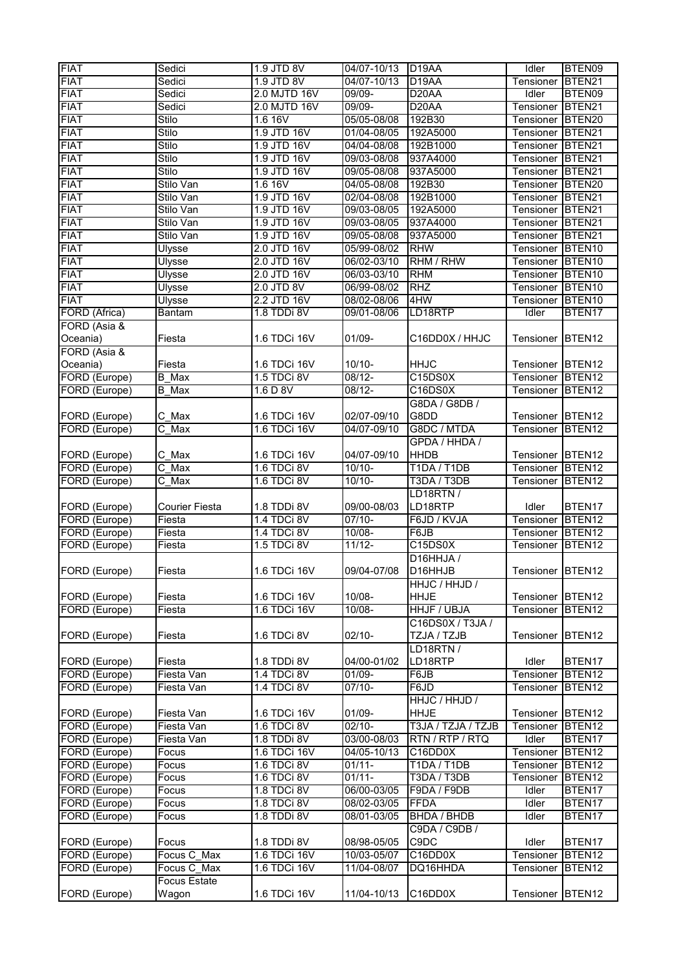| <b>FIAT</b>                    | Sedici              | 1.9 JTD 8V   | 04/07-10/13 | D <sub>19</sub> AA   | Idler            | BTEN09             |
|--------------------------------|---------------------|--------------|-------------|----------------------|------------------|--------------------|
| <b>FIAT</b>                    | Sedici              | 1.9 JTD 8V   | 04/07-10/13 | D <sub>19</sub> AA   | Tensioner        | BTEN21             |
| <b>FIAT</b>                    | Sedici              | 2.0 MJTD 16V | 09/09-      | D <sub>20</sub> AA   | Idler            | BTEN09             |
| <b>FIAT</b>                    | Sedici              | 2.0 MJTD 16V | $09/09 -$   | D <sub>20</sub> AA   | Tensioner        | BTEN21             |
| <b>FIAT</b>                    | Stilo               | 1.6 16V      | 05/05-08/08 | 192B30               | Tensioner        | BTEN20             |
| <b>FIAT</b>                    | <b>Stilo</b>        | 1.9 JTD 16V  | 01/04-08/05 | 192A5000             | Tensioner        | BTEN21             |
| <b>FIAT</b>                    | Stilo               | 1.9 JTD 16V  | 04/04-08/08 | 192B1000             | Tensioner        | BTEN21             |
| <b>FIAT</b>                    | Stilo               | 1.9 JTD 16V  | 09/03-08/08 | 937A4000             | Tensioner        | BTEN21             |
| <b>FIAT</b>                    | Stilo               | 1.9 JTD 16V  | 09/05-08/08 | 937A5000             | Tensioner        | BTEN <sub>21</sub> |
| <b>FIAT</b>                    | Stilo Van           | 1.6 16V      | 04/05-08/08 | 192B30               | Tensioner        | BTEN20             |
| <b>FIAT</b>                    | Stilo Van           | 1.9 JTD 16V  | 02/04-08/08 | 192B1000             | Tensioner        | BTEN <sub>21</sub> |
| <b>FIAT</b>                    | Stilo Van           | 1.9 JTD 16V  | 09/03-08/05 | 192A5000             | Tensioner        | BTEN21             |
| <b>FIAT</b>                    | Stilo Van           | 1.9 JTD 16V  | 09/03-08/05 | 937A4000             | Tensioner        | BTEN21             |
| <b>FIAT</b>                    | Stilo Van           | 1.9 JTD 16V  | 09/05-08/08 | 937A5000             | Tensioner        | BTEN21             |
| <b>FIAT</b>                    | <b>Ulysse</b>       | 2.0 JTD 16V  | 05/99-08/02 | <b>RHW</b>           | Tensioner        | BTEN <sub>10</sub> |
| <b>FIAT</b>                    | Ulysse              | 2.0 JTD 16V  | 06/02-03/10 | RHM / RHW            | Tensioner        | BTEN <sub>10</sub> |
| <b>FIAT</b>                    | Ulysse              | 2.0 JTD 16V  | 06/03-03/10 | <b>RHM</b>           | Tensioner        | BTEN <sub>10</sub> |
| <b>FIAT</b>                    | Ulysse              | 2.0 JTD 8V   | 06/99-08/02 | <b>RHZ</b>           | Tensioner        | BTEN <sub>10</sub> |
| <b>FIAT</b>                    | <b>Ulysse</b>       | 2.2 JTD 16V  | 08/02-08/06 | 4HW                  | Tensioner        | BTEN <sub>10</sub> |
| FORD (Africa)                  | <b>Bantam</b>       | 1.8 TDDi 8V  | 09/01-08/06 | LD18RTP              | Idler            | BTEN17             |
| FORD (Asia &                   |                     |              |             |                      |                  |                    |
| Oceania)                       | Fiesta              | 1.6 TDCi 16V | 01/09-      | C16DD0X / HHJC       | Tensioner        | BTEN <sub>12</sub> |
| FORD (Asia &                   |                     |              |             |                      |                  |                    |
|                                | Fiesta              | 1.6 TDCi 16V | $10/10 -$   | <b>HHJC</b>          |                  | BTEN <sub>12</sub> |
| Oceania)                       | $\overline{B}$ Max  | 1.5 TDCi 8V  | $08/12 -$   |                      | Tensioner        |                    |
| FORD (Europe)<br>FORD (Europe) |                     | 1.6 D 8V     | $08/12 -$   | C15DS0X              | Tensioner        | BTEN <sub>12</sub> |
|                                | <b>B</b> Max        |              |             | C16DS0X              | Tensioner        | BTEN12             |
|                                |                     |              |             | G8DA / G8DB /        |                  |                    |
| FORD (Europe)                  | C Max               | 1.6 TDCi 16V | 02/07-09/10 | G8DD                 | Tensioner        | BTEN12             |
| FORD (Europe)                  | $C$ Max             | 1.6 TDCi 16V | 04/07-09/10 | G8DC / MTDA          | Tensioner        | BTEN12             |
|                                |                     |              |             | GPDA / HHDA /        |                  |                    |
| FORD (Europe)                  | C_Max               | 1.6 TDCi 16V | 04/07-09/10 | <b>HHDB</b>          | Tensioner        | BTEN <sub>12</sub> |
| FORD (Europe)                  | C Max               | 1.6 TDCi 8V  | $10/10 -$   | T1DA / T1DB          | Tensioner        | BTEN <sub>12</sub> |
| FORD (Europe)                  | $C$ Max             | 1.6 TDCi 8V  | $10/10 -$   | T3DA / T3DB          | Tensioner        | BTEN <sub>12</sub> |
|                                |                     |              |             | LD18RTN/             |                  |                    |
| FORD (Europe)                  | Courier Fiesta      | 1.8 TDDi 8V  | 09/00-08/03 | LD18RTP              | Idler            | BTEN <sub>17</sub> |
| FORD (Europe)                  | Fiesta              | 1.4 TDCi 8V  | $07/10 -$   | F6JD / KVJA          | Tensioner        | BTEN <sub>12</sub> |
| FORD (Europe)                  | Fiesta              | 1.4 TDCi 8V  | $10/08 -$   | F6JB                 | Tensioner        | BTEN <sub>12</sub> |
| FORD (Europe)                  | Fiesta              | 1.5 TDCi 8V  | $11/12 -$   | C15DS0X              | Tensioner        | BTEN12             |
|                                |                     |              |             | D16HHJA /            |                  |                    |
| FORD (Europe)                  | Fiesta              | 1.6 TDCi 16V | 09/04-07/08 | D <sub>16</sub> HHJB | Tensioner BTEN12 |                    |
|                                |                     |              |             | HHJC / HHJD /        |                  |                    |
| FORD (Europe)                  | Fiesta              | 1.6 TDCi 16V | 10/08-      | <b>HHJE</b>          | Tensioner        | BTEN <sub>12</sub> |
| FORD (Europe)                  | Fiesta              | 1.6 TDCi 16V | 10/08-      | <b>HHJF / UBJA</b>   | Tensioner        | BTEN12             |
|                                |                     |              |             | C16DS0X / T3JA /     |                  |                    |
| FORD (Europe)                  | Fiesta              | 1.6 TDCi 8V  | $02/10 -$   | TZJA / TZJB          | Tensioner        | BTEN12             |
|                                |                     |              |             | LD18RTN/             |                  |                    |
| FORD (Europe)                  | Fiesta              | 1.8 TDDi 8V  | 04/00-01/02 | LD18RTP              | Idler            | BTEN17             |
| FORD (Europe)                  | Fiesta Van          | 1.4 TDCi 8V  | $01/09 -$   | F6JB                 | Tensioner        | BTEN12             |
| FORD (Europe)                  | Fiesta Van          | 1.4 TDCi 8V  | $07/10-$    | F6JD                 | Tensioner        | BTEN12             |
|                                |                     |              |             | HHJC / HHJD /        |                  |                    |
| FORD (Europe)                  | Fiesta Van          | 1.6 TDCi 16V | 01/09-      | <b>HHJE</b>          | Tensioner        | BTEN <sub>12</sub> |
| FORD (Europe)                  | Fiesta Van          | 1.6 TDCi 8V  | $02/10-$    | T3JA / TZJA / TZJB   | Tensioner        | BTEN12             |
| FORD (Europe)                  | Fiesta Van          | 1.8 TDDi 8V  | 03/00-08/03 | RTN / RTP / RTQ      | Idler            | BTEN17             |
| FORD (Europe)                  | Focus               | 1.6 TDCi 16V | 04/05-10/13 | C16DD0X              | Tensioner        | BTEN <sub>12</sub> |
| FORD (Europe)                  | Focus               | 1.6 TDCi 8V  | $01/11 -$   | T1DA / T1DB          | Tensioner        | BTEN <sub>12</sub> |
| FORD (Europe)                  | Focus               | 1.6 TDCi 8V  | $01/11 -$   | T3DA / T3DB          | Tensioner        | BTEN12             |
| FORD (Europe)                  | Focus               | 1.8 TDCi 8V  | 06/00-03/05 | F9DA / F9DB          | Idler            | BTEN17             |
| FORD (Europe)                  | Focus               | 1.8 TDCi 8V  | 08/02-03/05 | <b>FFDA</b>          | Idler            | BTEN17             |
| FORD (Europe)                  | Focus               | 1.8 TDDi 8V  | 08/01-03/05 | <b>BHDA / BHDB</b>   | Idler            | BTEN17             |
|                                |                     |              |             | C9DA / C9DB /        |                  |                    |
| FORD (Europe)                  | Focus               | 1.8 TDDi 8V  | 08/98-05/05 | C9DC                 | Idler            | BTEN17             |
| FORD (Europe)                  | Focus C Max         | 1.6 TDCi 16V | 10/03-05/07 | C16DD0X              | Tensioner        | BTEN12             |
| FORD (Europe)                  | Focus C Max         | 1.6 TDCi 16V | 11/04-08/07 | DQ16HHDA             | Tensioner        | BTEN12             |
|                                | <b>Focus Estate</b> |              |             |                      |                  |                    |
| FORD (Europe)                  | Wagon               | 1.6 TDCi 16V | 11/04-10/13 | C16DD0X              | Tensioner        | BTEN <sub>12</sub> |
|                                |                     |              |             |                      |                  |                    |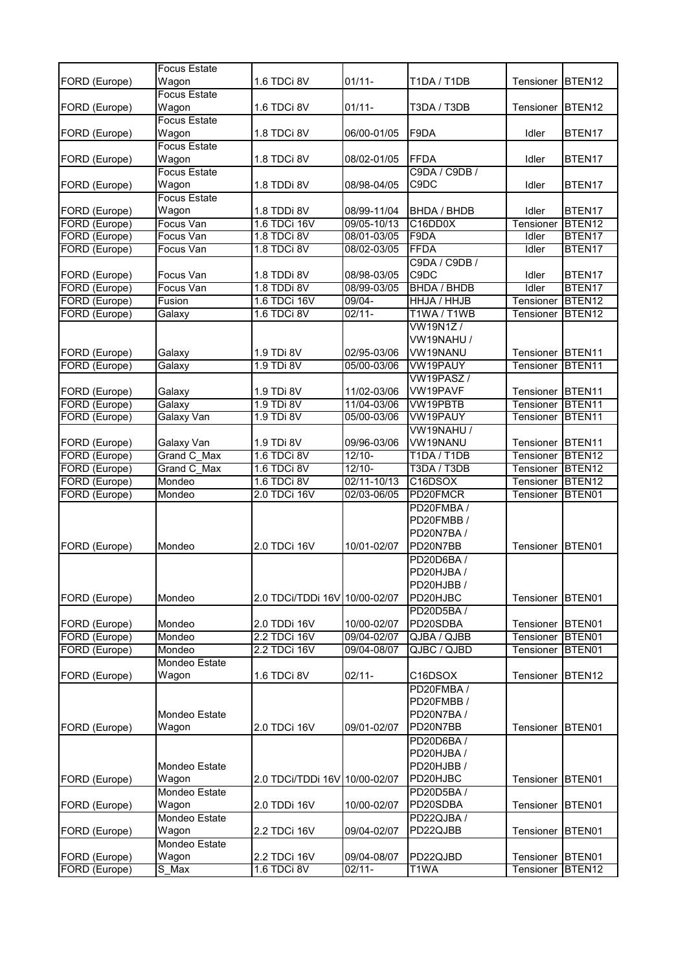|               | <b>Focus Estate</b>  |                               |             |                    |              |                    |
|---------------|----------------------|-------------------------------|-------------|--------------------|--------------|--------------------|
| FORD (Europe) | Wagon                | 1.6 TDCi 8V                   | $01/11 -$   | T1DA / T1DB        | Tensioner    | BTEN12             |
|               | <b>Focus Estate</b>  |                               |             |                    |              |                    |
| FORD (Europe) | Wagon                | 1.6 TDCi 8V                   | $01/11 -$   | T3DA / T3DB        | Tensioner    | BTEN <sub>12</sub> |
|               | <b>Focus Estate</b>  |                               |             |                    |              |                    |
| FORD (Europe) | Wagon                | 1.8 TDCi 8V                   | 06/00-01/05 | F9DA               | Idler        | BTEN17             |
|               | <b>Focus Estate</b>  |                               |             |                    |              |                    |
| FORD (Europe) | Wagon                | 1.8 TDCi 8V                   | 08/02-01/05 | <b>FFDA</b>        | Idler        | BTEN17             |
|               | <b>Focus Estate</b>  |                               |             | C9DA / C9DB /      |              |                    |
| FORD (Europe) | Wagon                | 1.8 TDDi 8V                   | 08/98-04/05 | C9DC               | Idler        | BTEN17             |
|               | <b>Focus Estate</b>  |                               |             |                    |              |                    |
| FORD (Europe) | Wagon                | 1.8 TDDi 8V                   | 08/99-11/04 | <b>BHDA / BHDB</b> | Idler        | BTEN17             |
| FORD (Europe) | Focus Van            | 1.6 TDCi 16V                  | 09/05-10/13 | C16DD0X            | Tensioner    | BTEN12             |
| FORD (Europe) | Focus Van            | 1.8 TDCi 8V                   | 08/01-03/05 | F9DA               | Idler        | BTEN17             |
| FORD (Europe) | Focus Van            | 1.8 TDCi 8V                   | 08/02-03/05 | <b>FFDA</b>        | <b>Idler</b> | BTEN17             |
|               |                      |                               |             | C9DA / C9DB /      |              |                    |
| FORD (Europe) | Focus Van            | 1.8 TDDi 8V                   | 08/98-03/05 | C9DC               | Idler        | BTEN17             |
| FORD (Europe) | Focus Van            | 1.8 TDDi 8V                   | 08/99-03/05 | <b>BHDA / BHDB</b> | Idler        | BTEN17             |
| FORD (Europe) | Fusion               | 1.6 TDCi 16V                  | $09/04 -$   | HHJA / HHJB        | Tensioner    | BTEN <sub>12</sub> |
| FORD (Europe) | Galaxy               | 1.6 TDCi 8V                   | $02/11 -$   | T1WA / T1WB        | Tensioner    | BTEN <sub>12</sub> |
|               |                      |                               |             | VW19N1Z/           |              |                    |
|               |                      |                               |             | VW19NAHU /         |              |                    |
| FORD (Europe) | Galaxy               | 1.9 TDi 8V                    | 02/95-03/06 | VW19NANU           | Tensioner    | BTEN <sub>11</sub> |
| FORD (Europe) | Galaxy               | 1.9 TDi 8V                    | 05/00-03/06 | <b>VW19PAUY</b>    | Tensioner    | BTEN11             |
|               |                      |                               |             | <b>VW19PASZ/</b>   |              |                    |
| FORD (Europe) | Galaxy               | 1.9 TDi 8V                    | 11/02-03/06 | VW19PAVF           | Tensioner    | BTEN <sub>11</sub> |
| FORD (Europe) | Galaxy               | 1.9 TDi 8V                    | 11/04-03/06 | <b>VW19PBTB</b>    | Tensioner    | BTEN11             |
| FORD (Europe) | Galaxy Van           | 1.9 TDi 8V                    | 05/00-03/06 | <b>VW19PAUY</b>    | Tensioner    | BTEN11             |
|               |                      |                               |             | VW19NAHU /         |              |                    |
| FORD (Europe) | Galaxy Van           | 1.9 TDi 8V                    | 09/96-03/06 | VW19NANU           | Tensioner    | BTEN <sub>11</sub> |
| FORD (Europe) | Grand C Max          | 1.6 TDCi 8V                   | $12/10-$    | <b>T1DA / T1DB</b> | Tensioner    | BTEN <sub>12</sub> |
| FORD (Europe) | Grand C Max          | 1.6 TDCi 8V                   | $12/10 -$   | T3DA / T3DB        | Tensioner    | BTEN <sub>12</sub> |
| FORD (Europe) | Mondeo               | 1.6 TDCi 8V                   | 02/11-10/13 | C16DSOX            | Tensioner    | BTEN <sub>12</sub> |
| FORD (Europe) | Mondeo               | 2.0 TDCi 16V                  | 02/03-06/05 | PD20FMCR           | Tensioner    | BTEN01             |
|               |                      |                               |             | PD20FMBA/          |              |                    |
|               |                      |                               |             | PD20FMBB/          |              |                    |
|               |                      |                               |             | PD20N7BA/          |              |                    |
| FORD (Europe) | Mondeo               | 2.0 TDCi 16V                  | 10/01-02/07 | PD20N7BB           | Tensioner    | BTEN01             |
|               |                      |                               |             | PD20D6BA/          |              |                    |
|               |                      |                               |             | PD20HJBA /         |              |                    |
|               |                      |                               |             | PD20HJBB /         |              |                    |
| FORD (Europe) | Mondeo               | 2.0 TDCi/TDDi 16V 10/00-02/07 |             | PD20HJBC           | Tensioner    | BTEN01             |
|               |                      |                               |             | PD20D5BA/          |              |                    |
| FORD (Europe) | Mondeo               | 2.0 TDDi 16V                  | 10/00-02/07 | PD20SDBA           | Tensioner    | BTEN01             |
| FORD (Europe) | Mondeo               | 2.2 TDCi 16V                  | 09/04-02/07 | QJBA / QJBB        | Tensioner    | BTEN01             |
| FORD (Europe) | Mondeo               | 2.2 TDCi 16V                  | 09/04-08/07 | QJBC / QJBD        | Tensioner    | BTEN01             |
|               | Mondeo Estate        |                               |             |                    |              |                    |
| FORD (Europe) | Wagon                | 1.6 TDCi 8V                   | $02/11 -$   | C16DSOX            | Tensioner    | BTEN12             |
|               |                      |                               |             | PD20FMBA/          |              |                    |
|               |                      |                               |             | PD20FMBB/          |              |                    |
|               | <b>Mondeo Estate</b> |                               |             | PD20N7BA/          |              |                    |
| FORD (Europe) | Wagon                | 2.0 TDCi 16V                  | 09/01-02/07 | PD20N7BB           | Tensioner    | BTEN01             |
|               |                      |                               |             | PD20D6BA/          |              |                    |
|               |                      |                               |             | PD20HJBA /         |              |                    |
|               | Mondeo Estate        |                               |             | PD20HJBB /         |              |                    |
| FORD (Europe) | Wagon                | 2.0 TDCi/TDDi 16V 10/00-02/07 |             | PD20HJBC           | Tensioner    | BTEN01             |
|               | Mondeo Estate        |                               |             | PD20D5BA/          |              |                    |
| FORD (Europe) | Wagon                | 2.0 TDDi 16V                  | 10/00-02/07 | PD20SDBA           | Tensioner    | BTEN01             |
|               | Mondeo Estate        |                               |             | PD22QJBA /         |              |                    |
| FORD (Europe) | Wagon                | 2.2 TDCi 16V                  | 09/04-02/07 | PD22QJBB           | Tensioner    | BTEN01             |
|               | Mondeo Estate        |                               |             |                    |              |                    |
| FORD (Europe) | Wagon                | 2.2 TDCi 16V                  | 09/04-08/07 | PD22QJBD           | Tensioner    | BTEN01             |
| FORD (Europe) | S_Max                | 1.6 TDCi 8V                   | $02/11 -$   | T1WA               | Tensioner    | BTEN <sub>12</sub> |
|               |                      |                               |             |                    |              |                    |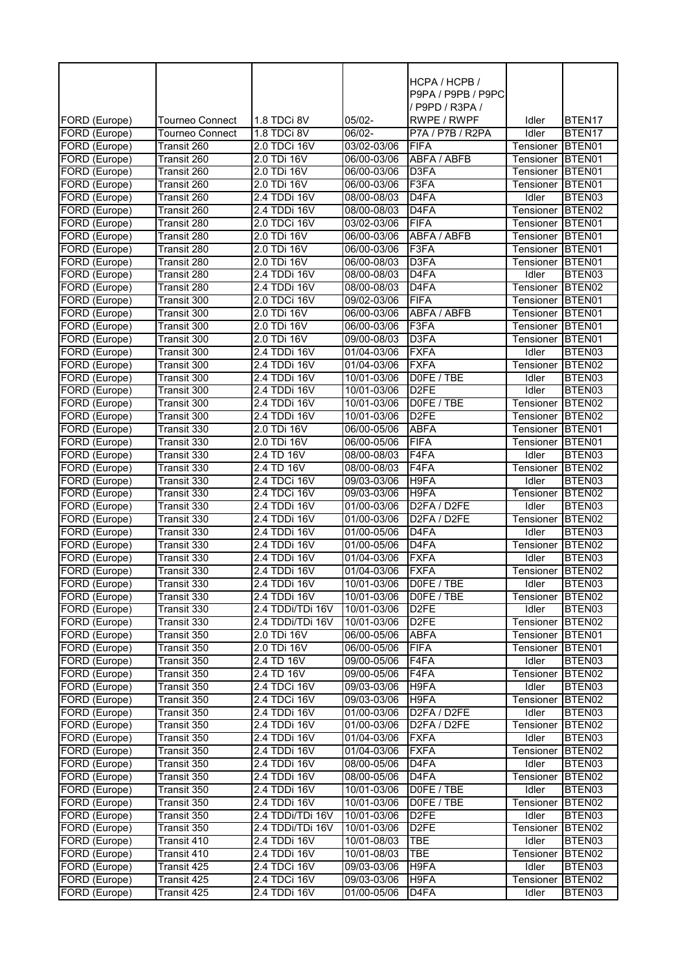|                                |                            |                             |                            | HCPA / HCPB /                         |                        |                              |
|--------------------------------|----------------------------|-----------------------------|----------------------------|---------------------------------------|------------------------|------------------------------|
|                                |                            |                             |                            | P9PA / P9PB / P9PC                    |                        |                              |
|                                |                            |                             |                            | / P9PD / R3PA /                       |                        |                              |
| FORD (Europe)                  | <b>Tourneo Connect</b>     | 1.8 TDCi 8V                 | $05/02 -$                  | RWPE / RWPF                           | Idler                  | BTEN17                       |
| FORD (Europe)                  | Tourneo Connect            | 1.8 TDCi 8V                 | 06/02-                     | P7A / P7B / R2PA                      | Idler                  | BTEN17                       |
| FORD (Europe)                  | Transit 260                | 2.0 TDCi 16V                | 03/02-03/06                | <b>FIFA</b>                           | Tensioner              | BTEN01                       |
| FORD (Europe)                  | Transit 260                | 2.0 TDi 16V                 | 06/00-03/06                | <b>ABFA / ABFB</b>                    | Tensioner              | BTEN01                       |
| FORD (Europe)                  | Transit 260                | 2.0 TDi 16V                 | 06/00-03/06                | D3FA                                  | Tensioner              | BTEN01                       |
| FORD (Europe)                  | Transit 260                | 2.0 TDi 16V                 | 06/00-03/06                | F <sub>3</sub> FA                     | Tensioner              | BTEN01                       |
| FORD (Europe)                  | Transit 260                | 2.4 TDDi 16V                | 08/00-08/03                | D <sub>4</sub> FA<br>D <sub>4FA</sub> | Idler                  | BTEN03                       |
| FORD (Europe)                  | Transit 260                | 2.4 TDDi 16V                | 08/00-08/03                | <b>FIFA</b>                           | Tensioner              | BTEN <sub>02</sub>           |
| FORD (Europe)                  | Transit 280<br>Transit 280 | 2.0 TDCi 16V<br>2.0 TDi 16V | 03/02-03/06<br>06/00-03/06 | ABFA / ABFB                           | Tensioner              | BTEN01<br>BTEN <sub>01</sub> |
| FORD (Europe)<br>FORD (Europe) | Transit 280                | 2.0 TDi 16V                 | 06/00-03/06                | F <sub>3F</sub> A                     | Tensioner<br>Tensioner | BTEN01                       |
| FORD (Europe)                  | Transit 280                | 2.0 TDi 16V                 | 06/00-08/03                | D3FA                                  | Tensioner              | BTEN01                       |
| FORD (Europe)                  | Transit 280                | 2.4 TDDi 16V                | 08/00-08/03                | D <sub>4</sub> FA                     | Idler                  | BTEN03                       |
| FORD (Europe)                  | Transit 280                | 2.4 TDDi 16V                | 08/00-08/03                | D <sub>4</sub> FA                     | Tensioner              | BTEN02                       |
| FORD (Europe)                  | Transit 300                | 2.0 TDCi 16V                | 09/02-03/06                | <b>FIFA</b>                           | Tensioner              | BTEN01                       |
| FORD (Europe)                  | Transit 300                | 2.0 TDi 16V                 | 06/00-03/06                | ABFA / ABFB                           | Tensioner              | BTEN01                       |
| FORD (Europe)                  | Transit 300                | 2.0 TDi 16V                 | 06/00-03/06                | F3FA                                  | Tensioner              | BTEN01                       |
| FORD (Europe)                  | Transit 300                | 2.0 TDi 16V                 | 09/00-08/03                | D3FA                                  | Tensioner              | BTEN01                       |
| FORD (Europe)                  | Transit 300                | 2.4 TDDi 16V                | 01/04-03/06                | <b>FXFA</b>                           | Idler                  | BTEN03                       |
| FORD (Europe)                  | Transit 300                | 2.4 TDDi 16V                | 01/04-03/06                | <b>FXFA</b>                           | Tensioner              | BTEN <sub>02</sub>           |
| FORD (Europe)                  | Transit 300                | 2.4 TDDi 16V                | 10/01-03/06                | DOFE / TBE                            | Idler                  | BTEN03                       |
| FORD (Europe)                  | Transit 300                | 2.4 TDDi 16V                | 10/01-03/06                | D <sub>2</sub> FE                     | Idler                  | BTEN03                       |
| FORD (Europe)                  | Transit 300                | 2.4 TDDi 16V                | 10/01-03/06                | DOFE / TBE                            | Tensioner              | BTEN <sub>02</sub>           |
| FORD (Europe)                  | Transit 300                | 2.4 TDDi 16V                | 10/01-03/06                | D <sub>2</sub> FE                     | Tensioner              | BTEN <sub>02</sub>           |
| FORD (Europe)                  | Transit 330                | 2.0 TDi 16V                 | 06/00-05/06                | <b>ABFA</b>                           | Tensioner              | BTEN01                       |
| FORD (Europe)                  | Transit 330                | 2.0 TDi 16V                 | 06/00-05/06                | <b>FIFA</b>                           | Tensioner              | BTEN01                       |
| FORD (Europe)                  | Transit 330                | 2.4 TD 16V                  | 08/00-08/03                | F4FA                                  | Idler                  | BTEN03                       |
| FORD (Europe)                  | Transit 330                | 2.4 TD 16V                  | 08/00-08/03                | F4FA                                  | Tensioner              | BTEN02                       |
| FORD (Europe)                  | Transit 330                | 2.4 TDCi 16V                | 09/03-03/06                | H9FA                                  | Idler                  | BTEN03                       |
| FORD (Europe)                  | Transit 330                | 2.4 TDCi 16V                | 09/03-03/06                | H9FA                                  | Tensioner              | BTEN <sub>02</sub>           |
| FORD (Europe)                  | Transit 330                | 2.4 TDDi 16V                | 01/00-03/06                | D2FA / D2FE                           | Idler                  | BTEN03                       |
| FORD (Europe)                  | <b>Transit 330</b>         | 2.4 TDDi 16V                | 01/00-03/06                | D2FA / D2FE                           | Tensioner              | BTEN <sub>02</sub>           |
| FORD (Europe)                  | Transit 330                | 2.4 TDDi 16V                | 01/00-05/06                | D <sub>4</sub> FA                     | Idler                  | BTEN03                       |
| FORD (Europe)                  | <b>Transit 330</b>         | 2.4 TDDi 16V                | 01/00-05/06                | D <sub>4</sub> FA                     | Tensioner              | BTEN02                       |
| FORD (Europe)                  | Transit 330                | 2.4 TDDi 16V                | 01/04-03/06                | <b>FXFA</b>                           | Idler                  | BTEN03                       |
| FORD (Europe)                  | Transit 330                | 2.4 TDDi 16V                | 01/04-03/06                | <b>FXFA</b>                           | Tensioner              | BTEN02                       |
| FORD (Europe)                  | Transit 330                | 2.4 IDDI 16V                | 10/01-03/06                | DOFE / IBE                            | Idler                  | BIEN03                       |
| FORD (Europe)                  | Transit 330                | 2.4 TDDi 16V                | 10/01-03/06                | DOFE / TBE                            | Tensioner              | BTEN <sub>02</sub>           |
| FORD (Europe)                  | Transit 330                | 2.4 TDDi/TDi 16V            | 10/01-03/06                | D <sub>2</sub> FE                     | Idler                  | BTEN03                       |
| FORD (Europe)                  | Transit 330                | 2.4 TDDi/TDi 16V            | 10/01-03/06                | D <sub>2</sub> FE                     | Tensioner              | BTEN <sub>02</sub>           |
| FORD (Europe)                  | Transit 350                | 2.0 TDi 16V                 | 06/00-05/06                | <b>ABFA</b>                           | Tensioner              | BTEN01                       |
| FORD (Europe)                  | Transit 350                | 2.0 TDi 16V                 | 06/00-05/06                | <b>FIFA</b>                           | Tensioner              | BTEN01                       |
| FORD (Europe)                  | Transit 350                | 2.4 TD 16V                  | 09/00-05/06                | F4FA                                  | Idler                  | BTEN03                       |
| FORD (Europe)                  | Transit 350                | 2.4 TD 16V                  | 09/00-05/06                | F4FA                                  | Tensioner              | BTEN <sub>02</sub>           |
| FORD (Europe)                  | Transit 350                | 2.4 TDCi 16V                | 09/03-03/06                | H9FA                                  | Idler                  | BTEN03                       |
| FORD (Europe)                  | Transit 350                | 2.4 TDCi 16V                | 09/03-03/06                | H9FA                                  | Tensioner              | BTEN <sub>02</sub>           |
| FORD (Europe)                  | Transit 350                | 2.4 TDDi 16V                | 01/00-03/06                | D2FA / D2FE                           | Idler                  | BTEN03                       |
| FORD (Europe)                  | Transit 350                | 2.4 TDDi 16V                | 01/00-03/06                | D2FA / D2FE                           | Tensioner              | BTEN <sub>02</sub>           |
| FORD (Europe)                  | Transit 350                | 2.4 TDDi 16V                | 01/04-03/06                | <b>FXFA</b>                           | Idler                  | BTEN03                       |
| FORD (Europe)                  | Transit 350                | 2.4 TDDi 16V                | 01/04-03/06                | <b>FXFA</b>                           | Tensioner              | BTEN <sub>02</sub>           |
| FORD (Europe)                  | Transit 350                | 2.4 TDDi 16V                | 08/00-05/06                | D <sub>4</sub> FA                     | Idler                  | BTEN03                       |
| FORD (Europe)                  | Transit 350                | 2.4 TDDi 16V                | 08/00-05/06                | D4FA                                  | Tensioner              | BTEN <sub>02</sub>           |
| FORD (Europe)                  | Transit 350                | 2.4 TDDi 16V                | 10/01-03/06                | DOFE / TBE                            | Idler                  | BTEN03                       |
| FORD (Europe)                  | Transit 350                | 2.4 TDDi 16V                | 10/01-03/06                | DOFE / TBE                            | Tensioner              | BTEN <sub>02</sub>           |
| FORD (Europe)                  | Transit 350                | 2.4 TDDi/TDi 16V            | 10/01-03/06                | D <sub>2</sub> FE                     | Idler                  | BTEN03                       |
| FORD (Europe)                  | Transit 350                | 2.4 TDDi/TDi 16V            | 10/01-03/06                | D <sub>2</sub> FE                     | Tensioner              | BTEN <sub>02</sub>           |
| FORD (Europe)                  | Transit 410                | 2.4 TDDi 16V                | 10/01-08/03                | TBE                                   | Idler                  | BTEN03                       |
| FORD (Europe)                  | Transit 410                | 2.4 TDDi 16V                | 10/01-08/03                | TBE                                   | Tensioner              | BTEN <sub>02</sub>           |
| FORD (Europe)                  | Transit 425                | 2.4 TDCi 16V                | 09/03-03/06                | H9FA                                  | Idler                  | BTEN03                       |
| FORD (Europe)                  | Transit 425                | 2.4 TDCi 16V                | 09/03-03/06                | H9FA                                  | Tensioner              | BTEN <sub>02</sub>           |
| FORD (Europe)                  | Transit 425                | 2.4 TDDi 16V                | 01/00-05/06                | D <sub>4</sub> FA                     | Idler                  | BTEN03                       |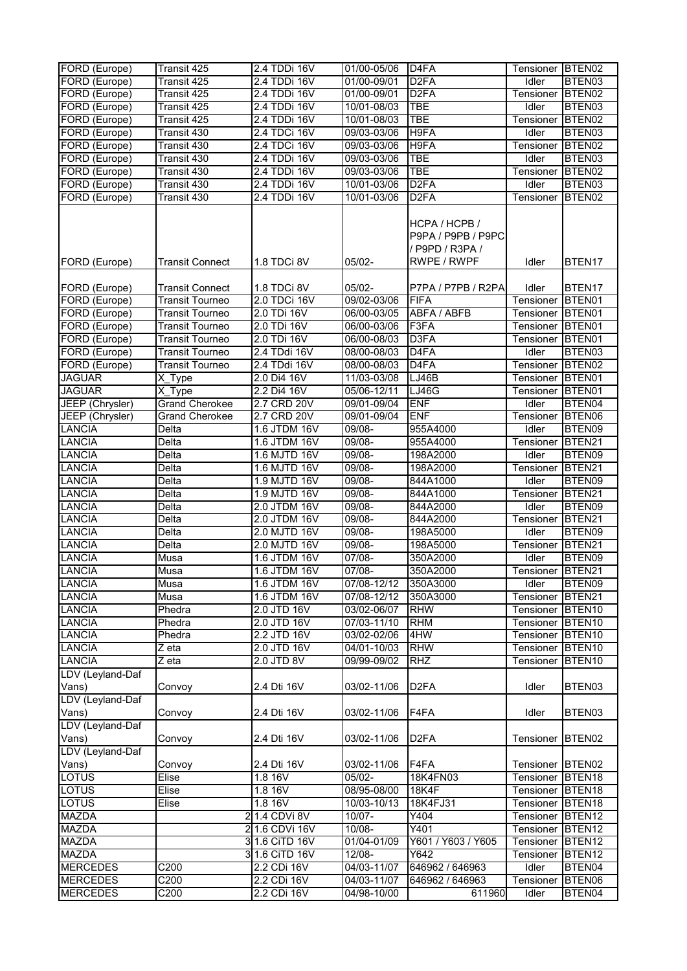| FORD (Europe)                  | Transit 425                 | 2.4 TDDi 16V                 | 01/00-05/06                | D <sub>4FA</sub>                                                      | Tensioner BTEN02       |                              |
|--------------------------------|-----------------------------|------------------------------|----------------------------|-----------------------------------------------------------------------|------------------------|------------------------------|
| FORD (Europe)                  | Transit 425                 | 2.4 TDDi 16V                 | 01/00-09/01                | D <sub>2FA</sub>                                                      | Idler                  | BTEN03                       |
| FORD (Europe)                  | Transit 425                 | 2.4 TDDi 16V                 | 01/00-09/01                | D <sub>2FA</sub>                                                      | Tensioner              | BTEN <sub>02</sub>           |
| FORD (Europe)                  | Transit 425                 | 2.4 TDDi 16V                 | 10/01-08/03                | <b>TBE</b>                                                            | Idler                  | BTEN03                       |
| FORD (Europe)                  | Transit 425                 | 2.4 TDDi 16V                 | 10/01-08/03                | <b>TBE</b>                                                            | Tensioner              | BTEN <sub>02</sub>           |
| FORD (Europe)                  | Transit 430                 | 2.4 TDCi 16V                 | 09/03-03/06                | H9FA                                                                  | Idler                  | BTEN03                       |
| FORD (Europe)                  | Transit 430                 | 2.4 TDCi 16V                 | 09/03-03/06                | H9FA                                                                  | Tensioner              | BTEN02                       |
| FORD (Europe)                  | Transit 430                 | 2.4 TDDi 16V                 | 09/03-03/06                | <b>TBE</b>                                                            | Idler                  | BTEN03                       |
| FORD (Europe)                  | Transit 430                 | 2.4 TDDi 16V                 | 09/03-03/06                | <b>TBE</b>                                                            | Tensioner              | BTEN02                       |
| FORD (Europe)                  | Transit 430                 | 2.4 TDDi 16V                 | 10/01-03/06                | D <sub>2</sub> FA                                                     | Idler                  | BTEN03                       |
| FORD (Europe)                  | Transit 430                 | 2.4 TDDi 16V                 | 10/01-03/06                | D <sub>2</sub> FA                                                     | Tensioner              | BTEN <sub>02</sub>           |
| FORD (Europe)                  | <b>Transit Connect</b>      | 1.8 TDCi 8V                  | 05/02-                     | HCPA / HCPB /<br>P9PA / P9PB / P9PC<br>/ P9PD / R3PA /<br>RWPE / RWPF | Idler                  | BTEN17                       |
|                                |                             |                              |                            |                                                                       |                        |                              |
| FORD (Europe)                  | <b>Transit Connect</b>      | 1.8 TDCi 8V                  | $05/02 -$                  | P7PA / P7PB / R2PA                                                    | Idler                  | BTEN17                       |
| FORD (Europe)                  | <b>Transit Tourneo</b>      | 2.0 TDCi 16V                 | 09/02-03/06                | <b>FIFA</b>                                                           | Tensioner              | BTEN01                       |
| FORD (Europe)                  | <b>Transit Tourneo</b>      | 2.0 TDi 16V                  | 06/00-03/05                | ABFA / ABFB                                                           | Tensioner              | BTEN01                       |
| FORD (Europe)                  | <b>Transit Tourneo</b>      | 2.0 TDi 16V                  | 06/00-03/06                | F3FA                                                                  | Tensioner              | BTEN01                       |
| FORD (Europe)                  | <b>Transit Tourneo</b>      | 2.0 TDi 16V                  | 06/00-08/03                | D3FA                                                                  | Tensioner              | BTEN01                       |
| FORD (Europe)                  | <b>Transit Tourneo</b>      | 2.4 TDdi 16V                 | 08/00-08/03                | D <sub>4FA</sub>                                                      | Idler                  | BTEN03                       |
| FORD (Europe)                  | <b>Transit Tourneo</b>      | 2.4 TDdi 16V                 | 08/00-08/03                | D <sub>4FA</sub>                                                      | Tensioner              | BTEN <sub>02</sub>           |
| <b>JAGUAR</b>                  | $X$ <sub>_</sub> Type       | 2.0 Di4 16V                  | 11/03-03/08                | LJ46B                                                                 | Tensioner              | BTEN01                       |
| <b>JAGUAR</b>                  | X Type                      | 2.2 Di4 16V                  | 05/06-12/11                | <b>LJ46G</b>                                                          | Tensioner              | BTEN01                       |
| JEEP (Chrysler)                | <b>Grand Cherokee</b>       | 2.7 CRD 20V                  | 09/01-09/04                | <b>ENF</b>                                                            | Idler                  | BTEN04                       |
| JEEP (Chrysler)                | <b>Grand Cherokee</b>       | 2.7 CRD 20V                  | 09/01-09/04                | <b>ENF</b>                                                            | Tensioner              | BTEN06                       |
| <b>LANCIA</b>                  | Delta                       | 1.6 JTDM 16V                 | 09/08-                     | 955A4000                                                              | Idler                  | BTEN09                       |
| <b>LANCIA</b>                  | Delta                       | 1.6 JTDM 16V                 | 09/08-                     | 955A4000                                                              | Tensioner              | BTEN21                       |
| <b>LANCIA</b>                  | Delta                       | 1.6 MJTD 16V                 | $09/08 -$                  | 198A2000                                                              | Idler                  | BTEN09                       |
| <b>LANCIA</b>                  | Delta                       | 1.6 MJTD 16V                 | 09/08-                     | 198A2000                                                              | Tensioner              | BTEN21                       |
| <b>LANCIA</b>                  | Delta                       | 1.9 MJTD 16V                 | 09/08-                     | 844A1000                                                              | Idler                  | BTEN09                       |
| LANCIA                         | Delta                       | 1.9 MJTD 16V                 | $09/08 -$                  | 844A1000                                                              | Tensioner              | BTEN <sub>21</sub>           |
| <b>LANCIA</b>                  | Delta                       | 2.0 JTDM 16V                 | $09/08 -$                  | 844A2000                                                              | <b>Idler</b>           | BTEN09                       |
| <b>LANCIA</b>                  | Delta                       | 2.0 JTDM 16V                 | $09/08 -$                  | 844A2000                                                              | Tensioner              | BTEN21                       |
| <b>LANCIA</b>                  | Delta                       | 2.0 MJTD 16V                 | 09/08-                     | 198A5000                                                              | Idler                  | BTEN09<br>BTEN21             |
| <b>LANCIA</b><br><b>LANCIA</b> | Delta                       | 2.0 MJTD 16V<br>1.6 JTDM 16V | 09/08-<br>07/08-           | 198A5000<br>350A2000                                                  | Tensioner<br>Idler     | BTEN09                       |
| <b>LANCIA</b>                  | Musa<br>Musa                | 1.6 JTDM 16V                 | 07/08-                     | 350A2000                                                              | Tensioner BTEN21       |                              |
|                                |                             | 1.6 JTDM 16V                 |                            |                                                                       |                        |                              |
| <b>LANCIA</b><br><b>LANCIA</b> | Musa<br>Musa                | 1.6 JTDM 16V                 | 07/08-12/12<br>07/08-12/12 | 350A3000<br>350A3000                                                  | Idler                  | BTEN09<br>BTEN21             |
| <b>LANCIA</b>                  | Phedra                      | 2.0 JTD 16V                  | 03/02-06/07                | <b>RHW</b>                                                            | Tensioner<br>Tensioner | BTEN10                       |
|                                |                             |                              |                            |                                                                       |                        |                              |
| <b>LANCIA</b>                  | Phedra                      | 2.0 JTD 16V<br>2.2 JTD 16V   | 07/03-11/10                | <b>RHM</b>                                                            | Tensioner              | BTEN10                       |
| <b>LANCIA</b><br><b>LANCIA</b> | Phedra                      | 2.0 JTD 16V                  | 03/02-02/06                | 4HW<br><b>RHW</b>                                                     | Tensioner              | BTEN10                       |
| <b>LANCIA</b>                  | Z eta<br>$\overline{z}$ eta | 2.0 JTD 8V                   | 04/01-10/03<br>09/99-09/02 | <b>RHZ</b>                                                            | Tensioner<br>Tensioner | BTEN <sub>10</sub><br>BTEN10 |
| LDV (Leyland-Daf               |                             |                              |                            |                                                                       |                        |                              |
| Vans)                          | Convoy                      | 2.4 Dti 16V                  | 03/02-11/06                | D <sub>2FA</sub>                                                      | Idler                  | BTEN03                       |
| LDV (Leyland-Daf<br>Vans)      | Convoy                      | 2.4 Dti 16V                  | 03/02-11/06                | F4FA                                                                  | Idler                  | BTEN03                       |
| LDV (Leyland-Daf               |                             |                              |                            |                                                                       |                        |                              |
| Vans)                          | Convoy                      | 2.4 Dti 16V                  | 03/02-11/06                | D <sub>2FA</sub>                                                      | Tensioner              | BTEN <sub>02</sub>           |
| LDV (Leyland-Daf<br>Vans)      | Convoy                      | 2.4 Dti 16V                  | 03/02-11/06                | F4FA                                                                  | Tensioner BTEN02       |                              |
| <b>LOTUS</b>                   | Elise                       | 1.8 16V                      | 05/02-                     | 18K4FN03                                                              | Tensioner BTEN18       |                              |
| <b>LOTUS</b>                   | Elise                       | 1.8 16V                      | 08/95-08/00                | <b>18K4F</b>                                                          | Tensioner              | BTEN18                       |
| <b>LOTUS</b>                   | Elise                       | 1.8 16V                      | 10/03-10/13                | 18K4FJ31                                                              | Tensioner              | BTEN18                       |
| <b>MAZDA</b>                   |                             | 21.4 CDVi 8V                 | 10/07-                     | Y404                                                                  | Tensioner              | BTEN12                       |
| <b>MAZDA</b>                   |                             | 2 1.6 CDVi 16V               | 10/08-                     | Y401                                                                  | Tensioner              | BTEN12                       |
| <b>MAZDA</b>                   |                             | 3 1.6 CiTD 16V               | 01/04-01/09                | Y601 / Y603 / Y605                                                    | Tensioner              | BTEN <sub>12</sub>           |
| <b>MAZDA</b>                   |                             | 3 1.6 CiTD 16V               | 12/08-                     | Y642                                                                  | Tensioner              | BTEN12                       |
| <b>MERCEDES</b>                | C200                        | 2.2 CDi 16V                  | 04/03-11/07                | 646962 / 646963                                                       | Idler                  | BTEN04                       |
| <b>MERCEDES</b>                | C200                        | 2.2 CDi 16V                  | 04/03-11/07                | 646962 / 646963                                                       | Tensioner              | BTEN06                       |
| <b>MERCEDES</b>                | C <sub>200</sub>            | 2.2 CDi 16V                  | 04/98-10/00                | 611960                                                                | Idler                  | BTEN04                       |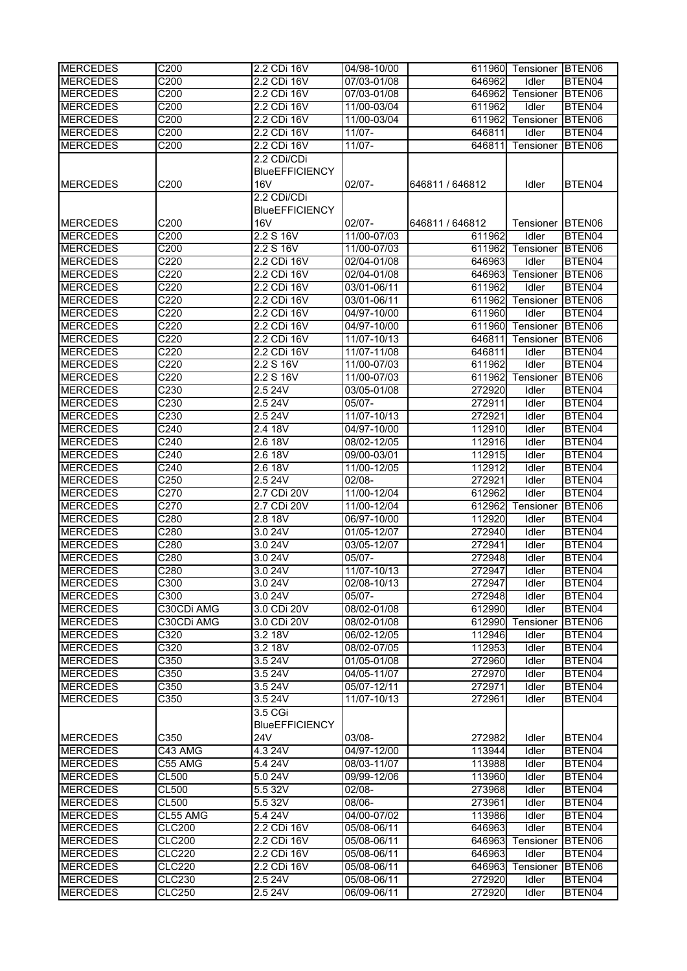| <b>MERCEDES</b>                    | C <sub>200</sub>  | 2.2 CDi 16V           | 04/98-10/00                |                  | 611960 Tensioner BTEN06 |                  |
|------------------------------------|-------------------|-----------------------|----------------------------|------------------|-------------------------|------------------|
| <b>MERCEDES</b>                    | C200              | 2.2 CDi 16V           | 07/03-01/08                | 646962           | Idler                   | BTEN04           |
| <b>MERCEDES</b>                    | C200              | 2.2 CDi 16V           | 07/03-01/08                | 646962           | Tensioner               | BTEN06           |
| <b>MERCEDES</b>                    | C200              | 2.2 CDi 16V           | 11/00-03/04                | 611962           | Idler                   | BTEN04           |
| <b>MERCEDES</b>                    | C200              | 2.2 CDi 16V           | 11/00-03/04                | 611962           | Tensioner               | BTEN06           |
| <b>MERCEDES</b>                    | C200              | 2.2 CDi 16V           | $11/07 -$                  | 646811           | Idler                   | BTEN04           |
| <b>MERCEDES</b>                    | C200              | 2.2 CDi 16V           | $11/07 -$                  | 646811           | Tensioner               | BTEN06           |
|                                    |                   | 2.2 CDi/CDi           |                            |                  |                         |                  |
|                                    |                   | <b>BlueEFFICIENCY</b> |                            |                  |                         |                  |
| <b>MERCEDES</b>                    | C200              | 16V                   | $02/07 -$                  | 646811 / 646812  | Idler                   | BTEN04           |
|                                    |                   | 2.2 CDi/CDi           |                            |                  |                         |                  |
|                                    |                   | <b>BlueEFFICIENCY</b> |                            |                  |                         |                  |
| <b>MERCEDES</b>                    | C200              | 16 <sub>V</sub>       | $02/07 -$                  | 646811 / 646812  | Tensioner               | BTEN06           |
| <b>MERCEDES</b>                    | C200              | 2.2 S 16V             | 11/00-07/03                | 611962           | Idler                   | BTEN04           |
| <b>MERCEDES</b>                    | C <sub>200</sub>  | 2.2 S 16V             | 11/00-07/03                | 611962           | Tensioner               | BTEN06           |
| <b>MERCEDES</b>                    | C <sub>220</sub>  | 2.2 CDi 16V           | 02/04-01/08                | 646963           | Idler                   | BTEN04           |
| <b>MERCEDES</b>                    | C220              | 2.2 CDi 16V           | 02/04-01/08                | 646963           | Tensioner               | BTEN06           |
| <b>MERCEDES</b>                    | C220              | 2.2 CDi 16V           | 03/01-06/11                | 611962           | Idler                   | BTEN04           |
| <b>MERCEDES</b>                    | C220              | 2.2 CDi 16V           | 03/01-06/11                | 611962           | Tensioner               | BTEN06           |
| <b>MERCEDES</b>                    | C220              | 2.2 CDi 16V           | 04/97-10/00                | 611960           | Idler                   | BTEN04           |
| <b>MERCEDES</b>                    | C220              | 2.2 CDi 16V           | 04/97-10/00                | 611960           | Tensioner               | BTEN06           |
| <b>MERCEDES</b>                    | C <sub>220</sub>  | 2.2 CDi 16V           | 11/07-10/13                | 646811           | Tensioner               | BTEN06           |
| <b>MERCEDES</b>                    | C <sub>220</sub>  | 2.2 CDi 16V           | 11/07-11/08                | 646811           | Idler                   | BTEN04           |
| <b>MERCEDES</b>                    | C220              | 2.2 S 16V             | 11/00-07/03                | 611962           | Idler                   | BTEN04           |
| <b>MERCEDES</b>                    | C220              | 2.2 S 16V             | 11/00-07/03                | 611962           | Tensioner               | BTEN06           |
| <b>MERCEDES</b>                    | C <sub>230</sub>  | 2.524V                | 03/05-01/08                | 272920           | Idler                   | BTEN04           |
| <b>MERCEDES</b>                    | C230              | 2.5 24V               | 05/07-                     | 272911           | Idler                   | BTEN04           |
| <b>MERCEDES</b>                    | C230              | 2.524V                | 11/07-10/13                | 272921           | Idler                   | BTEN04           |
| <b>MERCEDES</b>                    | C <sub>240</sub>  | 2.4 18V               | 04/97-10/00                | 112910           | Idler                   | BTEN04           |
| <b>MERCEDES</b>                    | $\overline{C240}$ | 2.6 18V               | 08/02-12/05                | 112916           | Idler                   | BTEN04           |
| <b>MERCEDES</b>                    | C240              | 2.6 18V               | 09/00-03/01                | 112915           | Idler                   | BTEN04           |
| <b>MERCEDES</b>                    | C240              | 2.6 18V               | $11/00 - 12/05$            | 112912           | Idler                   | BTEN04           |
| <b>MERCEDES</b>                    | C250              | 2.524V                | $02/08 -$                  | 272921           | Idler                   | BTEN04           |
| <b>MERCEDES</b>                    | C270              | 2.7 CDi 20V           | 11/00-12/04                | 612962           | Idler                   | BTEN04           |
| <b>MERCEDES</b>                    | C270              | 2.7 CDi 20V           | 11/00-12/04                | 612962           | Tensioner               | BTEN06           |
| <b>MERCEDES</b>                    | C280              | 2.8 18V               | 06/97-10/00                | 112920           | Idler                   | BTEN04           |
|                                    | C280              | 3.024V                |                            | 272940           | Idler                   | BTEN04           |
| <b>MERCEDES</b><br><b>MERCEDES</b> | C280              | 3.0 24V               | 01/05-12/07<br>03/05-12/07 | 272941           | Idler                   | BTEN04           |
| <b>MERCEDES</b>                    | C280              | 3.0 24V               | 05/07-                     | 272948           | Idler                   | BTEN04           |
| <b>MERCEDES</b>                    | C280              | 3.0 24V               | 11/07-10/13                | 272947           | Idler                   | BTEN04           |
|                                    | C300              | 3.0 24V               | 02/08-10/13                |                  |                         | BTEN04           |
| <b>MERCEDES</b>                    |                   |                       | $05/07 -$                  | 272947           | Idler                   |                  |
| <b>MERCEDES</b>                    | C300              | 3.0 24V               |                            | 272948<br>612990 | Idler                   | BTEN04           |
| <b>MERCEDES</b>                    | C30CDi AMG        | 3.0 CDi 20V           | 08/02-01/08                |                  | Idler                   | BTEN04           |
| <b>MERCEDES</b><br><b>MERCEDES</b> | C30CDi AMG        | 3.0 CDi 20V           | 08/02-01/08                | 612990           | Tensioner               | BTEN06           |
|                                    | C320              | 3.2 18V               | 06/02-12/05                | 112946           | Idler                   | BTEN04           |
| <b>MERCEDES</b>                    | C320              | 3.2 18V               | 08/02-07/05                | 112953           | Idler                   | BTEN04           |
| <b>MERCEDES</b><br><b>MERCEDES</b> | C350<br>C350      | 3.5 24V<br>3.5 24V    | 01/05-01/08<br>04/05-11/07 | 272960<br>272970 | Idler<br>Idler          | BTEN04<br>BTEN04 |
| <b>MERCEDES</b>                    |                   |                       |                            | 272971           |                         |                  |
|                                    | C350              | 3.5 24V               | 05/07-12/11                | 272961           | Idler                   | BTEN04           |
| <b>MERCEDES</b>                    | C350              | 3.5 24V               | 11/07-10/13                |                  | Idler                   | BTEN04           |
|                                    |                   | 3.5 CGi               |                            |                  |                         |                  |
|                                    |                   | <b>BlueEFFICIENCY</b> |                            |                  |                         |                  |
| <b>MERCEDES</b>                    | C350              | 24V                   | 03/08-                     | 272982           | Idler                   | BTEN04           |
| <b>MERCEDES</b>                    | C43 AMG           | 4.3 24V               | 04/97-12/00                | 113944           | Idler                   | BTEN04           |
| <b>MERCEDES</b>                    | C55 AMG           | 5.4 24V               | 08/03-11/07                | 113988           | Idler                   | BTEN04           |
| <b>MERCEDES</b>                    | <b>CL500</b>      | 5.0 24V               | 09/99-12/06                | 113960           | Idler                   | BTEN04           |
| <b>MERCEDES</b>                    | CL500             | 5.5 32V               | $02/08 -$                  | 273968           | Idler                   | BTEN04           |
| <b>MERCEDES</b>                    | <b>CL500</b>      | 5.5 32V               | 08/06-                     | 273961           | Idler                   | BTEN04           |
| <b>MERCEDES</b>                    | CL55 AMG          | 5.4 24V               | 04/00-07/02                | 113986           | Idler                   | BTEN04           |
| <b>MERCEDES</b>                    | <b>CLC200</b>     | 2.2 CDi 16V           | 05/08-06/11                | 646963           | Idler                   | BTEN04           |
| <b>MERCEDES</b>                    | <b>CLC200</b>     | 2.2 CDi 16V           | 05/08-06/11                | 646963           | Tensioner               | BTEN06           |
| <b>MERCEDES</b>                    | <b>CLC220</b>     | 2.2 CDi 16V           | 05/08-06/11                | 646963           | Idler                   | BTEN04           |
| <b>MERCEDES</b>                    | <b>CLC220</b>     | 2.2 CDi 16V           | 05/08-06/11                | 646963           | Tensioner               | BTEN06           |
| <b>MERCEDES</b>                    | <b>CLC230</b>     | 2.524V                | 05/08-06/11                | 272920           | Idler                   | BTEN04           |
| <b>MERCEDES</b>                    | <b>CLC250</b>     | 2.524V                | 06/09-06/11                | 272920           | Idler                   | BTEN04           |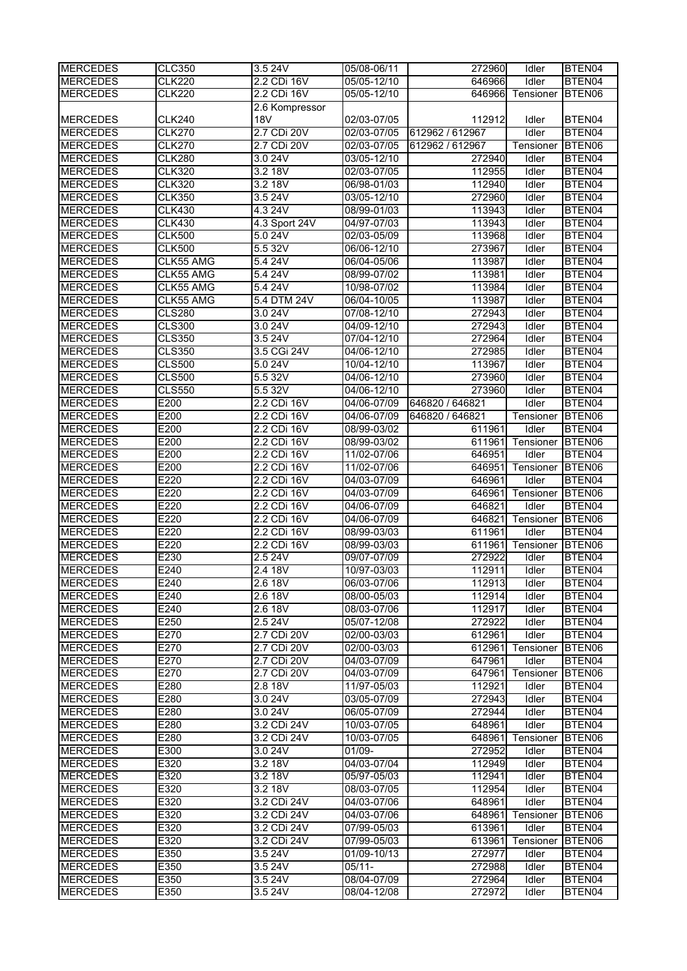| <b>MERCEDES</b>                    | <b>CLC350</b> | 3.5 24V                | 05/08-06/11                | 272960           | <b>Tdler</b>       | BTEN04             |
|------------------------------------|---------------|------------------------|----------------------------|------------------|--------------------|--------------------|
| <b>MERCEDES</b>                    | <b>CLK220</b> | 2.2 CDi 16V            | 05/05-12/10                | 646966           | Idler              | BTEN04             |
| <b>MERCEDES</b>                    | <b>CLK220</b> | 2.2 CDi 16V            | 05/05-12/10                | 646966           | Tensioner          | BTEN06             |
|                                    |               | 2.6 Kompressor         |                            |                  |                    |                    |
| <b>MERCEDES</b>                    | <b>CLK240</b> | <b>18V</b>             | 02/03-07/05                | 112912           | Idler              | BTEN04             |
| <b>MERCEDES</b>                    | <b>CLK270</b> | 2.7 CDi 20V            | 02/03-07/05                | 612962 / 612967  | Idler              | BTEN04             |
| <b>MERCEDES</b>                    | <b>CLK270</b> | 2.7 CDi 20V            | 02/03-07/05                | 612962 / 612967  | Tensioner          | BTEN06             |
| <b>MERCEDES</b>                    | <b>CLK280</b> | 3.0 24V                | 03/05-12/10                | 272940           | Idler              | BTEN04             |
| <b>MERCEDES</b>                    | <b>CLK320</b> | 3.2 18V                | 02/03-07/05                | 112955           | <b>Idler</b>       | BTEN04             |
| <b>MERCEDES</b>                    | <b>CLK320</b> | 3.2 18V                | 06/98-01/03                | 112940           | Idler              | BTEN04             |
| <b>MERCEDES</b>                    | <b>CLK350</b> | 3.5 24V                | 03/05-12/10                | 272960           | Idler              | BTEN04             |
| <b>MERCEDES</b>                    | <b>CLK430</b> | 4.3 24V                | 08/99-01/03                | 113943           | Idler              | BTEN04             |
| <b>MERCEDES</b>                    | <b>CLK430</b> | 4.3 Sport 24V          | 04/97-07/03                | 113943           | Idler              | BTEN04             |
| <b>MERCEDES</b>                    | <b>CLK500</b> | 5.0 24V                | 02/03-05/09                | 113968           | Idler              | BTEN04             |
| <b>MERCEDES</b>                    | <b>CLK500</b> | 5.532V                 | 06/06-12/10                | 273967           | Idler              | BTEN04             |
| <b>MERCEDES</b>                    | CLK55 AMG     | 5.4 24 V               | 06/04-05/06                | 113987           | Idler              | BTEN04             |
| <b>MERCEDES</b>                    | CLK55 AMG     | 5.4 24V                | 08/99-07/02                | 113981           | Idler              | BTEN04             |
| <b>MERCEDES</b>                    | CLK55 AMG     | 5.4 24V                | 10/98-07/02                | 113984           | Idler              | BTEN04             |
| <b>MERCEDES</b>                    | CLK55 AMG     | 5.4 DTM 24V            | 06/04-10/05                | 113987           | Idler              | BTEN04             |
| <b>MERCEDES</b>                    | <b>CLS280</b> | 3.0 24V                | 07/08-12/10                | 272943           | Idler              | BTEN04             |
| <b>MERCEDES</b>                    | <b>CLS300</b> | 3.0 24V                | 04/09-12/10                | 272943           | Idler              | BTEN04             |
| <b>MERCEDES</b>                    | <b>CLS350</b> | 3.5 24V                | 07/04-12/10                | 272964           | Idler              | BTEN04             |
| <b>MERCEDES</b>                    | <b>CLS350</b> | 3.5 CGi 24V            | 04/06-12/10                | 272985           | Idler              | BTEN04             |
| <b>MERCEDES</b>                    | <b>CLS500</b> | 5.0 24V                | 10/04-12/10                | 113967           | Idler              | BTEN04             |
| <b>MERCEDES</b>                    | <b>CLS500</b> | 5.5 32V                | 04/06-12/10                | 273960           | Idler              | BTEN04             |
| <b>MERCEDES</b>                    | <b>CLS550</b> | 5.532V                 | 04/06-12/10                | 273960           | Idler              | BTEN04             |
| <b>MERCEDES</b>                    | E200          | 2.2 CDi 16V            | 04/06-07/09                | 646820 / 646821  | <b>Idler</b>       | BTEN04             |
| <b>MERCEDES</b>                    | E200          | 2.2 CDi 16V            | 04/06-07/09                | 646820 / 646821  | Tensioner          | BTEN06             |
| <b>MERCEDES</b>                    | E200          | 2.2 CDi 16V            | 08/99-03/02                | 611961           | Idler              | BTEN04             |
| <b>MERCEDES</b>                    | E200          | 2.2 CDi 16V            | 08/99-03/02                | 611961           | Tensioner          | BTEN06             |
| <b>MERCEDES</b>                    | E200          | 2.2 CDi 16V            | 11/02-07/06                | 646951           | Idler              | BTEN04             |
| <b>MERCEDES</b>                    | E200          | 2.2 CDi 16V            | 11/02-07/06                | 646951           | Tensioner          | BTEN06             |
| <b>MERCEDES</b>                    | E220          | 2.2 CDi 16V            | 04/03-07/09                | 646961           | <b>Idler</b>       | BTEN04             |
| <b>MERCEDES</b>                    | E220          | 2.2 CDi 16V            | 04/03-07/09                | 646961           | Tensioner          | BTEN06             |
| <b>MERCEDES</b>                    | E220          | 2.2 CDi 16V            | 04/06-07/09                | 646821           | Idler              | BTEN04             |
| <b>MERCEDES</b>                    | E220          | 2.2 CDi 16V            | 04/06-07/09                | 646821           | Tensioner          | BTEN06             |
| <b>MERCEDES</b>                    | E220          | 2.2 CDi 16V            | 08/99-03/03                | 611961           | Idler              | BTEN04             |
| <b>MERCEDES</b>                    | E220          |                        | 08/99-03/03                |                  |                    |                    |
|                                    |               | 2.2 CDi 16V            |                            | 611961           | Tensioner          | BTEN <sub>06</sub> |
| <b>MERCEDES</b>                    | E230          | 2.5 24V                | 09/07-07/09                | 272922           | Idler              | BTEN04             |
| <b>MERCEDES</b>                    | E240          | 2.4 18V                | 10/97-03/03                | 112911           | Idler              | BTEN04             |
| <b>MERCEDES</b>                    | E240          | 2.6 18V                | 06/03-07/06                | 112913           | Idler              | BTEN04             |
| <b>MERCEDES</b>                    | E240          | 2.6 18V                | 08/00-05/03                | 112914           | Idler              | BTEN04             |
| <b>MERCEDES</b>                    | E240          | $2.6 \ \overline{18V}$ | 08/03-07/06                | 112917           | Idler              | BTEN04             |
| <b>MERCEDES</b>                    | E250          | 2.524V                 | 05/07-12/08                | 272922           | Idler              | BTEN04             |
| <b>MERCEDES</b>                    | E270          | 2.7 CDi 20V            | 02/00-03/03                | 612961           | Idler              | BTEN04             |
| <b>MERCEDES</b>                    | E270          | 2.7 CDi 20V            | 02/00-03/03                | 612961           | Tensioner          | BTEN06             |
| <b>MERCEDES</b>                    | E270          | 2.7 CDi 20V            | 04/03-07/09                | 647961           | Idler              | BTEN04             |
| <b>MERCEDES</b>                    | E270          | 2.7 CDi 20V            | 04/03-07/09                | 647961           | Tensioner          | BTEN06             |
| <b>MERCEDES</b>                    | E280          | 2.8 18V                | 11/97-05/03                | 112921           | Idler              | BTEN04             |
| <b>MERCEDES</b>                    | E280          | 3.0 24V                | 03/05-07/09                | 272943           | Idler              | BTEN04             |
| <b>MERCEDES</b>                    | E280          | 3.0 24V                | 06/05-07/09                | 272944           | Idler              | BTEN04             |
| <b>MERCEDES</b>                    | E280          | 3.2 CDi 24V            | 10/03-07/05                | 648961           | Idler              | BTEN04             |
| <b>MERCEDES</b>                    | E280          | 3.2 CDi 24V            | 10/03-07/05                | 648961           | Tensioner          | BTEN06             |
| <b>MERCEDES</b>                    | E300          | 3.0 24V                | $01/09 -$                  | 272952           | Idler              | BTEN04             |
| <b>MERCEDES</b>                    | E320          | 3.2 18V                | 04/03-07/04                | 112949           | Idler              | BTEN04             |
| <b>MERCEDES</b>                    | E320          | 3.2 18V                | 05/97-05/03                | 112941           | Idler              | BTEN04             |
| <b>MERCEDES</b>                    | E320          | 3.2 18V                | 08/03-07/05                | 112954           | Idler              | BTEN04             |
| <b>MERCEDES</b>                    | E320          | 3.2 CDi 24V            | 04/03-07/06                | 648961           | Idler              | BTEN04             |
| <b>MERCEDES</b>                    | E320          | 3.2 CDi 24V            | 04/03-07/06                | 648961           | Tensioner          | BTEN06             |
| <b>MERCEDES</b><br><b>MERCEDES</b> | E320          | 3.2 CDi 24V            | 07/99-05/03<br>07/99-05/03 | 613961           | Idler<br>Tensioner | BTEN04             |
|                                    | E320          | 3.2 CDi 24V            |                            | 613961           | Idler              | BTEN06             |
| <b>MERCEDES</b><br><b>MERCEDES</b> | E350<br>E350  | 3.5 24V                | 01/09-10/13                | 272977<br>272988 | Idler              | BTEN04             |
| <b>MERCEDES</b>                    | E350          | 3.5 24V<br>3.5 24V     | $05/11 -$<br>08/04-07/09   | 272964           | Idler              | BTEN04<br>BTEN04   |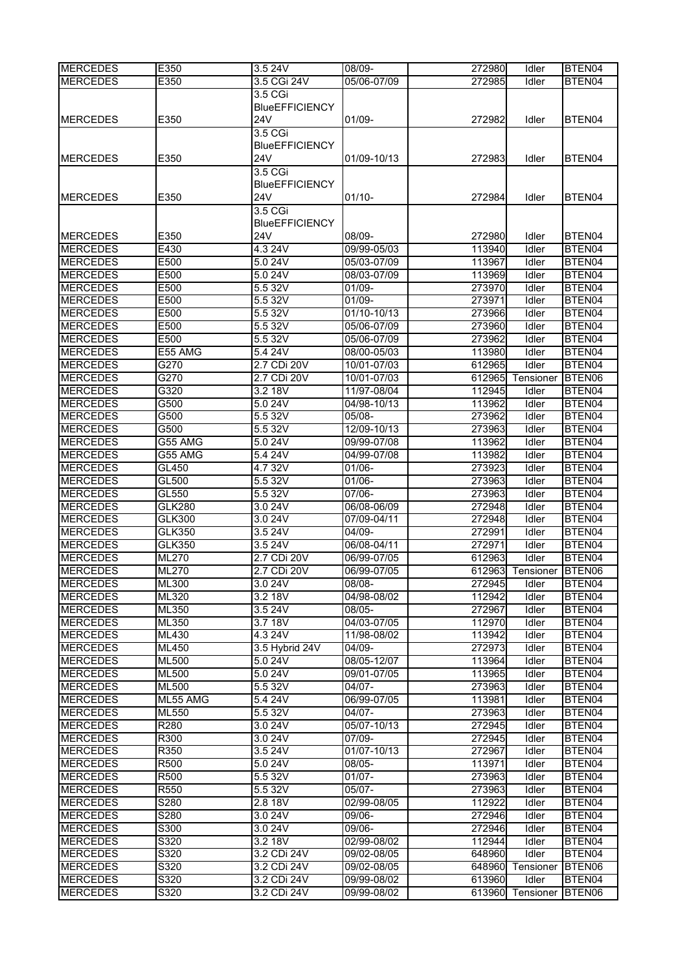| <b>MERCEDES</b>                    | E350           | 3.5 24V               | 08/09-                     | 272980           | Idler          | BTEN04           |
|------------------------------------|----------------|-----------------------|----------------------------|------------------|----------------|------------------|
| <b>MERCEDES</b>                    | E350           | 3.5 CGi 24V           | 05/06-07/09                | 272985           | Idler          | BTEN04           |
|                                    |                | 3.5 CGi               |                            |                  |                |                  |
|                                    |                | <b>BlueEFFICIENCY</b> |                            |                  |                |                  |
| <b>MERCEDES</b>                    | E350           | 24V                   | $01/09 -$                  | 272982           | Idler          | BTEN04           |
|                                    |                | 3.5 CGi               |                            |                  |                |                  |
|                                    |                | <b>BlueEFFICIENCY</b> |                            |                  |                |                  |
|                                    |                | 24V                   |                            |                  |                |                  |
| <b>IMERCEDES</b>                   | E350           |                       | 01/09-10/13                | 272983           | Idler          | BTEN04           |
|                                    |                | 3.5 <sub>CGi</sub>    |                            |                  |                |                  |
|                                    |                | <b>BlueEFFICIENCY</b> |                            |                  |                |                  |
| <b>MERCEDES</b>                    | E350           | 24V                   | $01/10 -$                  | 272984           | Idler          | BTEN04           |
|                                    |                | 3.5 CGi               |                            |                  |                |                  |
|                                    |                | <b>BlueEFFICIENCY</b> |                            |                  |                |                  |
| <b>MERCEDES</b>                    | E350           | 24V                   | 08/09-                     | 272980           | Idler          | BTEN04           |
| <b>MERCEDES</b>                    | E430           | 4.3 24V               | 09/99-05/03                | 113940           | Idler          | BTEN04           |
| <b>MERCEDES</b>                    | E500           | 5.0 24V               | 05/03-07/09                | 113967           | Idler          | BTEN04           |
| <b>MERCEDES</b>                    | E500           | 5.0 24V               | 08/03-07/09                | 113969           | Idler          | BTEN04           |
| <b>MERCEDES</b>                    | E500           | 5.5 32V               | 01/09-                     | 273970           | Idler          | BTEN04           |
| <b>MERCEDES</b>                    | E500           | 5.5 32V               | 01/09-                     | 273971           | Idler          | BTEN04           |
| <b>MERCEDES</b>                    | E500           | 5.5 32V               | 01/10-10/13                | 273966           | Idler          | BTEN04           |
| <b>MERCEDES</b>                    | E500           | 5.5 32V               | 05/06-07/09                | 273960           | Idler          | BTEN04           |
| <b>MERCEDES</b>                    | E500           | 5.5 32V               | 05/06-07/09                | 273962           | Idler          | BTEN04           |
| <b>MERCEDES</b>                    | E55 AMG        | 5.4 24V               | 08/00-05/03                | 113980           | Idler          | BTEN04           |
| <b>MERCEDES</b>                    | G270           | 2.7 CDi 20V           | 10/01-07/03                | 612965           | Idler          | BTEN04           |
| <b>MERCEDES</b>                    | G270           | 2.7 CDi 20V           | 10/01-07/03                | 612965           | Tensioner      | BTEN06           |
| <b>MERCEDES</b>                    | G320           | 3.2 18V               | 11/97-08/04                | 112945           | Idler          | BTEN04           |
| <b>MERCEDES</b>                    | G500           | 5.0 24V               | 04/98-10/13                | 113962           | Idler          | BTEN04           |
| <b>MERCEDES</b>                    | G500           | 5.5 32V               | 05/08-                     | 273962           | Idler          | BTEN04           |
| <b>MERCEDES</b>                    | G500           | 5.5 32V               | 12/09-10/13                | 273963           | Idler          | BTEN04           |
| <b>MERCEDES</b>                    | G55 AMG        | 5.0 24V               | 09/99-07/08                | 113962           | Idler          | BTEN04           |
| <b>MERCEDES</b>                    | G55 AMG        | 5.4 24 V              | 04/99-07/08                | 113982           | Idler          | BTEN04           |
|                                    |                |                       |                            | 273923           |                |                  |
| <b>MERCEDES</b><br><b>MERCEDES</b> | GL450<br>GL500 | 4.7 32V<br>5.5 32V    | 01/06-<br>$01/06 -$        |                  | Idler<br>Idler | BTEN04<br>BTEN04 |
| <b>MERCEDES</b>                    | GL550          | 5.5 32V               | 07/06-                     | 273963<br>273963 | Idler          | BTEN04           |
|                                    |                |                       |                            |                  |                |                  |
| <b>MERCEDES</b><br><b>MERCEDES</b> | <b>GLK280</b>  | 3.0 24V               | 06/08-06/09<br>07/09-04/11 | 272948<br>272948 | Idler          | BTEN04           |
|                                    | <b>GLK300</b>  | 3.0 24V               |                            |                  | Idler          | BTEN04           |
| <b>MERCEDES</b>                    | <b>GLK350</b>  | 3.5 24V               | 04/09-                     | 272991           | Idler          | BTEN04           |
| <b>MERCEDES</b>                    | GLK350         | 3.5 24V               | 06/08-04/11                | 272971           | Idler          | BTEN04           |
| <b>MERCEDES</b>                    | <b>ML270</b>   | 2.7 CDi 20V           | 06/99-07/05                | 612963           | Idler          | BTEN04           |
| <b>MERCEDES</b>                    | ML270          | 2.7 CDi 20V           | 06/99-07/05                | 612963           | Tensioner      | BTEN06           |
| <b>MERCEDES</b>                    | <b>ML300</b>   | 3.0 24V               | $08/08 -$                  | 272945           | Idler          | BTEN04           |
| <b>MERCEDES</b>                    | <b>ML320</b>   | 3.2 18V               | 04/98-08/02                | 112942           | Idler          | BTEN04           |
| <b>MERCEDES</b>                    | ML350          | 3.524V                | $08/05 -$                  | 272967           | Idler          | BTEN04           |
| <b>MERCEDES</b>                    | ML350          | 3.7 18V               | 04/03-07/05                | 112970           | Idler          | BTEN04           |
| <b>MERCEDES</b>                    | ML430          | 4.3 24V               | 11/98-08/02                | 113942           | Idler          | BTEN04           |
| <b>MERCEDES</b>                    | <b>ML450</b>   | 3.5 Hybrid 24V        | 04/09-                     | 272973           | Idler          | BTEN04           |
| <b>MERCEDES</b>                    | <b>ML500</b>   | 5.0 24V               | 08/05-12/07                | 113964           | Idler          | BTEN04           |
| <b>MERCEDES</b>                    | <b>ML500</b>   | 5.0 24V               | 09/01-07/05                | 113965           | Idler          | BTEN04           |
| <b>MERCEDES</b>                    | <b>ML500</b>   | 5.5 32V               | $04/07 -$                  | 273963           | Idler          | BTEN04           |
| <b>MERCEDES</b>                    | ML55 AMG       | 5.4 24V               | 06/99-07/05                | 113981           | Idler          | BTEN04           |
| <b>MERCEDES</b>                    | ML550          | 5.5 32V               | $04/07 -$                  | 273963           | Idler          | BTEN04           |
| <b>MERCEDES</b>                    | R280           | 3.0 24V               | 05/07-10/13                | 272945           | Idler          | BTEN04           |
| <b>MERCEDES</b>                    | R300           | 3.024V                | 07/09-                     | 272945           | Idler          | BTEN04           |
| <b>MERCEDES</b>                    | R350           | 3.524V                | 01/07-10/13                | 272967           | Idler          | BTEN04           |
| <b>MERCEDES</b>                    | <b>R500</b>    | 5.0 24V               | $08/05 -$                  | 113971           | Idler          | BTEN04           |
| <b>MERCEDES</b>                    | R500           | 5.5 32V               | $01/07 -$                  | 273963           | Idler          | BTEN04           |
| <b>MERCEDES</b>                    | R550           | 5.5 32V               | 05/07-                     | 273963           | Idler          | BTEN04           |
| <b>MERCEDES</b>                    | S280           | 2.8 18V               | 02/99-08/05                | 112922           | Idler          | BTEN04           |
| <b>MERCEDES</b>                    | S280           | 3.0 24V               | 09/06-                     | 272946           | Idler          | BTEN04           |
| <b>MERCEDES</b>                    | S300           | 3.024V                | 09/06-                     | 272946           | Idler          | BTEN04           |
| <b>MERCEDES</b>                    | S320           | 3.2 18V               | 02/99-08/02                | 112944           | Idler          | BTEN04           |
| <b>MERCEDES</b>                    | S320           | 3.2 CDi 24V           | 09/02-08/05                | 648960           | Idler          | BTEN04           |
| <b>MERCEDES</b>                    | S320           | 3.2 CDi 24V           | 09/02-08/05                | 648960           | Tensioner      | BTEN06           |
| <b>MERCEDES</b>                    | S320           | 3.2 CDi 24V           | 09/99-08/02                | 613960           | Idler          | BTEN04           |
| <b>MERCEDES</b>                    | S320           | 3.2 CDi 24V           | 09/99-08/02                | 613960           | Tensioner      | BTEN06           |
|                                    |                |                       |                            |                  |                |                  |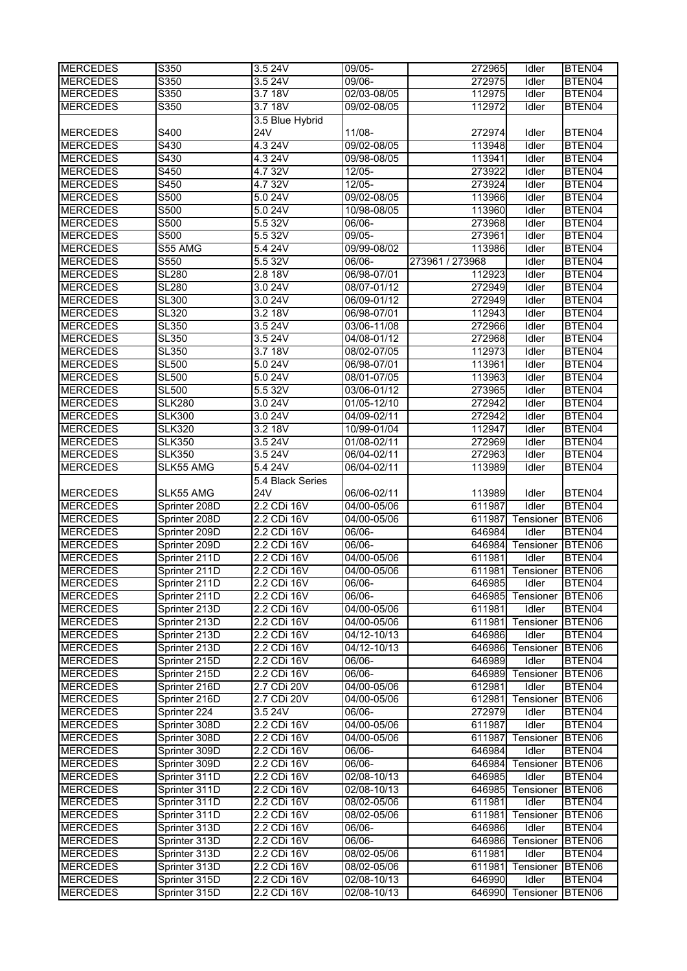| <b>MERCEDES</b>                    | S350                           | 3.5 24V                    | $09/05 -$                  | 272965           | Idler              | BTEN04             |
|------------------------------------|--------------------------------|----------------------------|----------------------------|------------------|--------------------|--------------------|
| <b>MERCEDES</b>                    | S350                           | 3.5 24V                    | 09/06-                     | 272975           | Idler              | BTEN04             |
| <b>MERCEDES</b>                    | S350                           | 3.7 18V                    | 02/03-08/05                | 112975           | Idler              | BTEN04             |
| <b>MERCEDES</b>                    | S350                           | 3.718V                     | 09/02-08/05                | 112972           | Idler              | BTEN04             |
|                                    |                                | 3.5 Blue Hybrid            |                            |                  |                    |                    |
| <b>MERCEDES</b>                    | S400                           | <b>24V</b>                 | 11/08-                     | 272974           | Idler              | BTEN04             |
| <b>MERCEDES</b>                    | S430                           | 4.3 24V                    | 09/02-08/05                | 113948           | Idler              | BTEN04             |
| <b>MERCEDES</b>                    | S430                           | 4.3 24V                    | 09/98-08/05                | 113941           | Idler              | BTEN04             |
| <b>MERCEDES</b>                    | S450                           | 4.7 32V                    | 12/05-                     | 273922           | Idler              | BTEN04             |
| <b>MERCEDES</b>                    | S450                           | 4.7 32V                    | 12/05-                     | 273924           | Idler              | BTEN04             |
| <b>MERCEDES</b>                    | S500                           | 5.0 24V                    | 09/02-08/05                | 113966           | Idler              | BTEN04             |
| <b>MERCEDES</b>                    | S500                           | 5.0 24V                    | 10/98-08/05                | 113960           | Idler              | BTEN04             |
| <b>MERCEDES</b>                    | S500                           | 5.5 32V                    | 06/06-                     | 273968           | Idler              | BTEN04             |
| <b>MERCEDES</b>                    | S500                           | 5.5 32V                    | 09/05-                     | 273961           | Idler              | BTEN04             |
| <b>MERCEDES</b>                    | S55 AMG                        | 5.4 24V                    | 09/99-08/02                | 113986           | Idler              | BTEN04             |
| <b>MERCEDES</b>                    | S550                           | 5.5 32V                    | 06/06-                     | 273961 / 273968  | Idler              | BTEN04             |
| <b>MERCEDES</b>                    | <b>SL280</b>                   | 2.8 18V                    | 06/98-07/01                | 112923           | Idler              | BTEN04             |
| <b>MERCEDES</b>                    | <b>SL280</b>                   | 3.024V                     | 08/07-01/12                | 272949           | Idler              | BTEN04             |
| <b>MERCEDES</b>                    | <b>SL300</b>                   | 3.0 24V                    | 06/09-01/12                | 272949           | Idler              | BTEN04             |
| <b>MERCEDES</b>                    | <b>SL320</b>                   | 3.2 18V                    | 06/98-07/01                | 112943           | Idler              | BTEN04             |
| <b>MERCEDES</b>                    | <b>SL350</b>                   | 3.5 24V                    | 03/06-11/08                | 272966           | Idler              | BTEN04             |
| <b>MERCEDES</b>                    | <b>SL350</b>                   | 3.524V                     | 04/08-01/12                | 272968           | Idler              | BTEN04             |
| <b>MERCEDES</b>                    | $\overline{\text{SL}350}$      | 3.7 18V                    | 08/02-07/05                | 112973           | Idler              | BTEN04             |
| <b>MERCEDES</b>                    | <b>SL500</b>                   | 5.0 24V                    | 06/98-07/01                | 113961           | Idler              | BTEN04             |
| <b>MERCEDES</b>                    | <b>SL500</b>                   | 5.0 24V                    | 08/01-07/05                | 113963           | Idler              | BTEN04             |
| <b>MERCEDES</b>                    | <b>SL500</b>                   | 5.5 32V                    | 03/06-01/12                | 273965           | Idler              | BTEN04             |
| <b>MERCEDES</b>                    | <b>SLK280</b>                  | 3.0 24V                    | 01/05-12/10                | 272942           | Idler              | BTEN04             |
| <b>MERCEDES</b>                    | <b>SLK300</b>                  | 3.0 24V                    | 04/09-02/11                | 272942           | Idler              | BTEN04             |
| <b>MERCEDES</b>                    | <b>SLK320</b>                  | 3.2 18V                    | 10/99-01/04                | 112947           | Idler              | BTEN04             |
| <b>MERCEDES</b>                    | <b>SLK350</b>                  | 3.524V                     | 01/08-02/11                | 272969           | Idler              | BTEN04             |
| <b>MERCEDES</b>                    | <b>SLK350</b>                  | 3.5 24V                    | 06/04-02/11                | 272963           | Idler              | BTEN04             |
| <b>MERCEDES</b>                    | SLK55 AMG                      | 5.4 24V                    | 06/04-02/11                | 113989           | Idler              | BTEN04             |
|                                    |                                | 5.4 Black Series           |                            |                  |                    |                    |
| <b>MERCEDES</b>                    | SLK55 AMG                      | <b>24V</b>                 | 06/06-02/11                | 113989           | Idler              | BTEN04             |
| <b>MERCEDES</b>                    | Sprinter 208D                  | 2.2 CDi 16V                | 04/00-05/06                | 611987           | Idler              | BTEN04             |
| <b>MERCEDES</b>                    | Sprinter 208D                  | 2.2 CDi 16V                | 04/00-05/06                | 611987           | Tensioner          | BTEN06             |
| <b>MERCEDES</b>                    | Sprinter 209D                  | 2.2 CDi 16V                | 06/06-                     | 646984           | Idler              | BTEN04             |
| <b>MERCEDES</b>                    | Sprinter 209D                  | 2.2 CDi 16V                | 06/06-                     | 646984           | Tensioner          | BTEN06             |
| <b>MERCEDES</b>                    | Sprinter 211D                  | 2.2 CDi 16V                | 04/00-05/06                | 611981           | Idler              | BTEN <sub>04</sub> |
| <b>MERCEDES</b>                    | Sprinter 211D                  | 2.2 CDi 16V                | 04/00-05/06                | 611981           | Tensioner          | BTEN06             |
| <b>MERCEDES</b>                    | Sprinter 211D                  | 2.2 CDi 16V                | 06/06-                     | 646985           | Idler              | BTEN04             |
| <b>MERCEDES</b>                    | Sprinter 211D                  | 2.2 CDi 16V                | 06/06-                     | 646985           | Tensioner          | BTEN06             |
| <b>MERCEDES</b>                    | Sprinter 213D                  | 2.2 CDi 16V                | 04/00-05/06                | 611981           | Idler              | BTEN04             |
| <b>MERCEDES</b>                    | Sprinter 213D                  | 2.2 CDi 16V                | 04/00-05/06                | 611981           | Tensioner          | BTEN06             |
| <b>MERCEDES</b>                    | Sprinter 213D                  |                            |                            |                  |                    |                    |
| <b>MERCEDES</b>                    |                                | 2.2 CDi 16V                | 04/12-10/13                | 646986           | Idler              | BTEN04             |
|                                    | Sprinter 213D                  | 2.2 CDi 16V                | 04/12-10/13                | 646986           | Tensioner          | BTEN06             |
| <b>MERCEDES</b>                    | Sprinter 215D                  | 2.2 CDi 16V                | 06/06-                     | 646989           | Idler              | BTEN04             |
| <b>MERCEDES</b>                    | Sprinter 215D                  | 2.2 CDi 16V                | 06/06-                     | 646989           | Tensioner          | BTEN06             |
| <b>MERCEDES</b>                    | Sprinter 216D                  | 2.7 CDi 20V                | 04/00-05/06                | 612981           | Idler              | BTEN04             |
| <b>MERCEDES</b>                    | Sprinter 216D                  | 2.7 CDi 20V                | 04/00-05/06                | 612981           | Tensioner          | BTEN06             |
| <b>MERCEDES</b>                    | Sprinter 224                   | $3.\overline{524V}$        | 06/06-                     | 272979           | Idler              | BTEN04             |
| <b>MERCEDES</b>                    | Sprinter 308D                  | 2.2 CDi 16V                | 04/00-05/06                | 611987           | Idler              | BTEN04             |
| <b>MERCEDES</b>                    | Sprinter 308D                  | 2.2 CDi 16V                | 04/00-05/06                | 611987           | Tensioner          | BTEN06             |
| <b>MERCEDES</b>                    | Sprinter 309D                  | 2.2 CDi 16V                | 06/06-                     | 646984           | Idler              | BTEN04             |
| <b>MERCEDES</b>                    | Sprinter 309D                  | 2.2 CDi 16V                | 06/06-                     | 646984           | Tensioner          | BTEN06             |
| <b>MERCEDES</b>                    | Sprinter 311D                  | 2.2 CDi 16V                | 02/08-10/13                | 646985           | Idler              | BTEN04             |
| <b>MERCEDES</b>                    | Sprinter 311D                  | 2.2 CDi 16V                | 02/08-10/13                | 646985           | Tensioner          | BTEN06             |
| <b>MERCEDES</b>                    | Sprinter 311D                  | 2.2 CDi 16V                | 08/02-05/06                | 611981           | Idler              | BTEN04             |
| <b>MERCEDES</b>                    | Sprinter 311D                  | 2.2 CDi 16V                | 08/02-05/06                | 611981           | Tensioner          | BTEN06             |
| <b>MERCEDES</b>                    | Sprinter 313D                  | 2.2 CDi 16V                | 06/06-                     | 646986           | Idler              | BTEN04             |
| <b>MERCEDES</b>                    | Sprinter 313D                  | 2.2 CDi 16V                | 06/06-                     | 646986           | Tensioner          | BTEN06             |
| <b>MERCEDES</b>                    | Sprinter 313D                  | 2.2 CDi 16V                | 08/02-05/06                | 611981           | Idler              | BTEN04             |
| <b>MERCEDES</b>                    | Sprinter 313D                  | 2.2 CDi 16V                | 08/02-05/06                | 611981           | Tensioner          | BTEN06             |
| <b>MERCEDES</b><br><b>MERCEDES</b> | Sprinter 315D<br>Sprinter 315D | 2.2 CDi 16V<br>2.2 CDi 16V | 02/08-10/13<br>02/08-10/13 | 646990<br>646990 | Idler<br>Tensioner | BTEN04<br>BTEN06   |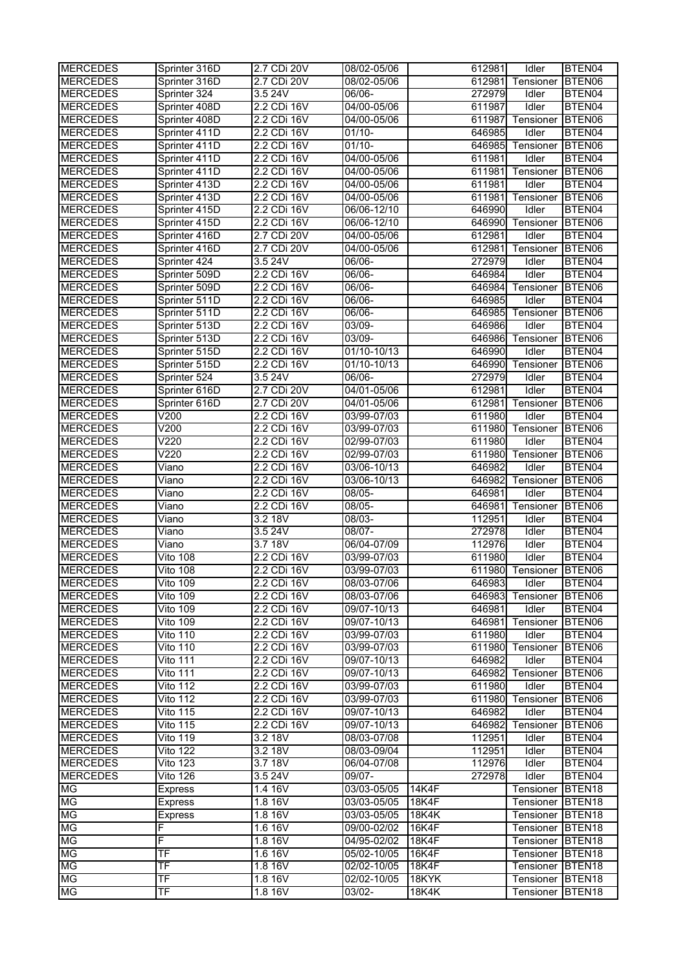| <b>MERCEDES</b> | Sprinter 316D            | 2.7 CDi 20V | 08/02-05/06 | 612981       | <b>Tdler</b>     | BTEN04             |
|-----------------|--------------------------|-------------|-------------|--------------|------------------|--------------------|
| <b>MERCEDES</b> | Sprinter 316D            | 2.7 CDi 20V | 08/02-05/06 | 612981       | Tensioner BTEN06 |                    |
| <b>MERCEDES</b> | Sprinter 324             | 3.5 24 V    | 06/06-      | 272979       | Idler            | BTEN04             |
| <b>MERCEDES</b> | Sprinter 408D            | 2.2 CDi 16V | 04/00-05/06 | 611987       | Idler            | BTEN04             |
| <b>MERCEDES</b> | Sprinter 408D            | 2.2 CDi 16V | 04/00-05/06 | 611987       | Tensioner        | BTEN06             |
| <b>MERCEDES</b> | Sprinter 411D            | 2.2 CDi 16V | $01/10 -$   | 646985       | Idler            | BTEN04             |
| <b>MERCEDES</b> | Sprinter 411D            | 2.2 CDi 16V | $01/10 -$   | 646985       | Tensioner        | BTEN06             |
|                 |                          |             |             |              |                  |                    |
| <b>MERCEDES</b> | Sprinter 411D            | 2.2 CDi 16V | 04/00-05/06 | 611981       | Idler            | BTEN04             |
| <b>MERCEDES</b> | Sprinter 411D            | 2.2 CDi 16V | 04/00-05/06 | 611981       | Tensioner        | BTEN06             |
| <b>MERCEDES</b> | Sprinter 413D            | 2.2 CDi 16V | 04/00-05/06 | 611981       | Idler            | BTEN04             |
| <b>MERCEDES</b> | Sprinter 413D            | 2.2 CDi 16V | 04/00-05/06 | 611981       | Tensioner        | BTEN06             |
| <b>MERCEDES</b> | Sprinter 415D            | 2.2 CDi 16V | 06/06-12/10 | 646990       | Idler            | BTEN04             |
| <b>MERCEDES</b> | Sprinter 415D            | 2.2 CDi 16V | 06/06-12/10 | 646990       | Tensioner        | BTEN06             |
| <b>MERCEDES</b> | Sprinter 416D            | 2.7 CDi 20V | 04/00-05/06 | 612981       | Idler            | BTEN04             |
| <b>MERCEDES</b> | Sprinter 416D            | 2.7 CDi 20V | 04/00-05/06 | 612981       | Tensioner        | BTEN06             |
| <b>MERCEDES</b> | Sprinter 424             | 3.5 24V     | 06/06-      | 272979       | Idler            | BTEN04             |
| <b>MERCEDES</b> | Sprinter 509D            | 2.2 CDi 16V | 06/06-      | 646984       | Idler            | BTEN04             |
| <b>MERCEDES</b> | Sprinter 509D            | 2.2 CDi 16V | $06/06 -$   | 646984       | Tensioner BTEN06 |                    |
| <b>MERCEDES</b> | Sprinter 511D            | 2.2 CDi 16V | 06/06-      | 646985       | Idler            | BTEN04             |
| <b>MERCEDES</b> | Sprinter 511D            | 2.2 CDi 16V | 06/06-      | 646985       | Tensioner        | BTEN06             |
| <b>MERCEDES</b> | Sprinter 513D            | 2.2 CDi 16V | 03/09-      | 646986       | Idler            | BTEN04             |
| <b>MERCEDES</b> | Sprinter 513D            | 2.2 CDi 16V | 03/09-      | 646986       | Tensioner        | BTEN06             |
| <b>MERCEDES</b> | Sprinter 515D            | 2.2 CDi 16V | 01/10-10/13 | 646990       | Idler            | BTEN04             |
| <b>MERCEDES</b> | Sprinter 515D            | 2.2 CDi 16V | 01/10-10/13 | 646990       | Tensioner BTEN06 |                    |
| <b>MERCEDES</b> | Sprinter 524             | 3.5 24V     | 06/06-      | 272979       | Idler            | BTEN04             |
| <b>MERCEDES</b> | Sprinter 616D            | 2.7 CDi 20V | 04/01-05/06 | 612981       | Idler            | BTEN04             |
| <b>MERCEDES</b> | Sprinter 616D            | 2.7 CDi 20V | 04/01-05/06 | 612981       | Tensioner        | BTEN06             |
| <b>MERCEDES</b> | V200                     | 2.2 CDi 16V | 03/99-07/03 | 611980       | Idler            | BTEN04             |
| <b>MERCEDES</b> | V200                     | 2.2 CDi 16V | 03/99-07/03 | 611980       | Tensioner        | BTEN06             |
| <b>MERCEDES</b> | V220                     | 2.2 CDi 16V | 02/99-07/03 | 611980       | Idler            | BTEN04             |
| <b>MERCEDES</b> | V220                     | 2.2 CDi 16V | 02/99-07/03 | 611980       | Tensioner        | BTEN06             |
| <b>MERCEDES</b> | Viano                    | 2.2 CDi 16V | 03/06-10/13 | 646982       | Idler            | BTEN04             |
| <b>MERCEDES</b> | Viano                    | 2.2 CDi 16V | 03/06-10/13 | 646982       | Tensioner        | BTEN06             |
| <b>MERCEDES</b> | Viano                    | 2.2 CDi 16V | 08/05-      | 646981       | Idler            | BTEN04             |
|                 |                          | 2.2 CDi 16V | 08/05-      |              |                  |                    |
| <b>MERCEDES</b> | Viano                    |             |             | 646981       | Tensioner        | BTEN06             |
| <b>MERCEDES</b> | Viano                    | 3.2 18V     | 08/03-      | 112951       | Idler            | BTEN04             |
| <b>MERCEDES</b> | Viano                    | 3.5 24V     | 08/07-      | 272978       | Idler            | BTEN04             |
| <b>MERCEDES</b> | Viano                    | 3.7 18V     | 06/04-07/09 | 112976       | Idler            | BTEN04             |
| <b>MERCEDES</b> | Vito 108                 | 2.2 CDi 16V | 03/99-07/03 | 611980       | Idler            | BTEN04             |
| <b>MERCEDES</b> | <b>Vito 108</b>          | 2.2 CDi 16V | 03/99-07/03 | 611980       | Tensioner        | BTEN06             |
| <b>MERCEDES</b> | Vito 109                 | 2.2 CDi 16V | 08/03-07/06 | 646983       | Idler            | BTEN04             |
| <b>MERCEDES</b> | <b>Vito 109</b>          | 2.2 CDi 16V | 08/03-07/06 | 646983       | Tensioner        | BTEN06             |
| <b>MERCEDES</b> | <b>Vito 109</b>          | 2.2 CDi 16V | 09/07-10/13 | 646981       | Idler            | BTEN04             |
| <b>MERCEDES</b> | <b>Vito 109</b>          | 2.2 CDi 16V | 09/07-10/13 | 646981       | Tensioner        | BTEN06             |
| <b>MERCEDES</b> | Vito 110                 | 2.2 CDi 16V | 03/99-07/03 | 611980       | Idler            | BTEN04             |
| <b>MERCEDES</b> | Vito 110                 | 2.2 CDi 16V | 03/99-07/03 | 611980       | Tensioner        | BTEN06             |
| <b>MERCEDES</b> | Vito 111                 | 2.2 CDi 16V | 09/07-10/13 | 646982       | Idler            | BTEN04             |
| <b>MERCEDES</b> | Vito 111                 | 2.2 CDi 16V | 09/07-10/13 | 646982       | Tensioner        | BTEN06             |
| <b>MERCEDES</b> | Vito 112                 | 2.2 CDi 16V | 03/99-07/03 | 611980       | Idler            | BTEN04             |
| <b>MERCEDES</b> | Vito 112                 | 2.2 CDi 16V | 03/99-07/03 | 611980       | Tensioner        | BTEN06             |
| <b>MERCEDES</b> | Vito 115                 | 2.2 CDi 16V | 09/07-10/13 | 646982       | Idler            | BTEN04             |
| <b>MERCEDES</b> | Vito 115                 | 2.2 CDi 16V | 09/07-10/13 | 646982       | Tensioner        | BTEN <sub>06</sub> |
| <b>MERCEDES</b> | <b>Vito 119</b>          | 3.2 18V     | 08/03-07/08 | 112951       | Idler            | BTEN04             |
| <b>MERCEDES</b> | <b>Vito 122</b>          | 3.2 18V     | 08/03-09/04 | 112951       | Idler            | BTEN04             |
| <b>MERCEDES</b> | <b>Vito 123</b>          | 3.7 18V     | 06/04-07/08 | 112976       | Idler            | BTEN04             |
| <b>MERCEDES</b> | Vito 126                 | 3.5 24V     | 09/07-      | 272978       | Idler            | BTEN04             |
| MG              | <b>Express</b>           | 1.4 16V     | 03/03-05/05 | 14K4F        | Tensioner        | BTEN <sub>18</sub> |
| МG              | Express                  | 1.8 16V     | 03/03-05/05 | <b>18K4F</b> | Tensioner        | BTEN <sub>18</sub> |
| МG              | <b>Express</b>           | 1.8 16V     | 03/03-05/05 | 18K4K        | Tensioner BTEN18 |                    |
| MG              | F                        | 1.6 16V     | 09/00-02/02 | 16K4F        | Tensioner BTEN18 |                    |
| <b>MG</b>       | F                        | 1.8 16V     | 04/95-02/02 | <b>18K4F</b> | Tensioner BTEN18 |                    |
| MG              | $\overline{\mathsf{TF}}$ | 1.6 16V     | 05/02-10/05 | 16K4F        | Tensioner        | BTEN <sub>18</sub> |
| MG              | TF                       | 1.8 16V     | 02/02-10/05 | <b>18K4F</b> | Tensioner        | BTEN <sub>18</sub> |
| MG              | TF                       | 1.8 16V     | 02/02-10/05 | 18KYK        | Tensioner        | BTEN <sub>18</sub> |
| MG              | TF                       | 1.8 16V     | 03/02-      | 18K4K        | Tensioner BTEN18 |                    |
|                 |                          |             |             |              |                  |                    |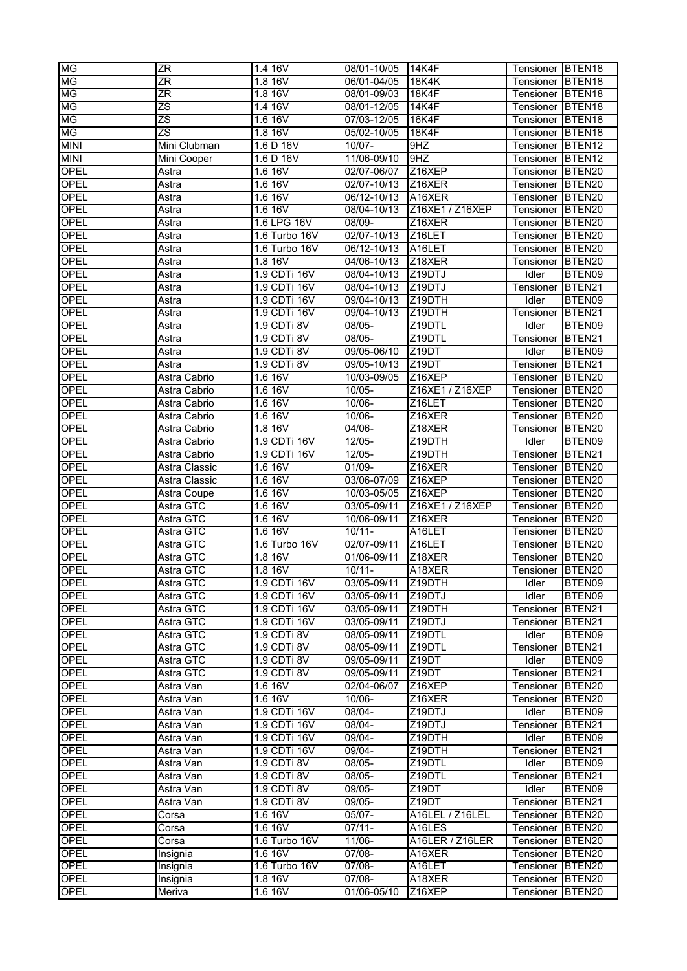| МG          | ZR            | 1.4 16V             | 08/01-10/05 | 14K4F               | Tensioner IBTEN18 |                    |
|-------------|---------------|---------------------|-------------|---------------------|-------------------|--------------------|
| МG          | ΖR            | 1.8 16V             | 06/01-04/05 | 18K4K               | Tensioner         | BTEN <sub>18</sub> |
| MG          | ΖR            | 1.8 16V             | 08/01-09/03 | 18K4F               | Tensioner         | BTEN <sub>18</sub> |
| MG          | ZS            | 1.4 16V             | 08/01-12/05 | 14K4F               | Tensioner         | BTEN <sub>18</sub> |
| МG          | ZS            | 1.6 16V             | 07/03-12/05 | 16K4F               | Tensioner         | BTEN <sub>18</sub> |
| МG          | ΖS            | 1.8 16V             | 05/02-10/05 | <b>18K4F</b>        | Tensioner         | BTEN <sub>18</sub> |
| <b>MINI</b> | Mini Clubman  | 1.6 D 16V           | 10/07-      | 9HZ                 | Tensioner         | BTEN <sub>12</sub> |
| <b>MINI</b> | Mini Cooper   | 1.6 D 16V           | 11/06-09/10 | 9HZ                 | Tensioner         | BTEN <sub>12</sub> |
| OPEL        | Astra         | 1.6 16V             | 02/07-06/07 | Z16XEP              | Tensioner         | BTEN <sub>20</sub> |
| <b>OPEL</b> | Astra         | 1.6 16V             | 02/07-10/13 | Z16XER              | Tensioner         | BTEN <sub>20</sub> |
| <b>OPEL</b> |               | 1.6 16V             | 06/12-10/13 | A16XER              |                   |                    |
|             | Astra         |                     |             |                     | Tensioner         | BTEN <sub>20</sub> |
| <b>OPEL</b> | Astra         | 1.6 16V             | 08/04-10/13 | Z16XE1 / Z16XEP     | Tensioner         | BTEN20             |
| OPEL        | Astra         | 1.6 LPG 16V         | 08/09-      | Z16XER              | Tensioner         | BTEN <sub>20</sub> |
| <b>OPEL</b> | Astra         | 1.6 Turbo 16V       | 02/07-10/13 | Z16LET              | Tensioner         | BTEN <sub>20</sub> |
| <b>OPEL</b> | Astra         | 1.6 Turbo 16V       | 06/12-10/13 | A <sub>16</sub> LET | Tensioner         | BTEN20             |
| <b>OPEL</b> | Astra         | 1.8 16V             | 04/06-10/13 | Z18XER              | Tensioner         | BTEN <sub>20</sub> |
| <b>OPEL</b> | Astra         | 1.9 CDTi 16V        | 08/04-10/13 | Z <sub>19</sub> DTJ | Idler             | BTEN09             |
| <b>OPEL</b> | Astra         | 1.9 CDTi 16V        | 08/04-10/13 | Z <sub>19</sub> DTJ | Tensioner         | BTEN <sub>21</sub> |
| <b>OPEL</b> | Astra         | 1.9 CDTi 16V        | 09/04-10/13 | Z19DTH              | Idler             | BTEN09             |
| OPEL        | Astra         | 1.9 CDTi 16V        | 09/04-10/13 | Z19DTH              | Tensioner         | BTEN21             |
| <b>OPEL</b> | Astra         | 1.9 CDTi 8V         | 08/05-      | Z19DTL              | Idler             | BTEN09             |
| <b>OPEL</b> | Astra         | 1.9 CDTi 8V         | 08/05-      | Z19DTL              | Tensioner         | BTEN21             |
| <b>OPEL</b> | Astra         | 1.9 CDTi 8V         | 09/05-06/10 | Z <sub>19</sub> DT  | Idler             | BTEN09             |
| <b>OPEL</b> | Astra         | 1.9 CDTi 8V         | 09/05-10/13 | Z <sub>19</sub> DT  | Tensioner         | BTEN <sub>21</sub> |
| <b>OPEL</b> | Astra Cabrio  | 1.6 16V             | 10/03-09/05 | Z16XEP              | Tensioner         | BTEN <sub>20</sub> |
| <b>OPEL</b> | Astra Cabrio  | 1.6 16V             | 10/05-      | Z16XE1 / Z16XEP     | Tensioner         | BTEN20             |
| <b>OPEL</b> |               |                     |             |                     |                   |                    |
|             | Astra Cabrio  | 1.6 16V             | 10/06-      | Z16LET              | Tensioner         | BTEN20             |
| <b>OPEL</b> | Astra Cabrio  | 1.6 16V             | 10/06-      | Z16XER              | Tensioner         | BTEN <sub>20</sub> |
| <b>OPEL</b> | Astra Cabrio  | 1.8 16V             | 04/06-      | Z18XER              | Tensioner         | BTEN <sub>20</sub> |
| <b>OPEL</b> | Astra Cabrio  | 1.9 CDTi 16V        | $12/05 -$   | Z19DTH              | Idler             | BTEN09             |
| <b>OPEL</b> | Astra Cabrio  | 1.9 CDTi 16V        | 12/05-      | Z19DTH              | Tensioner         | BTEN <sub>21</sub> |
| <b>OPEL</b> | Astra Classic | 1.6 16V             | 01/09-      | Z16XER              | Tensioner         | BTEN <sub>20</sub> |
| <b>OPEL</b> | Astra Classic | 1.6 16V             | 03/06-07/09 | Z <sub>16</sub> XEP | Tensioner         | BTEN20             |
| <b>OPEL</b> | Astra Coupe   | 1.6 16V             | 10/03-05/05 | Z <sub>16</sub> XEP | Tensioner         | BTEN20             |
| OPEL        | Astra GTC     | 1.6 16V             | 03/05-09/11 | Z16XE1 / Z16XEP     | Tensioner         | BTEN <sub>20</sub> |
| <b>OPEL</b> | Astra GTC     | 1.6 16V             | 10/06-09/11 | Z16XER              | Tensioner         | BTEN <sub>20</sub> |
| <b>OPEL</b> | Astra GTC     | 1.6 16V             | $10/11 -$   | A16LET              | Tensioner         | BTEN <sub>20</sub> |
| <b>OPEL</b> | Astra GTC     | 1.6 Turbo 16V       | 02/07-09/11 | Z16LET              | Tensioner         | BTEN <sub>20</sub> |
| <b>OPEL</b> | Astra GTC     | 1.8 16V             | 01/06-09/11 | Z18XER              | Tensioner         | BTEN <sub>20</sub> |
| <b>OPEL</b> | Astra GTC     | 1.8 16V             | $10/11 -$   | A18XER              | Tensioner         | BTEN <sub>20</sub> |
| <b>OPEL</b> | Astra GTC     | 1.9 CDTi 16V        | 03/05-09/11 | Z <sub>19</sub> DTH | Idler             | BTEN09             |
| <b>OPEL</b> | Astra GTC     | 1.9 CDTi 16V        | 03/05-09/11 | Z <sub>19</sub> DTJ | Idler             | BTEN09             |
| <b>OPEL</b> | Astra GTC     | 1.9 CDTi 16V        |             | Z19DTH              | Tensioner         | BTEN21             |
|             |               |                     | 03/05-09/11 |                     |                   |                    |
| <b>OPEL</b> | Astra GTC     | 1.9 CDTi 16V        | 03/05-09/11 | Z <sub>19</sub> DTJ | Tensioner         | BTEN21             |
| <b>OPEL</b> | Astra GTC     | 1.9 CDTi 8V         | 08/05-09/11 | Z19DTL              | Idler             | BTEN09             |
| <b>OPEL</b> | Astra GTC     | 1.9 CDTi 8V         | 08/05-09/11 | Z19DTL              | Tensioner         | BTEN <sub>21</sub> |
| <b>OPEL</b> | Astra GTC     | 1.9 CDTi 8V         | 09/05-09/11 | Z <sub>19</sub> DT  | Idler             | BTEN09             |
| <b>OPEL</b> | Astra GTC     | 1.9 CDTi 8V         | 09/05-09/11 | Z <sub>19</sub> DT  | Tensioner         | BTEN <sub>21</sub> |
| <b>OPEL</b> | Astra Van     | 1.6 16V             | 02/04-06/07 | Z <sub>16</sub> XEP | Tensioner         | BTEN20             |
| <b>OPEL</b> | Astra Van     | 1.6 16V             | 10/06-      | Z16XER              | Tensioner         | BTEN20             |
| <b>OPEL</b> | Astra Van     | 1.9 CDTi 16V        | 08/04-      | Z19DTJ              | Idler             | BTEN09             |
| <b>OPEL</b> | Astra Van     | 1.9 CDTi 16V        | 08/04-      | Z19DTJ              | Tensioner         | BTEN21             |
| <b>OPEL</b> | Astra Van     | 1.9 CDTi 16V        | 09/04-      | Z19DTH              | Idler             | BTEN09             |
| <b>OPEL</b> | Astra Van     | 1.9 CDTi 16V        | 09/04-      | Z19DTH              | Tensioner         | BTEN21             |
| <b>OPEL</b> | Astra Van     | 1.9 CDTi 8V         | 08/05-      | Z19DTL              | Idler             | BTEN09             |
| OPEL        | Astra Van     | 1.9 CDTi 8V         | 08/05-      | Z19DTL              | Tensioner         | BTEN21             |
| <b>OPEL</b> | Astra Van     | 1.9 CDTi 8V         | 09/05-      | Z <sub>19</sub> DT  | Idler             | BTEN09             |
| <b>OPEL</b> | Astra Van     | 1.9 CDTi 8V         | 09/05-      | Z19DT               | Tensioner         | BTEN21             |
| <b>OPEL</b> | Corsa         | 1.6 16V             | 05/07-      | A16LEL / Z16LEL     | Tensioner         | BTEN <sub>20</sub> |
|             |               |                     |             |                     |                   |                    |
| <b>OPEL</b> | Corsa         | 1.6 16V             | $07/11 -$   | A <sub>16</sub> LES | Tensioner         | BTEN <sub>20</sub> |
| <b>OPEL</b> | Corsa         | 1.6 Turbo 16V       | 11/06-      | A16LER / Z16LER     | Tensioner         | BTEN <sub>20</sub> |
| <b>OPEL</b> | Insignia      | 1.6 16V             | 07/08-      | A16XER              | Tensioner         | BTEN20             |
| OPEL        | Insignia      | 1.6 Turbo 16V       | 07/08-      | A16LET              | Tensioner         | BTEN <sub>20</sub> |
| <b>OPEL</b> | Insignia      | $1.8\overline{16V}$ | 07/08-      | A18XER              | Tensioner         | BTEN <sub>20</sub> |
| <b>OPEL</b> | Meriva        | 1.6 16V             | 01/06-05/10 | Z16XEP              | Tensioner         | BTEN <sub>20</sub> |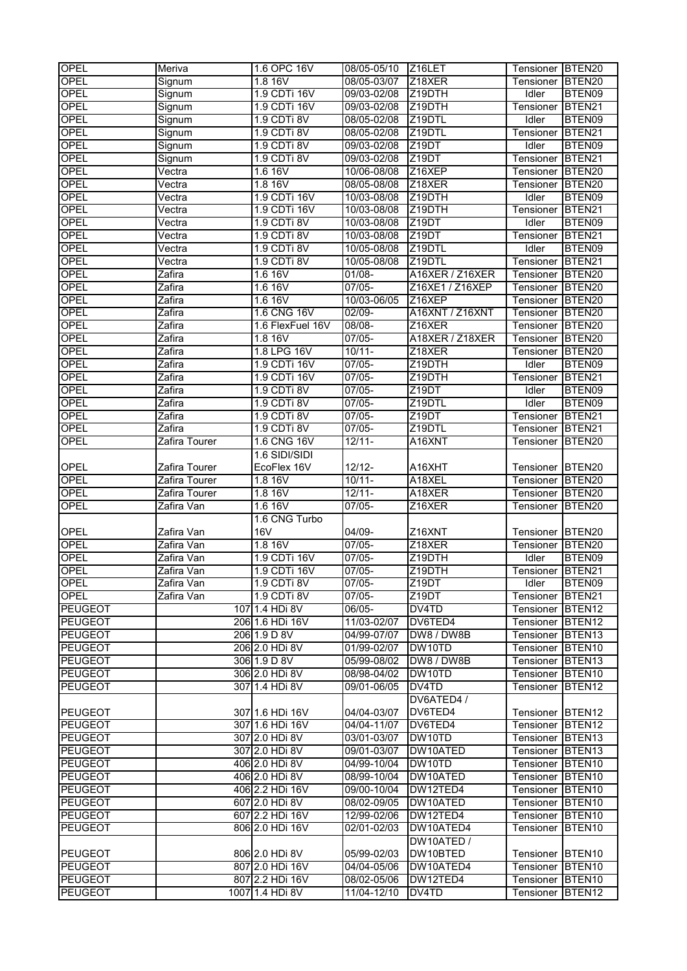| <b>OPEL</b>    | Meriva                        | 1.6 OPC 16V      | 08/05-05/10 | Z <sub>16</sub> LET | Tensioner BTEN20 |                    |
|----------------|-------------------------------|------------------|-------------|---------------------|------------------|--------------------|
| OPEL           | Signum                        | 1.8 16V          | 08/05-03/07 | Z18XER              | Tensioner        | BTEN <sub>20</sub> |
| <b>OPEL</b>    | Signum                        | 1.9 CDTi 16V     | 09/03-02/08 | Z19DTH              | Idler            | BTEN09             |
| OPEL           | Signum                        | 1.9 CDTi 16V     | 09/03-02/08 | Z <sub>19</sub> DTH | Tensioner        | BTEN21             |
| <b>OPEL</b>    | Signum                        | 1.9 CDTi 8V      | 08/05-02/08 | Z19DTL              | <b>Idler</b>     | BTEN09             |
| <b>OPEL</b>    | Signum                        | 1.9 CDTi 8V      | 08/05-02/08 | Z19DTL              | Tensioner        | BTEN21             |
| OPEL           | Signum                        | 1.9 CDTi 8V      | 09/03-02/08 | Z19DT               | Idler            | BTEN09             |
| OPEL           | Signum                        | 1.9 CDTi 8V      | 09/03-02/08 | Z19DT               | Tensioner        | BTEN21             |
| OPEL           | Vectra                        | 1.6 16V          | 10/06-08/08 | Z16XEP              | Tensioner        | BTEN20             |
| <b>OPEL</b>    | Vectra                        | 1.8 16V          | 08/05-08/08 | Z18XER              | Tensioner        | BTEN20             |
| OPEL           | $\overline{\mathsf{V}}$ ectra | 1.9 CDTi 16V     | 10/03-08/08 | Z19DTH              | Idler            | BTEN09             |
| OPEL           |                               |                  |             |                     | Tensioner        |                    |
|                | Vectra                        | 1.9 CDTi 16V     | 10/03-08/08 | Z19DTH              |                  | BTEN21             |
| <b>OPEL</b>    | Vectra                        | 1.9 CDTi 8V      | 10/03-08/08 | Z19DT               | <b>Idler</b>     | BTEN09             |
| OPEL           | Vectra                        | 1.9 CDTi 8V      | 10/03-08/08 | Z19DT               | Tensioner        | BTEN21             |
| OPEL           | $\overline{V}$ ectra          | 1.9 CDTi 8V      | 10/05-08/08 | Z19DTL              | Idler            | BTEN09             |
| OPEL           | $\overline{V}$ ectra          | 1.9 CDTi 8V      | 10/05-08/08 | Z19DTL              | Tensioner        | BTEN21             |
| OPEL           | Zafira                        | 1.616V           | 01/08-      | A16XER / Z16XER     | Tensioner        | BTEN <sub>20</sub> |
| OPEL           | Zafira                        | 1.616V           | $07/05 -$   | Z16XE1 / Z16XEP     | Tensioner        | BTEN20             |
| OPEL           | Zafira                        | 1.616V           | 10/03-06/05 | Z16XEP              | Tensioner        | BTEN20             |
| <b>OPEL</b>    | Zafira                        | 1.6 CNG 16V      | $02/09 -$   | A16XNT / Z16XNT     | Tensioner        | BTEN20             |
| OPEL           | Zafira                        | 1.6 FlexFuel 16V | $08/08 -$   | Z16XER              | Tensioner        | BTEN20             |
| <b>OPEL</b>    | Zafira                        | 1.8 16V          | $07/05 -$   | A18XER / Z18XER     | Tensioner        | BTEN20             |
| <b>OPEL</b>    | Zafira                        | 1.8 LPG 16V      | $10/11 -$   | Z18XER              | Tensioner        | BTEN20             |
| OPEL           | Zafira                        | 1.9 CDTi 16V     | 07/05-      | Z19DTH              | Idler            | BTEN09             |
| OPEL           | Zafira                        | 1.9 CDTi 16V     | $07/05 -$   | Z19DTH              | Tensioner        | BTEN21             |
| OPEL           | Zafira                        | 1.9 CDTi 8V      | $07/05 -$   | Z19DT               | Idler            | BTEN09             |
| OPEL           | Zafira                        | 1.9 CDTi 8V      | $07/05 -$   | Z19DTL              | <b>Idler</b>     | BTEN09             |
| <b>OPEL</b>    | Zafira                        | 1.9 CDTi 8V      | 07/05-      | Z19DT               | Tensioner        | BTEN21             |
| <b>OPEL</b>    | Zafira                        | 1.9 CDTi 8V      | $07/05 -$   | Z19DTL              | Tensioner        | BTEN21             |
| OPEL           | Zafira Tourer                 | 1.6 CNG 16V      | $12/11 -$   | A16XNT              | Tensioner        | BTEN20             |
|                |                               | 1.6 SIDI/SIDI    |             |                     |                  |                    |
| OPEL           | Zafira Tourer                 | EcoFlex 16V      | $12/12 -$   | A16XHT              | Tensioner        | BTEN20             |
| <b>OPEL</b>    | Zafira Tourer                 | 1.8 16V          | $10/11 -$   | A18XEL              | Tensioner        | BTEN <sub>20</sub> |
| OPEL           | Zafira Tourer                 | 1.8 16V          | $12/11 -$   | A18XER              | Tensioner        | BTEN20             |
| OPEL           | Zafira Van                    | 1.6 16V          | 07/05-      | Z16XER              |                  | BTEN20             |
|                |                               | 1.6 CNG Turbo    |             |                     | Tensioner        |                    |
|                |                               |                  |             |                     |                  |                    |
| OPEL           | Zafira Van                    | 16V              | 04/09-      | Z16XNT              | Tensioner        | BTEN20             |
| <b>OPEL</b>    | Zafira Van                    | 1.8 16V          | $07/05 -$   | Z18XER              | Tensioner        | BTEN20             |
| OPEL           | Zafira Van                    | 1.9 CDTi 16V     | $07/05 -$   | Z19DTH              | Idler            | BTEN09             |
| <b>OPEL</b>    | Zafira Van                    | 1.9 CDTi 16V     | $07/05 -$   | Z19DTH              | Tensioner        | BTEN <sub>21</sub> |
| <b>OPEL</b>    | Zafira Van                    | 1.9 CDTi 8V      | 07/05-      | Z <sub>19</sub> DT  | Idler            | BTEN09             |
| <b>OPEL</b>    | Zafira Van                    | 1.9 CDTi 8V      | 07/05-      | Z19DT               | Tensioner        | BTEN21             |
| <b>PEUGEOT</b> |                               | 107 1.4 HDi 8V   | $06/05 -$   | DV4TD               | Tensioner        | BTEN <sub>12</sub> |
| <b>PEUGEOT</b> |                               | 206 1.6 HDi 16V  | 11/03-02/07 | DV6TED4             | Tensioner        | BTEN <sub>12</sub> |
| <b>PEUGEOT</b> |                               | 206 1.9 D 8V     | 04/99-07/07 | DW8 / DW8B          | Tensioner        | BTEN <sub>13</sub> |
| <b>PEUGEOT</b> |                               | 206 2.0 HDi 8V   | 01/99-02/07 | DW10TD              | Tensioner        | BTEN <sub>10</sub> |
| <b>PEUGEOT</b> |                               | 306 1.9 D 8V     | 05/99-08/02 | DW8 / DW8B          | Tensioner        | BTEN <sub>13</sub> |
| <b>PEUGEOT</b> |                               | 306 2.0 HDi 8V   | 08/98-04/02 | DW10TD              | Tensioner        | BTEN10             |
| <b>PEUGEOT</b> |                               | 307 1.4 HDi 8V   | 09/01-06/05 | DV4TD               | Tensioner        | BTEN12             |
|                |                               |                  |             | DV6ATED4 /          |                  |                    |
| PEUGEOT        |                               | 307 1.6 HDi 16V  | 04/04-03/07 | DV6TED4             | Tensioner BTEN12 |                    |
| <b>PEUGEOT</b> |                               | 307 1.6 HDi 16V  | 04/04-11/07 | DV6TED4             | Tensioner BTEN12 |                    |
| <b>PEUGEOT</b> |                               | 307 2.0 HDi 8V   | 03/01-03/07 | DW10TD              | Tensioner BTEN13 |                    |
| <b>PEUGEOT</b> |                               | 307 2.0 HDi 8V   | 09/01-03/07 | DW10ATED            | Tensioner BTEN13 |                    |
| <b>PEUGEOT</b> |                               | 406 2.0 HDi 8V   | 04/99-10/04 | DW10TD              | Tensioner        | BTEN10             |
| <b>PEUGEOT</b> |                               | 406 2.0 HDi 8V   | 08/99-10/04 | DW10ATED            | Tensioner        | BTEN <sub>10</sub> |
| <b>PEUGEOT</b> |                               | 406 2.2 HDi 16V  | 09/00-10/04 | DW12TED4            | Tensioner        | BTEN <sub>10</sub> |
| <b>PEUGEOT</b> |                               | 607 2.0 HDi 8V   | 08/02-09/05 | DW10ATED            | Tensioner        | BTEN <sub>10</sub> |
| <b>PEUGEOT</b> |                               | 607 2.2 HDi 16V  | 12/99-02/06 | DW12TED4            | Tensioner        | BTEN <sub>10</sub> |
| <b>PEUGEOT</b> |                               | 806 2.0 HDi 16V  | 02/01-02/03 | DW10ATED4           | Tensioner        | BTEN <sub>10</sub> |
|                |                               |                  |             | DW10ATED /          |                  |                    |
|                |                               |                  |             |                     |                  |                    |
| <b>PEUGEOT</b> |                               | 806 2.0 HDi 8V   | 05/99-02/03 | DW10BTED            | Tensioner BTEN10 |                    |
| <b>PEUGEOT</b> |                               | 807 2.0 HDi 16V  | 04/04-05/06 | DW10ATED4           | Tensioner        | BTEN <sub>10</sub> |
| <b>PEUGEOT</b> |                               | 807 2.2 HDi 16V  | 08/02-05/06 | DW12TED4            | Tensioner        | BTEN <sub>10</sub> |
| <b>PEUGEOT</b> |                               | 1007 1.4 HDi 8V  | 11/04-12/10 | DV4TD               | Tensioner        | BTEN <sub>12</sub> |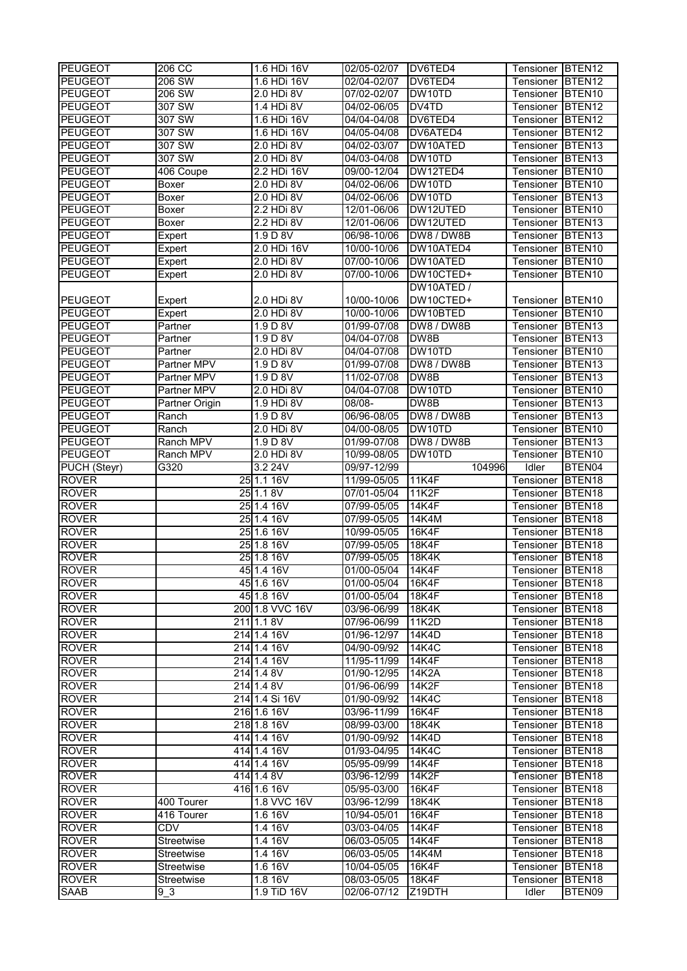| <b>PEUGEOT</b>              | 206 CC              | 1.6 HDi 16V                 | 02/05-02/07     | DV6TED4                | Tensioner BTEN12        |                              |
|-----------------------------|---------------------|-----------------------------|-----------------|------------------------|-------------------------|------------------------------|
| <b>PEUGEOT</b>              | 206 SW              | 1.6 HDi 16V                 | $02/04 - 02/07$ | DV6TED4                | Tensioner               | BTEN <sub>12</sub>           |
| <b>PEUGEOT</b>              | 206 SW              | 2.0 HDi 8V                  | 07/02-02/07     | DW10TD                 | Tensioner               | BTEN <sub>10</sub>           |
| <b>PEUGEOT</b>              | 307 SW              | 1.4 HDi 8V                  | 04/02-06/05     | DV4TD                  | Tensioner               | BTEN <sub>12</sub>           |
| <b>PEUGEOT</b>              | 307 SW              | 1.6 HDi 16V                 | 04/04-04/08     | DV6TED4                | Tensioner               | BTEN <sub>12</sub>           |
| <b>PEUGEOT</b>              | 307 SW              | 1.6 HDi 16V                 | 04/05-04/08     | DV6ATED4               | Tensioner               | BTEN <sub>12</sub>           |
| <b>PEUGEOT</b>              | 307 SW              | 2.0 HDi 8V                  | 04/02-03/07     | DW10ATED               | Tensioner               | BTEN <sub>13</sub>           |
| <b>PEUGEOT</b>              | 307 SW              | 2.0 HDi 8V                  | 04/03-04/08     | DW10TD                 | Tensioner               | BTEN <sub>13</sub>           |
| <b>PEUGEOT</b>              | 406 Coupe           | 2.2 HDi 16V                 | 09/00-12/04     | DW12TED4               | Tensioner               | BTEN <sub>10</sub>           |
| <b>PEUGEOT</b>              | <b>Boxer</b>        | 2.0 HDi 8V                  | 04/02-06/06     | DW10TD                 | Tensioner               | BTEN <sub>10</sub>           |
| <b>PEUGEOT</b>              | Boxer               | 2.0 HDi 8V                  | 04/02-06/06     | DW10TD                 | Tensioner               | BTEN <sub>13</sub>           |
| <b>PEUGEOT</b>              | <b>Boxer</b>        | 2.2 HDi 8V                  | 12/01-06/06     | DW12UTED               | Tensioner               | BTEN <sub>10</sub>           |
| <b>PEUGEOT</b>              | <b>Boxer</b>        | 2.2 HDi 8V                  | 12/01-06/06     | DW12UTED               | Tensioner               | BTEN <sub>13</sub>           |
| <b>PEUGEOT</b>              | Expert              | 1.9 D 8V                    | 06/98-10/06     | DW8 / DW8B             | Tensioner               | BTEN <sub>13</sub>           |
| <b>PEUGEOT</b>              | Expert              | 2.0 HDi 16V                 | 10/00-10/06     | DW10ATED4              | Tensioner               | BTEN <sub>10</sub>           |
| <b>PEUGEOT</b>              | Expert              | 2.0 HDi 8V                  | 07/00-10/06     | DW10ATED               | Tensioner               | BTEN <sub>10</sub>           |
| <b>PEUGEOT</b>              | Expert              | 2.0 HDi 8V                  | 07/00-10/06     | DW10CTED+              | Tensioner               | BTEN <sub>10</sub>           |
|                             |                     |                             |                 | DW10ATED /             |                         |                              |
| <b>PEUGEOT</b>              | Expert              | 2.0 HDi 8V                  | 10/00-10/06     | DW10CTED+              | Tensioner               | BTEN <sub>10</sub>           |
| <b>PEUGEOT</b>              | Expert              | 2.0 HDi 8V                  | 10/00-10/06     | DW10BTED               | Tensioner               | BTEN <sub>10</sub>           |
| <b>PEUGEOT</b>              | Partner             | 1.9 D 8V                    | 01/99-07/08     | DW8 / DW8B             | Tensioner               | BTEN <sub>13</sub>           |
| <b>PEUGEOT</b>              | Partner             | 1.9 D 8V                    | 04/04-07/08     | DW8B                   | Tensioner               | BTEN <sub>13</sub>           |
| <b>PEUGEOT</b>              | Partner             | 2.0 HDi 8V                  | 04/04-07/08     | DW10TD                 | Tensioner               | BTEN <sub>10</sub>           |
| <b>PEUGEOT</b>              | Partner MPV         | 1.9 D 8V                    | 01/99-07/08     | DW8 / DW8B             | Tensioner               | BTEN <sub>13</sub>           |
| <b>PEUGEOT</b>              | Partner MPV         | 1.9 D 8V                    | 11/02-07/08     | DW8B                   | Tensioner               | BTEN <sub>13</sub>           |
| <b>PEUGEOT</b>              | Partner MPV         | 2.0 HDi 8V                  | 04/04-07/08     | DW10TD                 | Tensioner               | BTEN <sub>10</sub>           |
| <b>PEUGEOT</b>              | Partner Origin      | 1.9 HDi 8V                  | 08/08-          | DW8B                   | Tensioner               | BTEN <sub>13</sub>           |
| <b>PEUGEOT</b>              | Ranch               | 1.9 D 8V                    | 06/96-08/05     | DW8 / DW8B             | Tensioner               | BTEN <sub>13</sub>           |
| <b>PEUGEOT</b>              | Ranch               | 2.0 HDi 8V                  | 04/00-08/05     | DW10TD                 | Tensioner               | BTEN <sub>10</sub>           |
| <b>PEUGEOT</b>              | Ranch MPV           | 1.9 D 8V                    | 01/99-07/08     | DW8 / DW8B             | Tensioner               | BTEN <sub>13</sub>           |
| <b>PEUGEOT</b>              | Ranch MPV           | 2.0 HDi 8V                  | 10/99-08/05     | DW10TD                 | Tensioner               | BTEN <sub>10</sub>           |
| PUCH (Steyr)                | G320                | 3.2 24V                     | 09/97-12/99     | 104996                 | Idler                   | BTEN04                       |
| <b>ROVER</b>                |                     | 25 1.1 16V                  | 11/99-05/05     | <b>11K4F</b>           | Tensioner               | BTEN <sub>18</sub>           |
| <b>ROVER</b>                |                     |                             |                 |                        |                         |                              |
|                             |                     | 25 1.1 8V                   | 07/01-05/04     | <b>11K2F</b>           | Tensioner               | BTEN <sub>18</sub>           |
| <b>ROVER</b>                |                     | 25 1.4 16V                  | 07/99-05/05     | 14K4F                  | Tensioner               | BTEN <sub>18</sub>           |
| <b>ROVER</b>                |                     | 25 1.4 16V                  | 07/99-05/05     | 14K4M                  | Tensioner               | BTEN <sub>18</sub>           |
| <b>ROVER</b>                |                     | 25 1.6 16V                  | 10/99-05/05     | <b>16K4F</b>           | Tensioner               | BTEN <sub>18</sub>           |
| <b>ROVER</b>                |                     | 25 1.8 16V                  | 07/99-05/05     | <b>18K4F</b>           | Tensioner               | BTEN <sub>18</sub>           |
| <b>ROVER</b>                |                     | 25 1.8 16V                  | 07/99-05/05     | <b>18K4K</b>           | Tensioner               | BTEN <sub>18</sub>           |
| <b>ROVER</b>                |                     | 45 1.4 16V                  | 01/00-05/04     | 14K4F                  | Tensioner               | <b>BTEN18</b>                |
| <b>ROVER</b>                |                     | 45 1.6 16V                  | 01/00-05/04     | 16K4F                  | Tensioner BTEN18        |                              |
| <b>ROVER</b>                |                     | 45 1.8 16 V                 | 01/00-05/04     | <b>18K4F</b>           | Tensioner               | BTEN <sub>18</sub>           |
| <b>ROVER</b>                |                     | 200 1.8 VVC 16V             | 03/96-06/99     | <b>18K4K</b>           | Tensioner BTEN18        |                              |
| <b>ROVER</b>                |                     | 211 1.1 8 V                 | 07/96-06/99     | 11K2D                  | Tensioner               | BTEN <sub>18</sub>           |
| <b>ROVER</b>                |                     | 214 1.4 16V                 | 01/96-12/97     | 14K4D                  | <b>Tensioner BTEN18</b> |                              |
| <b>ROVER</b>                |                     | 214 1.4 16V                 | 04/90-09/92     | 14K4C                  | Tensioner               | BTEN <sub>18</sub>           |
| <b>ROVER</b>                |                     | 214 1.4 16V                 | 11/95-11/99     | 14K4F                  | Tensioner               | BTEN <sub>18</sub>           |
| <b>ROVER</b>                |                     | 214 1.4 8 V                 | 01/90-12/95     | 14K2A                  | Tensioner               | BTEN <sub>18</sub>           |
| <b>ROVER</b>                |                     | 214 1.4 8V                  | 01/96-06/99     | 14K2F                  | Tensioner               | BTEN <sub>18</sub>           |
| <b>ROVER</b>                |                     | 214 1.4 Si 16V              | 01/90-09/92     | 14K4C                  | Tensioner               | BTEN <sub>18</sub>           |
| <b>ROVER</b>                |                     | 216 1.6 16V                 | 03/96-11/99     | 16K4F                  | Tensioner BTEN18        |                              |
| <b>ROVER</b>                |                     | 218 1.8 16V                 | 08/99-03/00     | <b>18K4K</b>           | <b>Tensioner BTEN18</b> |                              |
| <b>ROVER</b>                |                     | 414 1.4 16V                 | 01/90-09/92     | 14K4D                  | Tensioner BTEN18        |                              |
| <b>ROVER</b>                |                     | 414 1.4 16V                 | 01/93-04/95     | 14K4C                  | Tensioner BTEN18        |                              |
| <b>ROVER</b>                |                     | 414 1.4 16V                 | 05/95-09/99     | 14K4F                  | Tensioner               | BTEN <sub>18</sub>           |
| <b>ROVER</b>                |                     | 414 1.4 8V                  | 03/96-12/99     | 14K2F                  | Tensioner               | BTEN <sub>18</sub>           |
| <b>ROVER</b>                |                     | 416 1.6 16V                 | 05/95-03/00     | 16K4F                  | Tensioner               | BTEN <sub>18</sub>           |
| <b>ROVER</b>                | 400 Tourer          | 1.8 VVC 16V                 | 03/96-12/99     | 18K4K                  | Tensioner               | BTEN <sub>18</sub>           |
| <b>ROVER</b>                | 416 Tourer          | 1.6 16V                     | 10/94-05/01     | 16K4F                  | Tensioner               | BTEN <sub>18</sub>           |
| <b>ROVER</b>                | CDV                 | 1.4 16V                     | 03/03-04/05     | <b>14K4F</b>           | Tensioner BTEN18        |                              |
| <b>ROVER</b>                | Streetwise          | 1.4 16V                     | 06/03-05/05     | 14K4F                  | Tensioner BTEN18        |                              |
| <b>ROVER</b>                | Streetwise          | 1.4 16V                     | 06/03-05/05     | 14K4M                  | Tensioner               | BTEN <sub>18</sub>           |
| <b>ROVER</b>                | Streetwise          | 1.6 16V                     | 10/04-05/05     | 16K4F                  | Tensioner               | BTEN <sub>18</sub>           |
| <b>ROVER</b><br><b>SAAB</b> | Streetwise<br>$9-3$ | $1.8 \, 16V$<br>1.9 TiD 16V | 08/03-05/05     | <b>18K4F</b><br>Z19DTH | Tensioner               | BTEN <sub>18</sub><br>BTEN09 |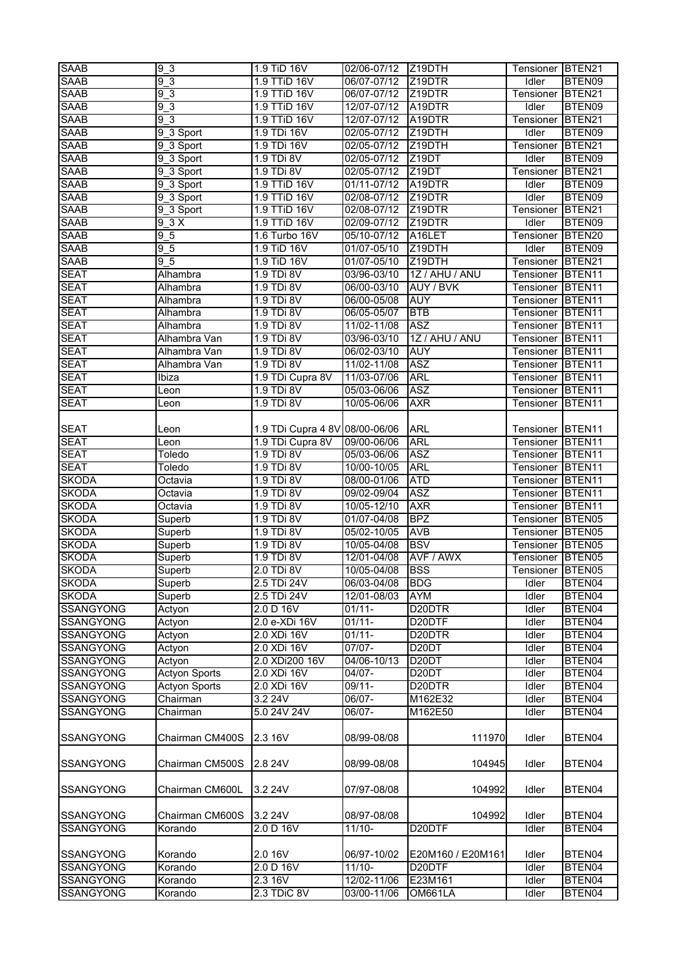| <b>SAAB</b>      | 9 <sub>3</sub>       | 1.9 TiD 16V                    | 02/06-07/12 | Z19DTH              | Tensioner BTEN21 |                    |
|------------------|----------------------|--------------------------------|-------------|---------------------|------------------|--------------------|
| <b>SAAB</b>      | 93                   | 1.9 TTiD 16V                   | 06/07-07/12 | Z19DTR              | Idler            | BTEN09             |
| <b>SAAB</b>      | 93                   | 1.9 TTiD 16V                   | 06/07-07/12 | Z19DTR              | Tensioner        | BTEN <sub>21</sub> |
| <b>SAAB</b>      | 9 <sub>3</sub>       | 1.9 TTiD 16V                   | 12/07-07/12 | A19DTR              | Idler            | BTEN09             |
| <b>SAAB</b>      | 93                   | 1.9 TTiD 16V                   | 12/07-07/12 | A19DTR              | Tensioner        | BTEN21             |
| <b>SAAB</b>      | 9_3 Sport            | 1.9 TDi 16V                    | 02/05-07/12 | Z19DTH              | Idler            | BTEN09             |
|                  |                      |                                |             |                     |                  |                    |
| <b>SAAB</b>      | 9_3 Sport            | 1.9 TDi 16V                    | 02/05-07/12 | Z19DTH              | Tensioner        | BTEN21             |
| <b>SAAB</b>      | 9_3 Sport            | 1.9 TDi 8V                     | 02/05-07/12 | Z <sub>19</sub> DT  | Idler            | BTEN09             |
| <b>SAAB</b>      | 9_3 Sport            | 1.9 TDi 8V                     | 02/05-07/12 | Z19DT               | Tensioner        | BTEN21             |
| <b>SAAB</b>      | 9_3 Sport            | 1.9 TTiD 16V                   | 01/11-07/12 | A19DTR              | Idler            | BTEN09             |
| <b>SAAB</b>      | 9_3 Sport            | 1.9 TTiD 16V                   | 02/08-07/12 | Z19DTR              | Idler            | BTEN09             |
| <b>SAAB</b>      | 9_3 Sport            | 1.9 TTiD 16V                   | 02/08-07/12 | Z <sub>19</sub> DTR | Tensioner        | BTEN21             |
| <b>SAAB</b>      | 9 3 X                | 1.9 TTiD 16V                   | 02/09-07/12 | Z <sub>19</sub> DTR | Idler            | BTEN09             |
| <b>SAAB</b>      | 9 <sub>5</sub>       | 1.6 Turbo 16V                  | 05/10-07/12 | A16LET              | Tensioner        | BTEN20             |
| <b>SAAB</b>      | 9 <sub>5</sub>       | 1.9 TiD 16V                    | 01/07-05/10 | Z19DTH              | Idler            | BTEN09             |
| <b>SAAB</b>      | 9 <sub>5</sub>       | 1.9 TiD 16V                    | 01/07-05/10 | Z19DTH              | Tensioner        | BTEN21             |
| <b>SEAT</b>      | Alhambra             | 1.9 TDi 8V                     | 03/96-03/10 | 1Z / AHU / ANU      | Tensioner        | BTEN <sub>11</sub> |
| <b>SEAT</b>      | Alhambra             | 1.9 TDi 8V                     | 06/00-03/10 | AUY / BVK           | Tensioner        | BTEN <sub>11</sub> |
| <b>SEAT</b>      | Alhambra             | 1.9 TDi 8V                     | 06/00-05/08 | <b>AUY</b>          | Tensioner        | BTEN <sub>11</sub> |
| <b>SEAT</b>      | Alhambra             | 1.9 TDi 8V                     | 06/05-05/07 | <b>BTB</b>          | Tensioner        | BTEN11             |
| <b>SEAT</b>      | Alhambra             | 1.9 TDi 8V                     | 11/02-11/08 | ASZ                 | Tensioner        | BTEN <sub>11</sub> |
| <b>SEAT</b>      | Alhambra Van         | 1.9 TDi 8V                     | 03/96-03/10 | 1Z / AHU / ANU      | Tensioner        | BTEN <sub>11</sub> |
| <b>SEAT</b>      | Alhambra Van         | 1.9 TDi 8V                     | 06/02-03/10 | <b>AUY</b>          | <b>Tensioner</b> | BTEN <sub>11</sub> |
| <b>SEAT</b>      | Alhambra Van         | 1.9 TDi 8V                     | 11/02-11/08 | <b>ASZ</b>          | Tensioner        | BTEN <sub>11</sub> |
| <b>SEAT</b>      | Ibiza                | 1.9 TDi Cupra 8V               | 11/03-07/06 | <b>ARL</b>          | Tensioner        | BTEN <sub>11</sub> |
| <b>SEAT</b>      | Leon                 | 1.9 TDi 8V                     | 05/03-06/06 | <b>ASZ</b>          | Tensioner        | BTEN <sub>11</sub> |
| <b>SEAT</b>      | Leon                 | 1.9 TDi 8V                     | 10/05-06/06 | <b>AXR</b>          | Tensioner        | BTEN11             |
|                  |                      |                                |             |                     |                  |                    |
| <b>SEAT</b>      | Leon                 | 1.9 TDi Cupra 4 8V 08/00-06/06 |             | ARL                 | Tensioner        | BTEN <sub>11</sub> |
| <b>SEAT</b>      |                      | 1.9 TDi Cupra 8V               | 09/00-06/06 | <b>ARL</b>          | Tensioner        | BTEN11             |
| <b>SEAT</b>      | Leon                 | 1.9 TDi 8V                     | 05/03-06/06 | <b>ASZ</b>          |                  | BTEN <sub>11</sub> |
|                  | Toledo               |                                |             |                     | Tensioner        |                    |
| <b>SEAT</b>      | Toledo               | 1.9 TDi 8V                     | 10/00-10/05 | <b>ARL</b>          | Tensioner        | BTEN <sub>11</sub> |
| <b>SKODA</b>     | Octavia              | 1.9 TDi 8V                     | 08/00-01/06 | <b>ATD</b>          | Tensioner        | BTEN <sub>11</sub> |
| <b>SKODA</b>     | Octavia              | 1.9 TDi 8V                     | 09/02-09/04 | <b>ASZ</b>          | Tensioner        | BTEN11             |
| <b>SKODA</b>     | Octavia              | 1.9 TDi 8V                     | 10/05-12/10 | <b>AXR</b>          | Tensioner        | BTEN11             |
| <b>SKODA</b>     | Superb               | 1.9 TDi 8V                     | 01/07-04/08 | <b>BPZ</b>          | Tensioner        | BTEN05             |
| <b>SKODA</b>     | Superb               | 1.9 TDi 8V                     | 05/02-10/05 | <b>AVB</b>          | Tensioner        | BTEN05             |
| <b>SKODA</b>     | Superb               | 1.9 TDi 8V                     | 10/05-04/08 | <b>BSV</b>          | Tensioner        | BTEN05             |
| <b>SKODA</b>     | Superb               | 1.9 TDi 8V                     | 12/01-04/08 | AVF / AWX           | Tensioner        | BTEN05             |
| <b>SKODA</b>     | Superb               | 2.0 TDi 8V                     | 10/05-04/08 | <b>BSS</b>          | Tensioner BTEN05 |                    |
| <b>SKODA</b>     | Superb               | 2.5 TDi 24V                    | 06/03-04/08 | <b>BDG</b>          | Idler            | BTEN04             |
| <b>SKODA</b>     | Superb               | 2.5 TDi 24V                    | 12/01-08/03 | <b>AYM</b>          | Idler            | BTEN04             |
| <b>SSANGYONG</b> | Actyon               | 2.0 D 16V                      | $01/11 -$   | D <sub>20</sub> DTR | Idler            | BTEN04             |
| <b>SSANGYONG</b> | Actyon               | 2.0 e-XDi 16V                  | $01/11 -$   | D20DTF              | Idler            | BTEN04             |
| <b>SSANGYONG</b> | Actyon               | 2.0 XDi 16V                    | $01/11 -$   | D20DTR              | Idler            | BTEN04             |
| <b>SSANGYONG</b> | Actyon               | 2.0 XDi 16V                    | $07/07 -$   | D <sub>20</sub> DT  | Idler            | BTEN04             |
| <b>SSANGYONG</b> | Actyon               | 2.0 XDi200 16V                 | 04/06-10/13 | D <sub>20</sub> DT  | Idler            | BTEN04             |
| <b>SSANGYONG</b> | <b>Actyon Sports</b> | 2.0 XDi 16V                    | $04/07 -$   | D <sub>20</sub> DT  | Idler            | BTEN04             |
| <b>SSANGYONG</b> | <b>Actyon Sports</b> | 2.0 XDi 16V                    | 09/11-      | D20DTR              | Idler            | BTEN04             |
| <b>SSANGYONG</b> | Chairman             | 3.2 24V                        | 06/07-      | M162E32             | Idler            | BTEN04             |
| SSANGYONG        | Chairman             | 5.0 24V 24V                    | $06/07 -$   | M162E50             | Idler            | BTEN04             |
|                  |                      |                                |             |                     |                  |                    |
| <b>SSANGYONG</b> | Chairman CM400S      | 2.3 16V                        | 08/99-08/08 | 111970              | Idler            | BTEN04             |
|                  |                      |                                |             |                     |                  |                    |
| <b>SSANGYONG</b> | Chairman CM500S      | 2.8 24V                        | 08/99-08/08 | 104945              | Idler            | BTEN04             |
|                  |                      |                                |             |                     |                  |                    |
| <b>SSANGYONG</b> | Chairman CM600L      | 3.2 24V                        | 07/97-08/08 | 104992              | Idler            | BTEN04             |
|                  |                      |                                |             |                     |                  |                    |
|                  | Chairman CM600S      |                                | 08/97-08/08 | 104992              | Idler            |                    |
| <b>SSANGYONG</b> |                      | 3.2 24V                        |             |                     |                  | BTEN04             |
| <b>SSANGYONG</b> | Korando              | 2.0 D 16V                      | $11/10 -$   | D20DTF              | Idler            | BTEN04             |
|                  |                      |                                |             |                     |                  |                    |
| <b>SSANGYONG</b> | Korando              | 2.0 16V                        | 06/97-10/02 | E20M160 / E20M161   | Idler            | BTEN04             |
| <b>SSANGYONG</b> | Korando              | 2.0 D 16V                      | $11/10 -$   | D20DTF              | Idler            | BTEN04             |
| <b>SSANGYONG</b> | Korando              | 2.3 16V                        | 12/02-11/06 | E23M161             | Idler            | BTEN04             |
| <b>SSANGYONG</b> | Korando              | 2.3 TDiC 8V                    | 03/00-11/06 | OM661LA             | Idler            | BTEN04             |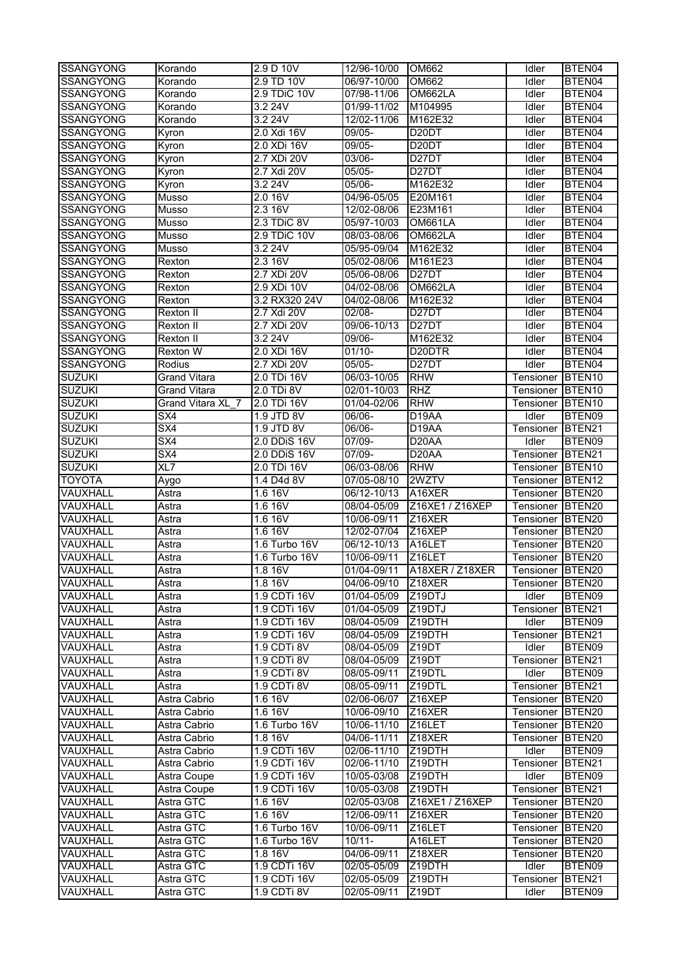| <b>SSANGYONG</b> | Korando                 | 2.9 D 10V                  | 12/96-10/00 | OM662               | Idler            | BTEN <sub>04</sub> |
|------------------|-------------------------|----------------------------|-------------|---------------------|------------------|--------------------|
| <b>SSANGYONG</b> | Korando                 | 2.9 TD 10V                 | 06/97-10/00 | OM662               | Idler            | BTEN04             |
| <b>SSANGYONG</b> | Korando                 | 2.9 TDiC 10V               | 07/98-11/06 | OM662LA             | Idler            | BTEN04             |
| <b>SSANGYONG</b> | Korando                 | 3.2 24V                    | 01/99-11/02 | M104995             | Idler            | BTEN04             |
| <b>SSANGYONG</b> | Korando                 | 3.2 24V                    | 12/02-11/06 | M162E32             | Idler            | BTEN04             |
| <b>SSANGYONG</b> | Kyron                   | 2.0 Xdi 16V                | 09/05-      | D <sub>20</sub> DT  | Idler            | BTEN04             |
| <b>SSANGYONG</b> | Kyron                   | 2.0 XDi 16V                | 09/05-      | D <sub>20</sub> DT  | Idler            | BTEN04             |
| SSANGYONG        | Kyron                   | 2.7 XDi 20V                | 03/06-      | D <sub>27</sub> DT  | Idler            | BTEN04             |
| <b>SSANGYONG</b> | Kyron                   | 2.7 Xdi 20V                | 05/05-      | D <sub>27</sub> DT  | Idler            | BTEN04             |
| <b>SSANGYONG</b> | Kyron                   | 3.224V                     | 05/06-      | M162E32             | Idler            | BTEN04             |
| <b>SSANGYONG</b> | Musso                   | 2.0 16V                    | 04/96-05/05 | E20M161             | Idler            | BTEN04             |
| <b>SSANGYONG</b> | Musso                   | 2.3 16V                    | 12/02-08/06 | E23M161             | Idler            | BTEN04             |
| <b>SSANGYONG</b> | Musso                   | 2.3 TDiC 8V                | 05/97-10/03 | OM661LA             | Idler            | BTEN04             |
| <b>SSANGYONG</b> | Musso                   | 2.9 TDiC 10V               | 08/03-08/06 | OM662LA             | Idler            | BTEN04             |
| <b>SSANGYONG</b> | Musso                   | 3.2 24V                    | 05/95-09/04 | M162E32             | Idler            | BTEN04             |
| <b>SSANGYONG</b> | Rexton                  | 2.3 16V                    | 05/02-08/06 | M161E23             | Idler            | BTEN04             |
| <b>SSANGYONG</b> | Rexton                  | 2.7 XDi 20V                | 05/06-08/06 | D <sub>27</sub> DT  | Idler            | BTEN04             |
| <b>SSANGYONG</b> | Rexton                  | 2.9 XDi 10V                | 04/02-08/06 | OM662LA             | Idler            | BTEN04             |
| <b>SSANGYONG</b> | Rexton                  | 3.2 RX320 24V              | 04/02-08/06 | M162E32             | Idler            | BTEN04             |
|                  |                         |                            | 02/08-      | D <sub>27</sub> DT  |                  | BTEN04             |
| <b>SSANGYONG</b> | Rexton II               | 2.7 Xdi 20V<br>2.7 XDi 20V |             |                     | Idler            |                    |
| <b>SSANGYONG</b> | Rexton II               |                            | 09/06-10/13 | D <sub>27</sub> DT  | Idler            | BTEN04             |
| SSANGYONG        | Rexton II               | 3.2 24V                    | 09/06-      | M162E32             | Idler            | BTEN04             |
| <b>SSANGYONG</b> | Rexton W                | 2.0 XDi 16V                | $01/10-$    | D20DTR              | Idler            | BTEN04             |
| <b>SSANGYONG</b> | Rodius                  | 2.7 XDi 20V                | 05/05-      | D <sub>27</sub> DT  | Idler            | BTEN04             |
| <b>SUZUKI</b>    | <b>Grand Vitara</b>     | 2.0 TDi 16V                | 06/03-10/05 | <b>RHW</b>          | Tensioner        | BTEN <sub>10</sub> |
| <b>SUZUKI</b>    | <b>Grand Vitara</b>     | 2.0 TDi 8V                 | 02/01-10/03 | <b>RHZ</b>          | Tensioner        | BTEN <sub>10</sub> |
| <b>SUZUKI</b>    | Grand Vitara XL 7       | 2.0 TDi 16V                | 01/04-02/06 | <b>RHW</b>          | Tensioner        | BTEN <sub>10</sub> |
| <b>SUZUKI</b>    | SX4                     | 1.9 JTD 8V                 | 06/06-      | D <sub>19</sub> AA  | Idler            | BTEN09             |
| <b>SUZUKI</b>    | SX4                     | 1.9 JTD 8V                 | 06/06-      | D <sub>19</sub> AA  | Tensioner        | BTEN21             |
| <b>SUZUKI</b>    | SX4                     | 2.0 DDiS 16V               | 07/09-      | D <sub>20</sub> AA  | Idler            | BTEN09             |
| <b>SUZUKI</b>    | $\overline{\text{SX4}}$ | 2.0 DDiS 16V               | 07/09-      | D <sub>20</sub> AA  | Tensioner        | BTEN <sub>21</sub> |
| <b>SUZUKI</b>    | XL7                     | 2.0 TDi 16V                | 06/03-08/06 | <b>RHW</b>          | Tensioner        | BTEN <sub>10</sub> |
| <b>TOYOTA</b>    | Aygo                    | 1.4 D4d 8V                 | 07/05-08/10 | 2WZTV               | Tensioner        | BTEN <sub>12</sub> |
| VAUXHALL         | Astra                   | 1.6 16V                    | 06/12-10/13 | A16XER              | Tensioner        | BTEN20             |
| VAUXHALL         | Astra                   | 1.6 16V                    | 08/04-05/09 | Z16XE1 / Z16XEP     | Tensioner        | BTEN20             |
| VAUXHALL         | Astra                   | 1.6 16V                    | 10/06-09/11 | Z16XER              | Tensioner        | BTEN20             |
| VAUXHALL         | Astra                   | 1.6 16V                    | 12/02-07/04 | Z16XEP              | Tensioner        | BTEN <sub>20</sub> |
| VAUXHALL         | Astra                   | 1.6 Turbo 16V              | 06/12-10/13 | A16LET              | Tensioner        | BTEN <sub>20</sub> |
| VAUXHALL         | Astra                   | 1.6 Turbo 16V              | 10/06-09/11 | Z16LET              | Tensioner        | BTEN <sub>20</sub> |
| VAUXHALL         | Astra                   | 1.8 16V                    | 01/04-09/11 | A18XER / Z18XER     | Tensioner BTEN20 |                    |
| <b>VAUXHALL</b>  | Astra                   | 1.8 16V                    | 04/06-09/10 | Z <sub>18</sub> XER | Tensioner BTEN20 |                    |
| VAUXHALL         | Astra                   | 1.9 CDTi 16V               | 01/04-05/09 | Z <sub>19</sub> DTJ | Idler            | BTEN09             |
| <b>VAUXHALL</b>  | Astra                   | 1.9 CDTi 16V               | 01/04-05/09 | Z <sub>19</sub> DTJ | Tensioner        | BTEN21             |
| VAUXHALL         | Astra                   | 1.9 CDTi 16V               | 08/04-05/09 | Z19DTH              | Idler            | BTEN09             |
| VAUXHALL         | Astra                   | 1.9 CDTi 16V               | 08/04-05/09 | Z19DTH              | Tensioner        | BTEN21             |
| VAUXHALL         | Astra                   | 1.9 CDTi 8V                | 08/04-05/09 | Z <sub>19</sub> DT  | Idler            | BTEN09             |
| VAUXHALL         | Astra                   | 1.9 CDTi 8V                | 08/04-05/09 | Z <sub>19</sub> DT  | Tensioner        | BTEN21             |
| VAUXHALL         | Astra                   | 1.9 CDTi 8V                | 08/05-09/11 | Z19DTL              | Idler            | BTEN09             |
| VAUXHALL         | Astra                   | 1.9 CDTi 8V                | 08/05-09/11 | Z19DTL              | Tensioner        | BTEN21             |
| VAUXHALL         | Astra Cabrio            | 1.6 16V                    | 02/06-06/07 | Z <sub>16</sub> XEP | Tensioner        | BTEN <sub>20</sub> |
| VAUXHALL         | Astra Cabrio            | 1.6 16V                    | 10/06-09/10 | Z <sub>16</sub> XER | Tensioner        | BTEN <sub>20</sub> |
| VAUXHALL         | Astra Cabrio            | 1.6 Turbo 16V              | 10/06-11/10 | Z16LET              | Tensioner        | BTEN <sub>20</sub> |
| VAUXHALL         | Astra Cabrio            | 1.8 16V                    | 04/06-11/11 | Z18XER              | Tensioner        | BTEN20             |
| VAUXHALL         | Astra Cabrio            | 1.9 CDTi 16V               | 02/06-11/10 | Z19DTH              | Idler            | BTEN09             |
| VAUXHALL         | Astra Cabrio            | 1.9 CDTi 16V               | 02/06-11/10 | Z19DTH              | Tensioner        | BTEN21             |
| VAUXHALL         | Astra Coupe             | 1.9 CDTi 16V               | 10/05-03/08 | Z19DTH              | Idler            | BTEN09             |
| VAUXHALL         | Astra Coupe             | 1.9 CDTi 16V               | 10/05-03/08 | Z19DTH              | Tensioner        | BTEN21             |
| VAUXHALL         | Astra GTC               | 1.6 16V                    | 02/05-03/08 | Z16XE1 / Z16XEP     | Tensioner        | BTEN <sub>20</sub> |
| VAUXHALL         | Astra GTC               | 1.6 16V                    | 12/06-09/11 | Z16XER              | Tensioner        | BTEN <sub>20</sub> |
| VAUXHALL         | Astra GTC               | 1.6 Turbo 16V              | 10/06-09/11 |                     |                  | BTEN20             |
|                  |                         |                            |             | Z16LET              | Tensioner        |                    |
| VAUXHALL         | Astra GTC               | 1.6 Turbo 16V              | $10/11 -$   | A16LET              | Tensioner        | BTEN <sub>20</sub> |
| VAUXHALL         | Astra GTC               | 1.8 16V                    | 04/06-09/11 | Z18XER              | Tensioner        | BTEN20             |
| VAUXHALL         | Astra GTC               | 1.9 CDTi 16V               | 02/05-05/09 | Z <sub>19</sub> DTH | Idler            | BTEN09             |
| VAUXHALL         | Astra GTC               | 1.9 CDTi 16V               | 02/05-05/09 | Z19DTH              | Tensioner        | BTEN21             |
| VAUXHALL         | Astra GTC               | 1.9 CDTi 8V                | 02/05-09/11 | Z <sub>19</sub> DT  | Idler            | BTEN09             |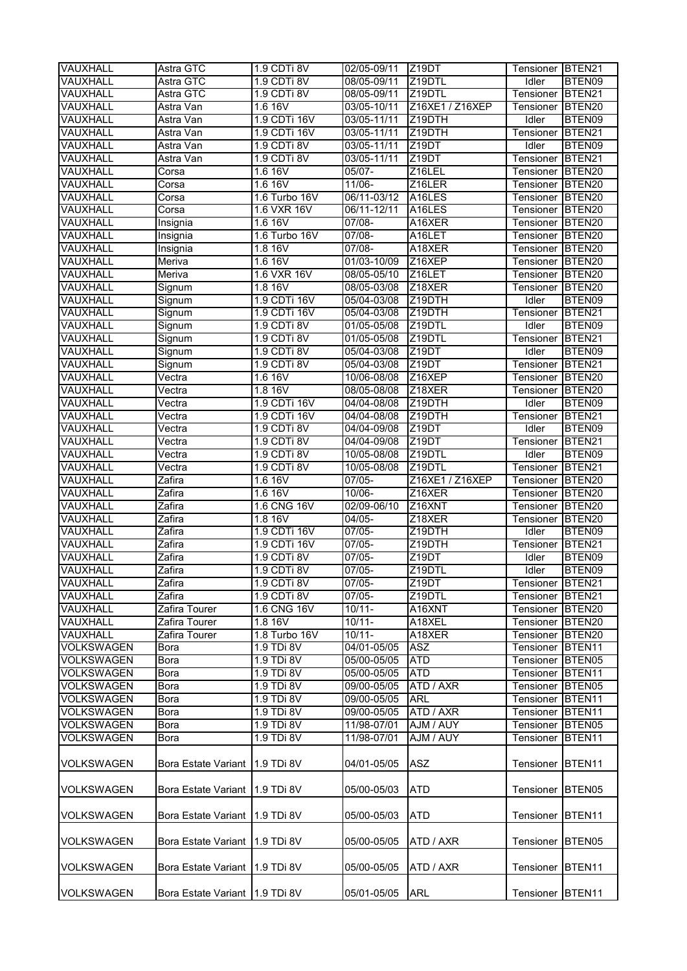| VAUXHALL             | Astra GTC                      | 1.9 CDTi 8V                  | 02/05-09/11                | Z <sub>19</sub> DT           | Tensioner BTEN21   |                    |
|----------------------|--------------------------------|------------------------------|----------------------------|------------------------------|--------------------|--------------------|
| VAUXHALL             | Astra GTC                      | 1.9 CDTi 8V                  | 08/05-09/11                | Z19DTL                       | Idler              | BTEN09             |
| VAUXHALL             | Astra GTC                      | 1.9 CDTi 8V                  | 08/05-09/11                | Z19DTL                       | Tensioner          | BTEN <sub>21</sub> |
| VAUXHALL             | Astra Van                      | 1.6 16V                      | 03/05-10/11                | Z16XE1 / Z16XEP              | Tensioner          | BTEN <sub>20</sub> |
| VAUXHALL             | Astra Van                      | 1.9 CDTi 16V                 | 03/05-11/11                | Z19DTH                       | Idler              | BTEN09             |
| VAUXHALL             | Astra Van                      | 1.9 CDTi 16V                 | 03/05-11/11                | Z19DTH                       | Tensioner          | BTEN21             |
| VAUXHALL             | Astra Van                      | 1.9 CDTi 8V                  | $03/05 - 11/11$            | Z <sub>19</sub> DT           | Idler              | BTEN09             |
| VAUXHALL             | Astra Van                      | 1.9 CDTi 8V                  | 03/05-11/11                | Z <sub>19</sub> DT           | Tensioner          | BTEN21             |
| VAUXHALL             | Corsa                          | 1.6 16V                      | 05/07-                     | Z16LEL                       | Tensioner          | BTEN <sub>20</sub> |
| VAUXHALL             | Corsa                          | 1.6 16V                      | 11/06-                     | Z16LER                       | Tensioner          | BTEN <sub>20</sub> |
| VAUXHALL             | Corsa                          | 1.6 Turbo 16V                | 06/11-03/12                | A16LES                       | Tensioner          | BTEN <sub>20</sub> |
| VAUXHALL             | Corsa                          | 1.6 VXR 16V                  | 06/11-12/11                | A16LES                       | Tensioner          | BTEN20             |
| VAUXHALL             | Insignia                       | 1.6 16V                      | $07/08 -$                  | A16XER                       | Tensioner          | BTEN20             |
| VAUXHALL             | Insignia                       | 1.6 Turbo 16V                | 07/08-                     | A16LET                       | Tensioner          | BTEN20             |
| VAUXHALL             | Insignia                       | 1.8 16V                      | 07/08-                     | A18XER                       | Tensioner          | BTEN20             |
| VAUXHALL             | Meriva                         | 1.6 16V                      | 01/03-10/09                | Z16XEP                       | Tensioner          | BTEN20             |
| VAUXHALL             | Meriva                         | 1.6 VXR 16V                  | 08/05-05/10                | Z16LET                       | Tensioner          | BTEN <sub>20</sub> |
| VAUXHALL             | Signum                         | 1.816V                       | 08/05-03/08                | Z18XER                       | Tensioner          | BTEN <sub>20</sub> |
| VAUXHALL             | Signum                         | 1.9 CDTi 16V                 | 05/04-03/08                | Z19DTH                       | Idler              | BTEN09             |
| VAUXHALL             | Signum                         | 1.9 CDTi 16V                 | 05/04-03/08                | Z19DTH                       | Tensioner          | BTEN21             |
| VAUXHALL             | Signum                         | 1.9 CDTi 8V                  | 01/05-05/08                | Z19DTL                       | Idler              | BTEN09             |
| VAUXHALL             | Signum                         | 1.9 CDTi 8V                  | 01/05-05/08                | Z <sub>19</sub> DTL          | Tensioner          | BTEN21             |
| VAUXHALL             | Signum                         | 1.9 CDTi 8V                  | 05/04-03/08                | Z19DT                        | Idler              | BTEN09             |
| VAUXHALL             | Signum                         | 1.9 CDTi 8V                  | 05/04-03/08                | Z <sub>19</sub> DT           | Tensioner          | BTEN21             |
| VAUXHALL             | Vectra                         | 1.6 16V                      | 10/06-08/08                | $Z$ <sub>16</sub> $XEP$      | Tensioner          | BTEN <sub>20</sub> |
| VAUXHALL             | Vectra                         | 1.8 16V                      | 08/05-08/08                | Z18XER                       | Tensioner          | BTEN <sub>20</sub> |
| VAUXHALL             | Vectra                         | 1.9 CDTi 16V<br>1.9 CDTi 16V | 04/04-08/08                | Z19DTH                       | Idler              | BTEN09             |
| VAUXHALL<br>VAUXHALL | Vectra<br>Vectra               | 1.9 CDTi 8V                  | 04/04-08/08<br>04/04-09/08 | Z19DTH<br>Z <sub>19</sub> DT | Tensioner<br>Idler | BTEN21<br>BTEN09   |
| VAUXHALL             | Vectra                         | 1.9 CDTi 8V                  | 04/04-09/08                | Z19DT                        | Tensioner          | BTEN21             |
| VAUXHALL             | Vectra                         | 1.9 CDTi 8V                  | 10/05-08/08                | Z19DTL                       | Idler              | BTEN09             |
| VAUXHALL             | Vectra                         | 1.9 CDTi 8V                  | 10/05-08/08                | Z19DTL                       | Tensioner          | BTEN21             |
| VAUXHALL             | Zafira                         | 1.6 16V                      | $07/05 -$                  | Z16XE1 / Z16XEP              | Tensioner          | BTEN <sub>20</sub> |
| VAUXHALL             | Zafira                         | 1.6 16V                      | 10/06-                     | Z16XER                       | Tensioner          | BTEN20             |
| VAUXHALL             | Zafira                         | 1.6 CNG 16V                  | 02/09-06/10                | Z16XNT                       | Tensioner          | BTEN20             |
| VAUXHALL             | Zafira                         | 1.8 16V                      | 04/05-                     | Z18XER                       | Tensioner          | BTEN20             |
| VAUXHALL             | Zafira                         | 1.9 CDTi 16V                 | 07/05-                     | Z19DTH                       | Idler              | BTEN09             |
| VAUXHALL             | Zafira                         | 1.9 CDTi 16V                 | 07/05-                     | Z19DTH                       | Tensioner          | BTEN21             |
| VAUXHALL             | Zafira                         | 1.9 CDTi 8V                  | 07/05-                     | Z19DT                        | Idler              | BTEN09             |
| VAUXHALL             | Zafira                         | $1.9$ CDTi 8V                | $07/05 -$                  | Z19DTL                       | Idler              | BTEN09             |
| <b>VAUXHALL</b>      | Zafira                         | 1.9 CDTi 8V                  | 07/05-                     | Z <sub>19</sub> DT           | Tensioner BTEN21   |                    |
| <b>VAUXHALL</b>      | Zafira                         | 1.9 CDTi 8V                  | 07/05-                     | Z19DTL                       | Tensioner          | BTEN21             |
| VAUXHALL             | Zafira Tourer                  | 1.6 CNG 16V                  | $10/11 -$                  | A16XNT                       | Tensioner          | BTEN20             |
| VAUXHALL             | Zafira Tourer                  | 1.8 16V                      | $10/11 -$                  | A18XEL                       | Tensioner          | BTEN20             |
| VAUXHALL             | Zafira Tourer                  | 1.8 Turbo 16V                | $10/11 -$                  | A18XER                       | Tensioner          | BTEN20             |
| <b>VOLKSWAGEN</b>    | <b>Bora</b>                    | 1.9 TDi 8V                   | 04/01-05/05                | ASZ                          | Tensioner          | BTEN <sub>11</sub> |
| <b>VOLKSWAGEN</b>    | Bora                           | 1.9 TDi 8V                   | 05/00-05/05                | <b>ATD</b>                   | Tensioner          | BTEN <sub>05</sub> |
| <b>VOLKSWAGEN</b>    | Bora                           | 1.9 TDi 8V                   | 05/00-05/05                | <b>ATD</b>                   | Tensioner          | BTEN <sub>11</sub> |
| <b>VOLKSWAGEN</b>    | <b>Bora</b>                    | 1.9 TDi 8V                   | 09/00-05/05                | ATD / AXR                    | Tensioner          | BTEN05             |
| <b>VOLKSWAGEN</b>    | Bora                           | 1.9 TDi 8V                   | 09/00-05/05                | <b>ARL</b>                   | Tensioner          | BTEN <sub>11</sub> |
| <b>VOLKSWAGEN</b>    | Bora                           | 1.9 TDi 8V                   | 09/00-05/05                | ATD / AXR                    | Tensioner          | BTEN11             |
| <b>VOLKSWAGEN</b>    | Bora                           | 1.9 TDi 8V                   | 11/98-07/01                | AJM / AUY                    | Tensioner          | BTEN05             |
| <b>VOLKSWAGEN</b>    | Bora                           | 1.9 TDi 8V                   | 11/98-07/01                | AJM / AUY                    | Tensioner          | BTEN <sub>11</sub> |
| <b>VOLKSWAGEN</b>    | Bora Estate Variant 1.9 TDi 8V |                              | 04/01-05/05                | <b>ASZ</b>                   | Tensioner          | BTEN <sub>11</sub> |
| <b>VOLKSWAGEN</b>    | Bora Estate Variant 1.9 TDi 8V |                              | 05/00-05/03                | <b>ATD</b>                   | Tensioner          | BTEN05             |
| <b>VOLKSWAGEN</b>    | Bora Estate Variant 1.9 TDi 8V |                              | 05/00-05/03                | <b>ATD</b>                   | Tensioner          | BTEN <sub>11</sub> |
| <b>VOLKSWAGEN</b>    | Bora Estate Variant 1.9 TDi 8V |                              | 05/00-05/05                | ATD / AXR                    | Tensioner          | BTEN05             |
| <b>VOLKSWAGEN</b>    | Bora Estate Variant 1.9 TDi 8V |                              | 05/00-05/05                | ATD / AXR                    | Tensioner          | BTEN11             |
| <b>VOLKSWAGEN</b>    | Bora Estate Variant 1.9 TDi 8V |                              | 05/01-05/05                | <b>ARL</b>                   | Tensioner BTEN11   |                    |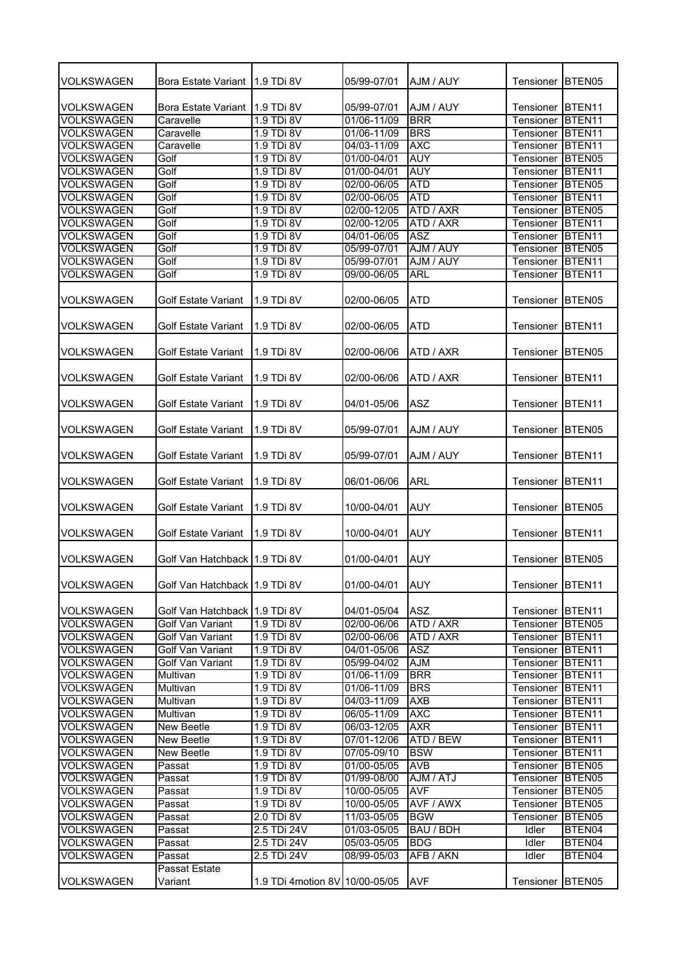| VOLKSWAGEN        | Bora Estate Variant           | 11.9 TDi 8V                    | 05/99-07/01 | AJM / AUY  | Tensioner        | BTEN05             |
|-------------------|-------------------------------|--------------------------------|-------------|------------|------------------|--------------------|
|                   |                               |                                |             |            |                  |                    |
| VOLKSWAGEN        | Bora Estate Variant           | <b>1.9 TDi 8V</b>              | 05/99-07/01 | AJM / AUY  | Tensioner        | BTEN <sub>11</sub> |
| <b>VOLKSWAGEN</b> | Caravelle                     | 1.9 TDi 8V                     | 01/06-11/09 | <b>BRR</b> | Tensioner        | BTEN <sub>11</sub> |
| <b>VOLKSWAGEN</b> | Caravelle                     | 1.9 TDi 8V                     | 01/06-11/09 | <b>BRS</b> | Tensioner        | BTEN <sub>11</sub> |
| <b>VOLKSWAGEN</b> | Caravelle                     | 1.9 TDi 8V                     | 04/03-11/09 | <b>AXC</b> | Tensioner        | BTEN <sub>11</sub> |
| <b>VOLKSWAGEN</b> | Golf                          | 1.9 TDi 8V                     | 01/00-04/01 | <b>AUY</b> | Tensioner        | BTEN <sub>05</sub> |
| <b>VOLKSWAGEN</b> | Golf                          | 1.9 TDi 8V                     | 01/00-04/01 | <b>AUY</b> | Tensioner        | BTEN <sub>11</sub> |
| <b>VOLKSWAGEN</b> | Golf                          | 1.9 TDi 8V                     | 02/00-06/05 | <b>ATD</b> | Tensioner        | BTEN <sub>05</sub> |
| <b>VOLKSWAGEN</b> | Golf                          | 1.9 TDi 8V                     | 02/00-06/05 | <b>ATD</b> | Tensioner        | BTEN <sub>11</sub> |
| <b>VOLKSWAGEN</b> | Golf                          | 1.9 TDi 8V                     | 02/00-12/05 | ATD / AXR  | Tensioner        | BTEN05             |
| <b>VOLKSWAGEN</b> | Golf                          | 1.9 TDi 8V                     | 02/00-12/05 | ATD / AXR  | Tensioner        | BTEN <sub>11</sub> |
| <b>VOLKSWAGEN</b> | Golf                          | 1.9 TDi 8V                     | 04/01-06/05 | <b>ASZ</b> | Tensioner        | BTEN <sub>11</sub> |
| <b>VOLKSWAGEN</b> | Golf                          | 1.9 TDi 8V                     | 05/99-07/01 | AJM / AUY  | Tensioner        | BTEN <sub>05</sub> |
| <b>VOLKSWAGEN</b> | Golf                          | 1.9 TDi 8V                     | 05/99-07/01 | AJM / AUY  | Tensioner        | BTEN <sub>11</sub> |
| <b>VOLKSWAGEN</b> | Golf                          | 1.9 TDi 8V                     | 09/00-06/05 | <b>ARL</b> | Tensioner        | BTEN <sub>11</sub> |
|                   |                               |                                |             |            |                  |                    |
| <b>VOLKSWAGEN</b> | <b>Golf Estate Variant</b>    | 1.9 TDi 8V                     | 02/00-06/05 | ATD        | Tensioner        | BTEN05             |
| <b>VOLKSWAGEN</b> | <b>Golf Estate Variant</b>    | 1.9 TDi 8V                     | 02/00-06/05 | <b>ATD</b> | Tensioner        | BTEN <sub>11</sub> |
| <b>VOLKSWAGEN</b> | Golf Estate Variant           | 1.9 TDi 8V                     | 02/00-06/06 | ATD / AXR  | Tensioner        | BTEN05             |
|                   |                               |                                |             |            |                  |                    |
| <b>VOLKSWAGEN</b> | <b>Golf Estate Variant</b>    | 1.9 TDi 8V                     | 02/00-06/06 | ATD / AXR  | Tensioner        | BTEN <sub>11</sub> |
|                   |                               |                                |             |            |                  |                    |
| VOLKSWAGEN        | Golf Estate Variant           | 1.9 TDi 8V                     | 04/01-05/06 | <b>ASZ</b> | Tensioner        | BTEN <sub>11</sub> |
|                   |                               |                                |             |            |                  |                    |
| VOLKSWAGEN        | <b>Golf Estate Variant</b>    | 1.9 TDi 8V                     | 05/99-07/01 | AJM / AUY  | Tensioner        | BTEN05             |
|                   |                               |                                |             |            |                  |                    |
| <b>VOLKSWAGEN</b> | Golf Estate Variant           | 1.9 TDi 8V                     | 05/99-07/01 | AJM / AUY  | Tensioner        | BTEN <sub>11</sub> |
|                   |                               |                                |             |            |                  |                    |
| <b>VOLKSWAGEN</b> | <b>Golf Estate Variant</b>    | 1.9 TDi 8V                     | 06/01-06/06 | ARL        | Tensioner        | BTEN <sub>11</sub> |
|                   |                               |                                |             |            |                  |                    |
| <b>VOLKSWAGEN</b> | <b>Golf Estate Variant</b>    | 1.9 TDi 8V                     | 10/00-04/01 | AUY        | Tensioner        | BTEN05             |
|                   |                               |                                |             |            |                  |                    |
| <b>VOLKSWAGEN</b> | <b>Golf Estate Variant</b>    | 1.9 TDi 8V                     | 10/00-04/01 | <b>AUY</b> | Tensioner        | BTEN <sub>11</sub> |
|                   |                               |                                |             |            |                  |                    |
| <b>VOLKSWAGEN</b> | Golf Van Hatchback 1.9 TDi 8V |                                | 01/00-04/01 | <b>AUY</b> | Tensioner        | BTEN05             |
|                   |                               |                                |             |            |                  |                    |
| <b>VOLKSWAGEN</b> | Golf Van Hatchback 1.9 TDi 8V |                                | 01/00-04/01 | <b>AUY</b> | Tensioner BTEN11 |                    |
|                   |                               |                                |             |            |                  |                    |
| <b>VOLKSWAGEN</b> | Golf Van Hatchback 1.9 TDi 8V |                                | 04/01-05/04 | <b>ASZ</b> | Tensioner        | BTEN <sub>11</sub> |
| <b>VOLKSWAGEN</b> | Golf Van Variant              | 1.9 TDi 8V                     | 02/00-06/06 | ATD / AXR  | Tensioner        | BTEN05             |
| <b>VOLKSWAGEN</b> | Golf Van Variant              | 1.9 TDi 8V                     | 02/00-06/06 | ATD / AXR  | Tensioner        | BTEN11             |
| <b>VOLKSWAGEN</b> | Golf Van Variant              | 1.9 TDi 8V                     | 04/01-05/06 | <b>ASZ</b> | Tensioner        | BTEN11             |
| <b>VOLKSWAGEN</b> | Golf Van Variant              | 1.9 TDi 8V                     | 05/99-04/02 | <b>AJM</b> | Tensioner        | BTEN <sub>11</sub> |
| <b>VOLKSWAGEN</b> | Multivan                      | 1.9 TDi 8V                     | 01/06-11/09 | <b>BRR</b> | Tensioner        | BTEN <sub>11</sub> |
| <b>VOLKSWAGEN</b> | Multivan                      | 1.9 TDi 8V                     | 01/06-11/09 | <b>BRS</b> | Tensioner        | BTEN <sub>11</sub> |
| <b>VOLKSWAGEN</b> | Multivan                      | 1.9 TDi 8V                     | 04/03-11/09 | <b>AXB</b> | Tensioner        | BTEN11             |
| <b>VOLKSWAGEN</b> | Multivan                      | 1.9 TDi 8V                     | 06/05-11/09 | <b>AXC</b> | Tensioner        | BTEN11             |
| <b>VOLKSWAGEN</b> | New Beetle                    | 1.9 TDi 8V                     | 06/03-12/05 | <b>AXR</b> | Tensioner        | BTEN11             |
| <b>VOLKSWAGEN</b> | New Beetle                    | 1.9 TDi 8V                     | 07/01-12/06 | ATD / BEW  | Tensioner        | BTEN <sub>11</sub> |
| <b>VOLKSWAGEN</b> | New Beetle                    | 1.9 TDi 8V                     | 07/05-09/10 | <b>BSW</b> | Tensioner BTEN11 |                    |
| <b>VOLKSWAGEN</b> | Passat                        | 1.9 TDi 8V                     | 01/00-05/05 | <b>AVB</b> | Tensioner        | BTEN <sub>05</sub> |
| <b>VOLKSWAGEN</b> | Passat                        | 1.9 TDi 8V                     | 01/99-08/00 | AJM / ATJ  | Tensioner        | BTEN <sub>05</sub> |
| <b>VOLKSWAGEN</b> | Passat                        | 1.9 TDi 8V                     | 10/00-05/05 | <b>AVF</b> | Tensioner        | BTEN05             |
| <b>VOLKSWAGEN</b> | Passat                        | 1.9 TDi 8V                     |             | AVF / AWX  |                  | BTEN05             |
|                   |                               |                                | 10/00-05/05 |            | Tensioner        |                    |
| <b>VOLKSWAGEN</b> | Passat                        | 2.0 TDi 8V                     | 11/03-05/05 | <b>BGW</b> | Tensioner        | BTEN05             |
| <b>VOLKSWAGEN</b> | Passat                        | 2.5 TDi 24V                    | 01/03-05/05 | BAU / BDH  | Idler            | BTEN04             |
| <b>VOLKSWAGEN</b> | Passat                        | 2.5 TDi 24V                    | 05/03-05/05 | <b>BDG</b> | <b>Idler</b>     | BTEN04             |
| <b>VOLKSWAGEN</b> | Passat                        | 2.5 TDi 24V                    | 08/99-05/03 | AFB / AKN  | Idler            | BTEN04             |
|                   | Passat Estate                 |                                |             |            |                  |                    |
| <b>VOLKSWAGEN</b> | Variant                       | 1.9 TDi 4motion 8V 10/00-05/05 |             | <b>AVF</b> | Tensioner        | BTEN <sub>05</sub> |